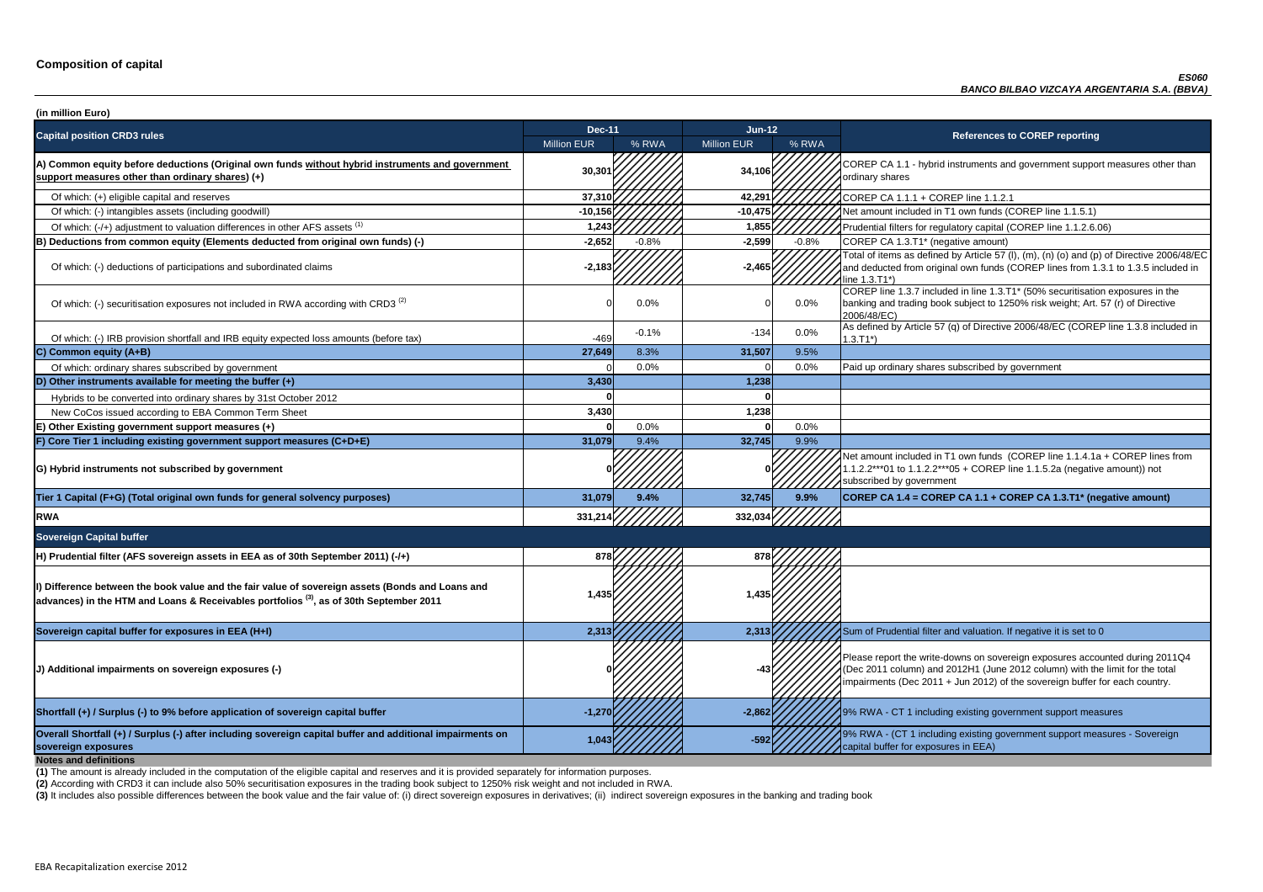**P CA 1.1 - hybrid instruments and government support measures other than** ry shares

of tial filters for regulatory capital (COREP line 1.1.2.6.06)

of items as defined by Article 57 (I),  $(m)$ ,  $(n)$  (o) and  $(p)$  of Directive 2006/48/EC educted from original own funds (COREP lines from 1.3.1 to 1.3.5 included in  $3.71^*$ 

 $\overline{C}$  line 1.3.7 included in line 1.3.T1\* (50% securitisation exposures in the g and trading book subject to 1250% risk weight; Art. 57 (r) of Directive 8/EC)

of which: IRB provided and IRB provided in and IRB equity expected and IRB equity expected in the tax of Directive 2006/48/EC (COREP line 1.3.8 included in

nount included in T1 own funds (COREP line 1.1.4.1a + COREP lines from  $2***01$  to 1.1.2.2\*\*\*05 + COREP line 1.1.5.2a (negative amount)) not ibed by government

**sovereign exposures 1,043 -592** 9% RWA - (CT 1 including existing government support measures - Sovereign buffer for exposures in EEA)

| (in million Euro)                                                                                                                                                                                      |                    |         |                    |         |                                                                                                                                                                                   |
|--------------------------------------------------------------------------------------------------------------------------------------------------------------------------------------------------------|--------------------|---------|--------------------|---------|-----------------------------------------------------------------------------------------------------------------------------------------------------------------------------------|
| <b>Capital position CRD3 rules</b>                                                                                                                                                                     | <b>Dec-11</b>      |         | $Jun-12$           |         | <b>References to COREP reporting</b>                                                                                                                                              |
|                                                                                                                                                                                                        | <b>Million EUR</b> | % RWA   | <b>Million EUR</b> | % RWA   |                                                                                                                                                                                   |
| A) Common equity before deductions (Original own funds without hybrid instruments and government<br>support measures other than ordinary shares) (+)                                                   | 30,301             |         | 34,106             |         | COREP CA 1.1 - hybrid instruments and government suppo<br>ordinary shares                                                                                                         |
| Of which: (+) eligible capital and reserves                                                                                                                                                            | 37,310             |         | 42,291             |         | COREP CA 1.1.1 + COREP line 1.1.2.1                                                                                                                                               |
| Of which: (-) intangibles assets (including goodwill)                                                                                                                                                  | $-10,156$          |         | $-10,475$          |         | Net amount included in T1 own funds (COREP line 1.1.5.1)                                                                                                                          |
| Of which: (-/+) adjustment to valuation differences in other AFS assets <sup>(1)</sup>                                                                                                                 | 1,243              |         | 1,855              |         | Prudential filters for regulatory capital (COREP line 1.1.2.6.                                                                                                                    |
| (B) Deductions from common equity (Elements deducted from original own funds) (-)                                                                                                                      | $-2,652$           | $-0.8%$ | $-2,599$           | $-0.8%$ | COREP CA 1.3.T1* (negative amount)                                                                                                                                                |
| Of which: (-) deductions of participations and subordinated claims                                                                                                                                     | $-2,183$           |         | $-2,465$           |         | Total of items as defined by Article 57 (I), (m), (n) (o) and (p<br>and deducted from original own funds (COREP lines from 1<br>line 1.3.T1*)                                     |
| Of which: (-) securitisation exposures not included in RWA according with CRD3 <sup>(2)</sup>                                                                                                          |                    | 0.0%    |                    | 0.0%    | COREP line 1.3.7 included in line 1.3.T1* (50% securitisation<br>banking and trading book subject to 1250% risk weight; Art.<br>2006/48/EC)                                       |
| Of which: (-) IRB provision shortfall and IRB equity expected loss amounts (before tax)                                                                                                                | $-469$             | $-0.1%$ | $-134$             | 0.0%    | As defined by Article 57 (q) of Directive 2006/48/EC (CORE<br>$1.3.T1*)$                                                                                                          |
| C) Common equity (A+B)                                                                                                                                                                                 | 27,649             | 8.3%    | 31,507             | 9.5%    |                                                                                                                                                                                   |
| Of which: ordinary shares subscribed by government                                                                                                                                                     |                    | 0.0%    |                    | 0.0%    | Paid up ordinary shares subscribed by government                                                                                                                                  |
| D) Other instruments available for meeting the buffer (+)                                                                                                                                              | 3,430              |         | 1,238              |         |                                                                                                                                                                                   |
| Hybrids to be converted into ordinary shares by 31st October 2012                                                                                                                                      |                    |         |                    |         |                                                                                                                                                                                   |
| New CoCos issued according to EBA Common Term Sheet                                                                                                                                                    | 3,430              |         | 1,238              |         |                                                                                                                                                                                   |
| E) Other Existing government support measures (+)                                                                                                                                                      |                    | 0.0%    |                    | 0.0%    |                                                                                                                                                                                   |
| F) Core Tier 1 including existing government support measures (C+D+E)                                                                                                                                  | 31,079             | 9.4%    | 32,745             | 9.9%    |                                                                                                                                                                                   |
| G) Hybrid instruments not subscribed by government                                                                                                                                                     |                    |         |                    |         | Net amount included in T1 own funds (COREP line 1.1.4.1a<br>1.1.2.2***01 to 1.1.2.2***05 + COREP line 1.1.5.2a (negativ<br>subscribed by government                               |
| Tier 1 Capital (F+G) (Total original own funds for general solvency purposes)                                                                                                                          | 31,079             | 9.4%    | 32,745             | 9.9%    | COREP CA 1.4 = COREP CA 1.1 + COREP CA 1.3.T1* (ne                                                                                                                                |
| <b>RWA</b>                                                                                                                                                                                             | 331,21             |         | 332,034            |         |                                                                                                                                                                                   |
| <b>Sovereign Capital buffer</b>                                                                                                                                                                        |                    |         |                    |         |                                                                                                                                                                                   |
| H) Prudential filter (AFS sovereign assets in EEA as of 30th September 2011) (-/+)                                                                                                                     | 878                |         | 878                |         |                                                                                                                                                                                   |
| I) Difference between the book value and the fair value of sovereign assets (Bonds and Loans and<br>advances) in the HTM and Loans & Receivables portfolios <sup>(3)</sup> , as of 30th September 2011 | 1,435              |         | 1,435              |         |                                                                                                                                                                                   |
| Sovereign capital buffer for exposures in EEA (H+I)                                                                                                                                                    | 2,313              |         | 2,313              |         | Sum of Prudential filter and valuation. If negative it is set to                                                                                                                  |
| (J) Additional impairments on sovereign exposures (-)                                                                                                                                                  |                    |         |                    |         | Please report the write-downs on sovereign exposures acco<br>(Dec 2011 column) and 2012H1 (June 2012 column) with th<br>impairments (Dec 2011 + Jun 2012) of the sovereign buffer |
| Shortfall (+) / Surplus (-) to 9% before application of sovereign capital buffer                                                                                                                       | $-1,270$           |         | $-2,862$           |         | 9% RWA - CT 1 including existing government support mea                                                                                                                           |
| Overall Shortfall (+) / Surplus (-) after including sovereign capital buffer and additional impairments on<br>sovereign exposures<br><b>Notes and definitions</b>                                      | 1,043              |         | $-592$             |         | 9% RWA - (CT 1 including existing government support mea<br>capital buffer for exposures in EEA)                                                                                  |

**Tier 1 Capital (F+G) (Total original own funds for general solvency purposes) 31,079 9.4% 32,745 9.9% COREP CA 1.4 = COREP CA 1.1 + COREP CA 1.3.T1\* (negative amount)**

report the write-downs on sovereign exposures accounted during 2011Q4 (011 column) and 2012H1 (June 2012 column) with the limit for the total ments (Dec 2011 + Jun 2012) of the sovereign buffer for each country.

**A** - CT 1 including existing government support measures

**(2)** According with CRD3 it can include also 50% securitisation exposures in the trading book subject to 1250% risk weight and not included in RWA.

(3) It includes also possible differences between the book value and the fair value of: (i) direct sovereign exposures in derivatives; (ii) indirect sovereign exposures in the banking and trading book

**(1)** The amount is already included in the computation of the eligible capital and reserves and it is provided separately for information purposes.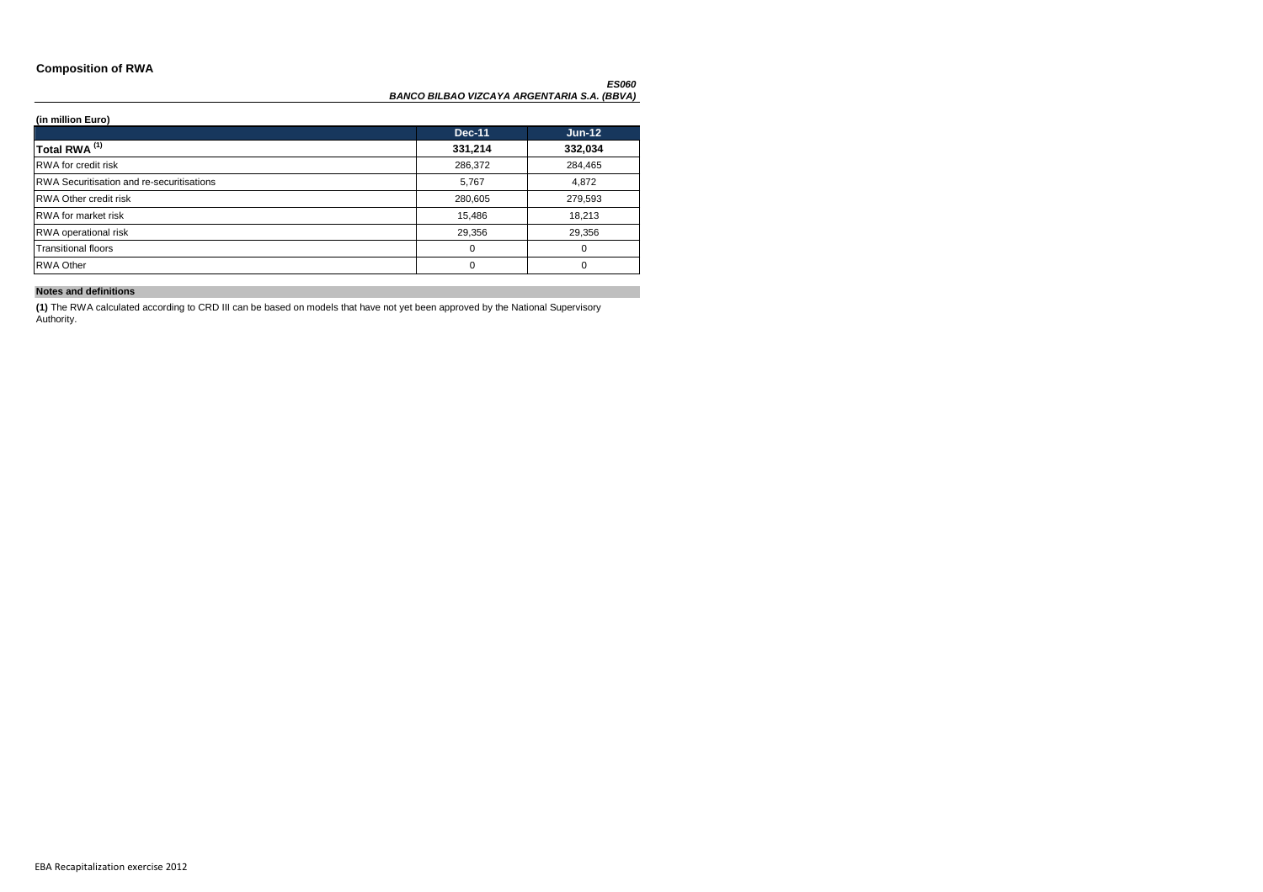### **Composition of RWA**

#### *ES060 BANCO BILBAO VIZCAYA ARGENTARIA S.A. (BBVA)*

### **(in million Euro)**

|                                                  | <b>Dec-11</b> | $Jun-12$ |
|--------------------------------------------------|---------------|----------|
| Total RWA <sup>(1)</sup>                         | 331,214       | 332,034  |
| <b>RWA</b> for credit risk                       | 286,372       | 284,465  |
| <b>RWA Securitisation and re-securitisations</b> | 5,767         | 4,872    |
| <b>RWA Other credit risk</b>                     | 280,605       | 279,593  |
| <b>RWA</b> for market risk                       | 15,486        | 18,213   |
| <b>RWA</b> operational risk                      | 29,356        | 29,356   |
| <b>Transitional floors</b>                       | 0             | $\Omega$ |
| <b>RWA Other</b>                                 | 0             | $\Omega$ |

### **Notes and definitions**

**(1)** The RWA calculated according to CRD III can be based on models that have not yet been approved by the National Supervisory Authority.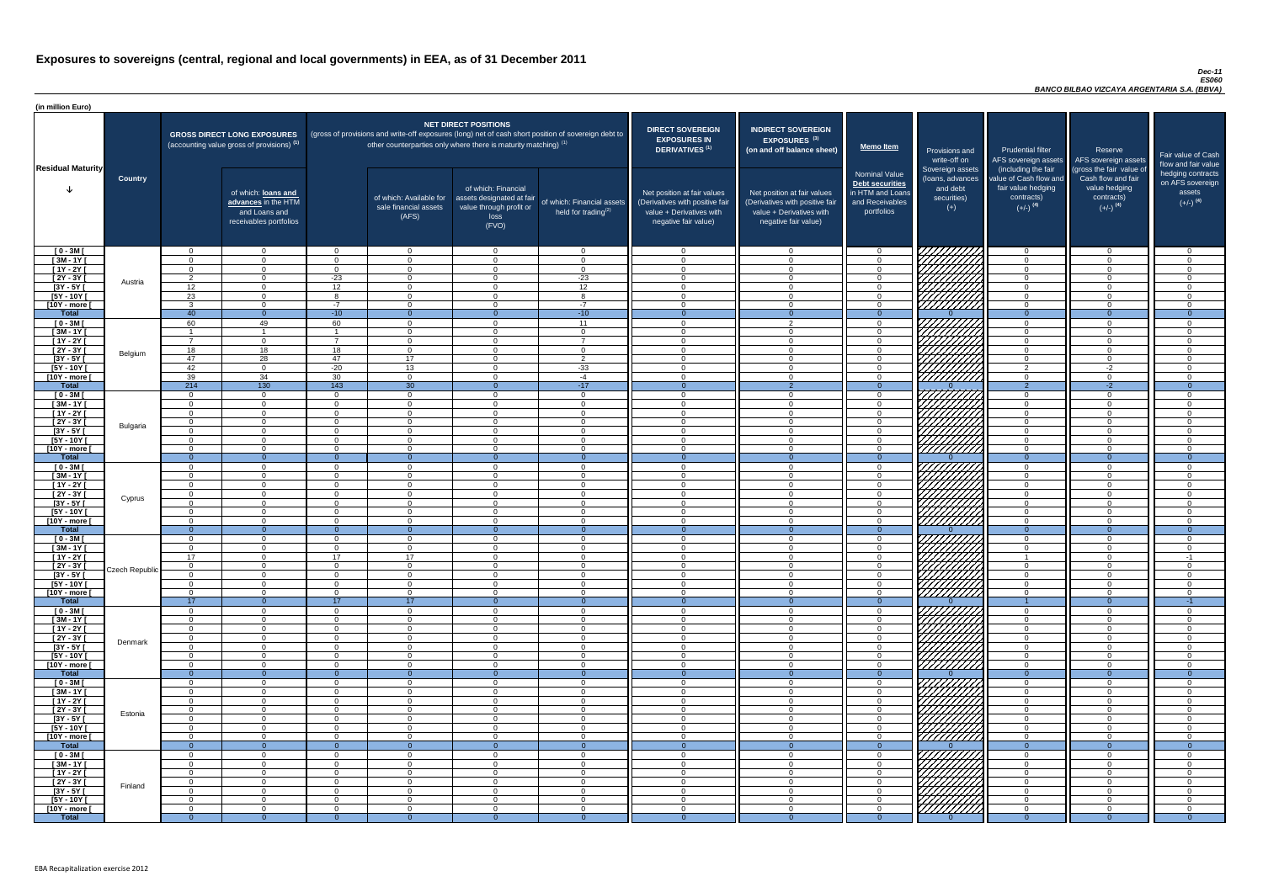#### *Dec-11 ES060 BANCO BILBAO VIZCAYA ARGENTARIA S.A. (BBVA)*

| (in million Euro)             |                |                           |                                                                                             |                            |                                                                                                                                                                                   |                                                                                              |                                                      |                                                                                                                    |                                                                                                                    |                                                                                              |                                                                          |                                                                                                             |                                                                             |                                                                           |
|-------------------------------|----------------|---------------------------|---------------------------------------------------------------------------------------------|----------------------------|-----------------------------------------------------------------------------------------------------------------------------------------------------------------------------------|----------------------------------------------------------------------------------------------|------------------------------------------------------|--------------------------------------------------------------------------------------------------------------------|--------------------------------------------------------------------------------------------------------------------|----------------------------------------------------------------------------------------------|--------------------------------------------------------------------------|-------------------------------------------------------------------------------------------------------------|-----------------------------------------------------------------------------|---------------------------------------------------------------------------|
| <b>Residual Maturity</b>      |                |                           | <b>GROSS DIRECT LONG EXPOSURES</b><br>(accounting value gross of provisions) <sup>(1)</sup> |                            | (gross of provisions and write-off exposures (long) net of cash short position of sovereign debt to<br>other counterparties only where there is maturity matching) <sup>(1)</sup> | <b>NET DIRECT POSITIONS</b>                                                                  |                                                      | <b>DIRECT SOVEREIGN</b><br><b>EXPOSURES IN</b><br>DERIVATIVES <sup>(1)</sup>                                       | <b>INDIRECT SOVEREIGN</b><br><b>EXPOSURES<sup>(3)</sup></b><br>(on and off balance sheet)                          | <b>Memo Item</b>                                                                             | Provisions and<br>write-off on                                           | <b>Prudential filter</b><br>AFS sovereign assets                                                            | Reserve<br>AFS sovereign assets<br>(gross the fair value of                 | Fair value of Cash<br>flow and fair value                                 |
|                               | <b>Country</b> |                           | of which: loans and<br>advances in the HTM<br>and Loans and<br>receivables portfolios       |                            | of which: Available for<br>sale financial assets<br>(AFS)                                                                                                                         | of which: Financial<br>assets designated at fair<br>value through profit or<br>loss<br>(FVO) | of which: Financial assets<br>held for trading $(2)$ | Net position at fair values<br>(Derivatives with positive fair<br>value + Derivatives with<br>negative fair value) | Net position at fair values<br>(Derivatives with positive fair<br>value + Derivatives with<br>negative fair value) | <b>Nominal Value</b><br>Debt securities<br>in HTM and Loans<br>and Receivables<br>portfolios | Sovereign assets<br>(loans, advances<br>and debt<br>securities)<br>$(+)$ | (including the fair<br>value of Cash flow and<br>fair value hedging<br>contracts)<br>$(+/-)$ <sup>(4)</sup> | Cash flow and fair<br>value hedging<br>contracts)<br>$(+/-)$ <sup>(4)</sup> | hedging contracts<br>on AFS sovereign<br>assets<br>$(+/-)$ <sup>(4)</sup> |
| $[0 - 3M]$                    |                | $\Omega$                  | $\overline{0}$                                                                              | $\Omega$                   | $\overline{0}$                                                                                                                                                                    | $\Omega$                                                                                     | $\overline{0}$                                       | - റ                                                                                                                | $\Omega$                                                                                                           | $\overline{0}$                                                                               | 7777777777                                                               | $\Omega$                                                                                                    | $\Omega$                                                                    | റ                                                                         |
| $[3M - 1Y]$                   |                | $\Omega$                  | $\overline{0}$<br>$\Omega$                                                                  | $\Omega$<br>$\Omega$       | $\Omega$<br>$\Omega$                                                                                                                                                              | $\Omega$<br>$\Omega$                                                                         | $\overline{0}$                                       | - 0<br>$\Omega$                                                                                                    | $\Omega$<br>$\Omega$                                                                                               | $\overline{0}$<br>$\Omega$                                                                   |                                                                          | $\overline{0}$                                                                                              | $\Omega$<br>$\Omega$                                                        | - 0<br>- 0                                                                |
| $[1Y - 2Y]$<br>[2Y - 3Y [     |                | $\Omega$<br>$\mathcal{D}$ | $\Omega$                                                                                    | $-23$                      | $\Omega$                                                                                                                                                                          | $\Omega$                                                                                     | $\overline{0}$<br>$-23$                              | $\cap$                                                                                                             | $\Omega$                                                                                                           | $\Omega$                                                                                     |                                                                          | $\Omega$<br>$\Omega$                                                                                        | $\Omega$                                                                    | $\Omega$                                                                  |
| $[3Y - 5Y]$                   | Austria        | 12                        | $\overline{0}$                                                                              | 12                         | $\Omega$                                                                                                                                                                          | $\Omega$                                                                                     | 12                                                   | $\Omega$                                                                                                           | $\Omega$                                                                                                           | $\Omega$                                                                                     | HAAARI                                                                   | $\overline{0}$                                                                                              | $\Omega$                                                                    | - 0                                                                       |
| $[5Y - 10Y]$                  |                | 23                        | $\overline{0}$                                                                              | $\Omega$                   | $\Omega$                                                                                                                                                                          | $\Omega$                                                                                     | 8                                                    | $\cap$                                                                                                             | $\Omega$                                                                                                           | $\Omega$                                                                                     |                                                                          | $\Omega$                                                                                                    | $\Omega$                                                                    | $\cap$                                                                    |
| [10Y - more [                 |                | $\mathcal{R}$             | $\Omega$                                                                                    | $-7$                       | $\Omega$                                                                                                                                                                          | $\cap$                                                                                       | $-7$                                                 | $\Omega$                                                                                                           | $\Omega$                                                                                                           | $\Omega$                                                                                     |                                                                          | $\Omega$                                                                                                    | $\Omega$                                                                    | $\cap$                                                                    |
| Total                         |                | $\overline{40}$           | $\overline{0}$                                                                              | $-10$                      | $\Omega$                                                                                                                                                                          |                                                                                              | $-10$                                                | - 0                                                                                                                |                                                                                                                    | $\Omega$                                                                                     |                                                                          | $\Omega$                                                                                                    | $\Omega$                                                                    | $\overline{0}$                                                            |
| $[0 - 3M]$                    |                | 60                        | 49                                                                                          | 60                         | $\overline{0}$                                                                                                                                                                    | $\Omega$                                                                                     | 11                                                   | $\cap$                                                                                                             | $\Omega$                                                                                                           | $\Omega$                                                                                     |                                                                          | $\Omega$                                                                                                    | $\Omega$                                                                    | $\cap$                                                                    |
| $[3M - 1Y]$<br>$[1Y - 2Y]$    |                | $\overline{7}$            | $\overline{0}$                                                                              |                            | $\Omega$<br>$\overline{0}$                                                                                                                                                        | $\Omega$<br>$\Omega$                                                                         | $\overline{0}$<br>$\overline{7}$                     | $\cap$<br>$\cap$                                                                                                   | $\Omega$                                                                                                           | $\Omega$<br>$\Omega$                                                                         | HAAAN<br>HAAAAN                                                          | $\Omega$<br>$\overline{0}$                                                                                  | $\Omega$<br>$\Omega$                                                        | . വ<br>$\cap$                                                             |
| $[2Y - 3Y]$                   |                | 18                        | $\overline{18}$                                                                             | 18                         | $\Omega$                                                                                                                                                                          | $\Omega$                                                                                     | $\overline{0}$                                       | $\cap$                                                                                                             |                                                                                                                    | $\Omega$                                                                                     |                                                                          | $\Omega$                                                                                                    | $\Omega$                                                                    | $\cap$                                                                    |
| $[3Y - 5Y]$                   | Belgium        | 47                        | $\overline{28}$                                                                             | 47                         | 17                                                                                                                                                                                | $\Omega$                                                                                     | $\overline{2}$                                       | $\cap$                                                                                                             |                                                                                                                    | $\Omega$                                                                                     |                                                                          | $\Omega$                                                                                                    | $\Omega$                                                                    | $\Omega$                                                                  |
| $[5Y - 10Y]$                  |                | 42                        | $\Omega$                                                                                    | $-20$                      | 13                                                                                                                                                                                | $\Omega$                                                                                     | $-33$                                                | $\cap$                                                                                                             |                                                                                                                    | $\Omega$                                                                                     | VIIIIIII                                                                 | $\mathcal{D}$                                                                                               | $-2$                                                                        | $\cap$                                                                    |
| [10Y - more [                 |                | 39                        | 34                                                                                          | 30                         | $\Omega$                                                                                                                                                                          | $\cap$                                                                                       | $-4$                                                 | - വ                                                                                                                |                                                                                                                    | $\Omega$                                                                                     | <u> 277777777</u>                                                        | $\Omega$                                                                                                    | $\Omega$                                                                    |                                                                           |
| <b>Total</b>                  |                | 214                       | 130                                                                                         | 143                        | 30                                                                                                                                                                                | $\Omega$                                                                                     | $-17$                                                | - 0                                                                                                                | ാ                                                                                                                  | $\Omega$                                                                                     |                                                                          | $\overline{2}$                                                                                              | $-2$                                                                        | $\Omega$                                                                  |
| $[0 - 3M]$                    |                | $\Omega$<br>$\Omega$      | $\Omega$<br>$\Omega$                                                                        | $\Omega$<br>$\Omega$       | $\Omega$<br>$\Omega$                                                                                                                                                              | $\cap$<br>$\cap$                                                                             | $\overline{0}$                                       | $\cap$<br>$\cap$                                                                                                   |                                                                                                                    | $\Omega$<br>$\Omega$                                                                         | 7777777777                                                               | $\overline{0}$<br>$\overline{0}$                                                                            | $\Omega$<br>$\Omega$                                                        | $\Omega$<br>$\cap$                                                        |
| $[3M - 1Y]$<br>$[1Y - 2Y]$    |                | $\Omega$                  | $\Omega$                                                                                    | $\Omega$                   | $\Omega$                                                                                                                                                                          | $\cap$                                                                                       | $\overline{0}$<br>$\overline{0}$                     | $\cap$                                                                                                             | $\Omega$                                                                                                           | $\Omega$                                                                                     |                                                                          | $\overline{0}$                                                                                              | $\Omega$                                                                    | $\cap$                                                                    |
| $[2Y - 3Y]$                   |                | $\Omega$                  | $\Omega$                                                                                    | $\Omega$                   | $\Omega$                                                                                                                                                                          | $\cap$                                                                                       | $\overline{0}$                                       | $\cap$                                                                                                             | $\cap$                                                                                                             | $\overline{0}$                                                                               |                                                                          | $\overline{0}$                                                                                              | $\Omega$                                                                    | $\cap$                                                                    |
| $[3Y - 5Y]$                   | Bulgaria       |                           |                                                                                             |                            |                                                                                                                                                                                   |                                                                                              |                                                      |                                                                                                                    |                                                                                                                    |                                                                                              |                                                                          |                                                                                                             |                                                                             |                                                                           |
| $[5Y - 10Y]$                  |                | $\Omega$                  | $\Omega$                                                                                    | $\Omega$                   | $\Omega$                                                                                                                                                                          | $\Omega$                                                                                     | $\Omega$                                             | $\Omega$                                                                                                           |                                                                                                                    | $\Omega$                                                                                     | HAHAHA<br>HAHAHA                                                         | $\overline{0}$                                                                                              | $\Omega$                                                                    |                                                                           |
| [10Y - more [                 |                | $\Omega$                  | $\Omega$                                                                                    | $\Omega$                   | $\Omega$                                                                                                                                                                          | $\Omega$                                                                                     | $\Omega$                                             | $\cap$                                                                                                             | $\cap$                                                                                                             | $\Omega$                                                                                     |                                                                          | $\overline{0}$<br>$\Omega$                                                                                  | $\Omega$                                                                    | $\Omega$                                                                  |
| <b>Total</b><br>$[0 - 3M]$    |                | - റ<br>$\Omega$           | $\Omega$<br>$\Omega$                                                                        | $\Omega$                   | - 0<br>$\Omega$                                                                                                                                                                   | $\Omega$                                                                                     | $\overline{0}$<br>$\overline{0}$                     | $\cap$                                                                                                             | $\cap$                                                                                                             | $\Omega$<br>$\Omega$                                                                         |                                                                          | $\Omega$                                                                                                    | $\Omega$                                                                    | $\cap$                                                                    |
| $\sqrt{3M} - 1Y$              |                | $\overline{0}$            | $\overline{0}$                                                                              | $\Omega$                   | $\Omega$                                                                                                                                                                          | $\Omega$                                                                                     | $\overline{0}$                                       | - 0                                                                                                                | $\Omega$                                                                                                           | $\overline{0}$                                                                               |                                                                          | $\overline{0}$                                                                                              | $\Omega$                                                                    | $\Omega$                                                                  |
| $[1Y - 2Y]$                   |                | $\overline{0}$            | $\overline{0}$                                                                              | $\Omega$                   | $\Omega$                                                                                                                                                                          | $\Omega$                                                                                     | $\overline{0}$                                       | - 0                                                                                                                | $\Omega$                                                                                                           | $\overline{0}$                                                                               | 777777777                                                                | $\overline{0}$                                                                                              | $\Omega$                                                                    | $\cap$                                                                    |
| $[2Y - 3Y]$                   | Cyprus         | $\overline{0}$            | $\overline{0}$                                                                              | $\overline{0}$             | $\Omega$                                                                                                                                                                          | $\Omega$                                                                                     | $\overline{0}$                                       | $\overline{0}$                                                                                                     | $\Omega$                                                                                                           | $\overline{0}$                                                                               |                                                                          | $\overline{0}$                                                                                              | $\Omega$                                                                    | $\Omega$                                                                  |
| $[3Y - 5Y]$                   |                | $\Omega$                  | $\Omega$                                                                                    | $\Omega$                   | $\Omega$                                                                                                                                                                          | $\Omega$                                                                                     | $\overline{0}$                                       | $\Omega$                                                                                                           | $\Omega$                                                                                                           | $\Omega$                                                                                     |                                                                          | $\overline{0}$                                                                                              | $\Omega$                                                                    | - 0                                                                       |
| $[5Y - 10Y]$                  |                | $\Omega$<br>$\Omega$      | $\Omega$<br>$\Omega$                                                                        | $\Omega$<br>$\Omega$       | $\Omega$<br>$\Omega$                                                                                                                                                              | $\Omega$<br>$\cap$                                                                           | $\Omega$<br>$\Omega$                                 | റ<br>$\Omega$                                                                                                      | $\cap$<br>∩                                                                                                        | $\Omega$<br>$\Omega$                                                                         | 77777777                                                                 | $\Omega$<br>$\Omega$                                                                                        | $\Omega$<br>$\Omega$                                                        | - വ<br>$\cap$                                                             |
| [10Y - more [<br><b>Total</b> |                | - റ                       | $\overline{0}$                                                                              | $\Omega$                   | $\Omega$                                                                                                                                                                          |                                                                                              |                                                      |                                                                                                                    |                                                                                                                    |                                                                                              |                                                                          | $\Omega$                                                                                                    |                                                                             | $\Omega$                                                                  |
| $[0 - 3M]$                    |                | $\Omega$                  | $\Omega$                                                                                    | $\Omega$                   | $\overline{0}$                                                                                                                                                                    | $\Omega$                                                                                     | $\overline{0}$                                       | $\cap$                                                                                                             | $\cap$                                                                                                             | $\Omega$                                                                                     |                                                                          | $\overline{0}$                                                                                              | $\Omega$                                                                    | - 0                                                                       |
| $[3M - 1Y]$                   |                | $\Omega$                  | $\overline{0}$                                                                              | $\overline{0}$             | $\overline{0}$                                                                                                                                                                    | $\Omega$                                                                                     | $\overline{0}$                                       | - 0                                                                                                                | $\Omega$                                                                                                           | $\overline{0}$                                                                               |                                                                          | $\overline{0}$                                                                                              | $\Omega$                                                                    | $\Omega$                                                                  |
| $[1Y - 2Y]$                   |                | 17                        | $\overline{0}$                                                                              | 17                         | 17                                                                                                                                                                                | $\Omega$                                                                                     | $\overline{0}$                                       | $\Omega$                                                                                                           | $\Omega$                                                                                                           | $\Omega$                                                                                     |                                                                          |                                                                                                             | $\Omega$                                                                    | $-1$                                                                      |
| [2Y - 3Y [<br>$[3Y - 5Y]$     | Czech Republic | $\Omega$<br>$\Omega$      | $\Omega$<br>$\Omega$                                                                        | $\Omega$<br>$\Omega$       | $\Omega$<br>$\Omega$                                                                                                                                                              | $\Omega$<br>$\Omega$                                                                         | $\Omega$<br>$\Omega$                                 | $\Omega$<br>$\cap$                                                                                                 |                                                                                                                    | $\Omega$<br>$\Omega$                                                                         |                                                                          | $\Omega$<br>$\Omega$                                                                                        | $\Omega$<br>$\Omega$                                                        | $\cap$<br>ി                                                               |
| $[5Y - 10Y]$                  |                | $\Omega$                  | $\Omega$                                                                                    | $\Omega$                   | $\Omega$                                                                                                                                                                          | $\Omega$                                                                                     | $\Omega$                                             |                                                                                                                    |                                                                                                                    | $\Omega$                                                                                     |                                                                          | $\Omega$                                                                                                    | ∩                                                                           | $\cap$                                                                    |
| [10Y - more [                 |                | $\Omega$                  | $\Omega$                                                                                    | $\Omega$                   | $\Omega$                                                                                                                                                                          | $\Omega$                                                                                     | $\Omega$                                             | $\cap$                                                                                                             |                                                                                                                    | $\Omega$                                                                                     | <u>UMMA</u>                                                              | $\Omega$                                                                                                    | $\Omega$                                                                    | $\cap$                                                                    |
| <b>Total</b>                  |                | 17                        | $\overline{0}$                                                                              | 17 <sup>2</sup>            | 17                                                                                                                                                                                | $\Omega$                                                                                     | $\Omega$                                             |                                                                                                                    |                                                                                                                    | $\Omega$                                                                                     |                                                                          |                                                                                                             | $\Omega$                                                                    | - 1                                                                       |
| $[0 - 3M]$                    |                | $\Omega$                  | $\Omega$                                                                                    | $\Omega$                   | $\Omega$                                                                                                                                                                          | $\Omega$                                                                                     | $\Omega$                                             | - വ                                                                                                                |                                                                                                                    | $\Omega$                                                                                     |                                                                          | $\overline{0}$                                                                                              | $\Omega$                                                                    | $\cap$<br>$\Omega$                                                        |
| $[3M - 1Y]$<br>$[1Y - 2Y]$    |                | $\Omega$<br>$\Omega$      | $\Omega$<br>$\overline{0}$                                                                  | $\Omega$<br>$\Omega$       | $\Omega$<br>$\Omega$                                                                                                                                                              | $\Omega$<br>$\Omega$                                                                         | $\overline{0}$<br>$\overline{0}$                     | റ<br>$\cap$                                                                                                        | $\cap$                                                                                                             | $\Omega$<br>$\Omega$                                                                         | UMMA.                                                                    | $\overline{0}$<br>$\overline{0}$                                                                            | $\Omega$<br>$\Omega$                                                        | $\cap$                                                                    |
| $[2Y - 3Y]$                   |                | $\Omega$                  | $\overline{0}$                                                                              | $\Omega$                   | $\Omega$                                                                                                                                                                          | $\Omega$                                                                                     | $\overline{0}$                                       | $\cap$                                                                                                             | $\cap$                                                                                                             | $\Omega$                                                                                     |                                                                          | $\overline{0}$                                                                                              | $\Omega$                                                                    | $\Omega$                                                                  |
| $[3Y - 5Y]$                   | Denmark        | $\Omega$                  | $\Omega$                                                                                    | $\Omega$                   | $\Omega$                                                                                                                                                                          | $\Omega$                                                                                     | $\Omega$                                             | $\Omega$                                                                                                           | $\Omega$                                                                                                           | $\Omega$                                                                                     | UMMA.                                                                    | $\overline{0}$                                                                                              | $\Omega$                                                                    | $\Omega$                                                                  |
| $[5Y - 10Y]$                  |                | $\Omega$                  | $\Omega$                                                                                    | $\Omega$                   | $\Omega$                                                                                                                                                                          | $\Omega$                                                                                     | $\overline{0}$                                       | $\Omega$                                                                                                           | $\Omega$                                                                                                           | $\overline{0}$                                                                               | 777777777                                                                | $\overline{0}$                                                                                              | $\Omega$                                                                    | $\Omega$                                                                  |
| [10Y - more [                 |                | $\Omega$                  | $\Omega$                                                                                    | $\Omega$                   | $\Omega$                                                                                                                                                                          | $\Omega$                                                                                     | $\Omega$                                             | $\cap$                                                                                                             | $\Omega$                                                                                                           | $\Omega$                                                                                     | 7777777777                                                               | $\overline{0}$                                                                                              | $\Omega$                                                                    | $\Omega$                                                                  |
| <b>Total</b><br>$[0 - 3M]$    |                | $\Omega$<br>$\Omega$      | $\Omega$<br>$\overline{0}$                                                                  | $\Omega$<br>$\Omega$       | $\Omega$<br>$\Omega$                                                                                                                                                              | $\Omega$                                                                                     | $\overline{0}$<br>$\overline{0}$                     | $\Omega$<br>- വ                                                                                                    |                                                                                                                    | $\Omega$<br>$\overline{0}$                                                                   |                                                                          | $\overline{0}$<br>$\overline{0}$                                                                            | $\Omega$<br>$\Omega$                                                        | $\Omega$<br>$\cap$                                                        |
| $[3M - 1Y]$                   |                | $\overline{0}$            | $\Omega$                                                                                    | $\Omega$                   | $\Omega$                                                                                                                                                                          | $\Omega$                                                                                     | $\Omega$                                             | - 0                                                                                                                |                                                                                                                    | $\Omega$                                                                                     |                                                                          | $\overline{0}$                                                                                              | $\Omega$                                                                    | $\cap$                                                                    |
| $[1Y - 2Y]$                   |                | - 0                       | $\Omega$                                                                                    | $\Omega$                   | $\Omega$                                                                                                                                                                          | $\Omega$                                                                                     | $\Omega$                                             | $\Omega$                                                                                                           |                                                                                                                    | $\Omega$                                                                                     | HHHH                                                                     | $\Omega$                                                                                                    | $\Omega$                                                                    | $\Omega$                                                                  |
| $[2Y - 3Y]$                   | Estonia        | - 0                       | $\Omega$                                                                                    | $\Omega$                   | $\Omega$                                                                                                                                                                          | $\Omega$                                                                                     | $\Omega$                                             | - 0                                                                                                                | $\Omega$                                                                                                           | $\Omega$                                                                                     |                                                                          | $\overline{0}$                                                                                              | $\Omega$                                                                    | $\Omega$                                                                  |
| $[3Y - 5Y]$                   |                | $\Omega$                  | $\Omega$                                                                                    | $\Omega$                   | $\Omega$                                                                                                                                                                          | $\Omega$                                                                                     | $\overline{0}$                                       | - 0                                                                                                                | $\Omega$                                                                                                           | $\Omega$                                                                                     |                                                                          | $\overline{0}$                                                                                              | $\Omega$                                                                    | - 0                                                                       |
| $[5Y - 10Y]$                  |                | - റ                       | $\Omega$                                                                                    | $\Omega$                   | $\Omega$                                                                                                                                                                          | $\Omega$                                                                                     | $\Omega$                                             | റ                                                                                                                  | $\cap$<br>$\cap$                                                                                                   | $\Omega$                                                                                     | HHHHA                                                                    | $\Omega$                                                                                                    | $\Omega$                                                                    | $\Omega$                                                                  |
| [10Y - more [<br><b>Total</b> |                | $\Omega$                  | $\Omega$<br>$\Omega$                                                                        | $\Omega$                   | $\Omega$                                                                                                                                                                          | $\Omega$                                                                                     | $\Omega$                                             | റ                                                                                                                  |                                                                                                                    | $\Omega$                                                                                     |                                                                          | $\overline{0}$<br>- 0                                                                                       | $\Omega$                                                                    | - വ                                                                       |
| $[0 - 3M]$                    |                | $\Omega$                  | $\cap$                                                                                      | $\cap$                     | $\cap$                                                                                                                                                                            | $\cap$                                                                                       | $\Omega$                                             |                                                                                                                    |                                                                                                                    | $\Omega$                                                                                     | 777777777                                                                | $\Omega$                                                                                                    |                                                                             |                                                                           |
| $[3M - 1Y]$                   |                | $\Omega$                  | $\overline{0}$                                                                              | - 0                        | $\overline{0}$                                                                                                                                                                    | $\Omega$                                                                                     | $\overline{0}$                                       | - 0                                                                                                                | $\Omega$                                                                                                           | $\Omega$                                                                                     |                                                                          | $\overline{0}$                                                                                              | - 0                                                                         | - 0                                                                       |
| $[1Y - 2Y]$                   |                | $\Omega$                  | $\overline{0}$                                                                              | $\overline{0}$             | $\overline{0}$                                                                                                                                                                    | $\overline{0}$                                                                               | $\overline{0}$                                       | - 0                                                                                                                | $\Omega$                                                                                                           | $\overline{0}$                                                                               |                                                                          | $\overline{0}$                                                                                              | $\overline{0}$                                                              | - 0                                                                       |
| [2Y - 3Y [                    | Finland        | $\Omega$                  | $\overline{0}$                                                                              | $\overline{0}$             | $\Omega$                                                                                                                                                                          | $\overline{0}$                                                                               | $\overline{0}$                                       | - 0                                                                                                                | $\Omega$                                                                                                           | $\Omega$                                                                                     |                                                                          | $\overline{0}$                                                                                              | $\Omega$                                                                    | $\Omega$                                                                  |
| $[3Y - 5Y]$                   |                | $\Omega$                  | $\overline{0}$<br>$\Omega$                                                                  | $\overline{0}$             | $\Omega$<br>$\Omega$                                                                                                                                                              | $\overline{0}$                                                                               | $\overline{0}$                                       | - 0<br>- 0                                                                                                         | $\Omega$<br>∩                                                                                                      | $\Omega$<br>$\Omega$                                                                         |                                                                          | $\overline{0}$<br>$\Omega$                                                                                  | $\Omega$<br>$\Omega$                                                        | - 0<br>$\Omega$                                                           |
| $[5Y - 10Y]$<br>[10Y - more [ |                | - 0<br>$\Omega$           | $\Omega$                                                                                    | $\overline{0}$<br>$\Omega$ | $\Omega$                                                                                                                                                                          | $\overline{0}$<br>$\Omega$                                                                   | $\overline{0}$<br>$\Omega$                           | $\cap$                                                                                                             |                                                                                                                    | $\Omega$                                                                                     | HAAAA<br>HAAAA                                                           | $\Omega$                                                                                                    |                                                                             | $\Omega$                                                                  |
| <b>Total</b>                  |                | $\Omega$                  | $\Omega$                                                                                    | $\Omega$                   | $\Omega$                                                                                                                                                                          | $\Omega$                                                                                     | $\Omega$                                             |                                                                                                                    |                                                                                                                    | $\Omega$                                                                                     |                                                                          | $\Omega$                                                                                                    |                                                                             | $\Omega$                                                                  |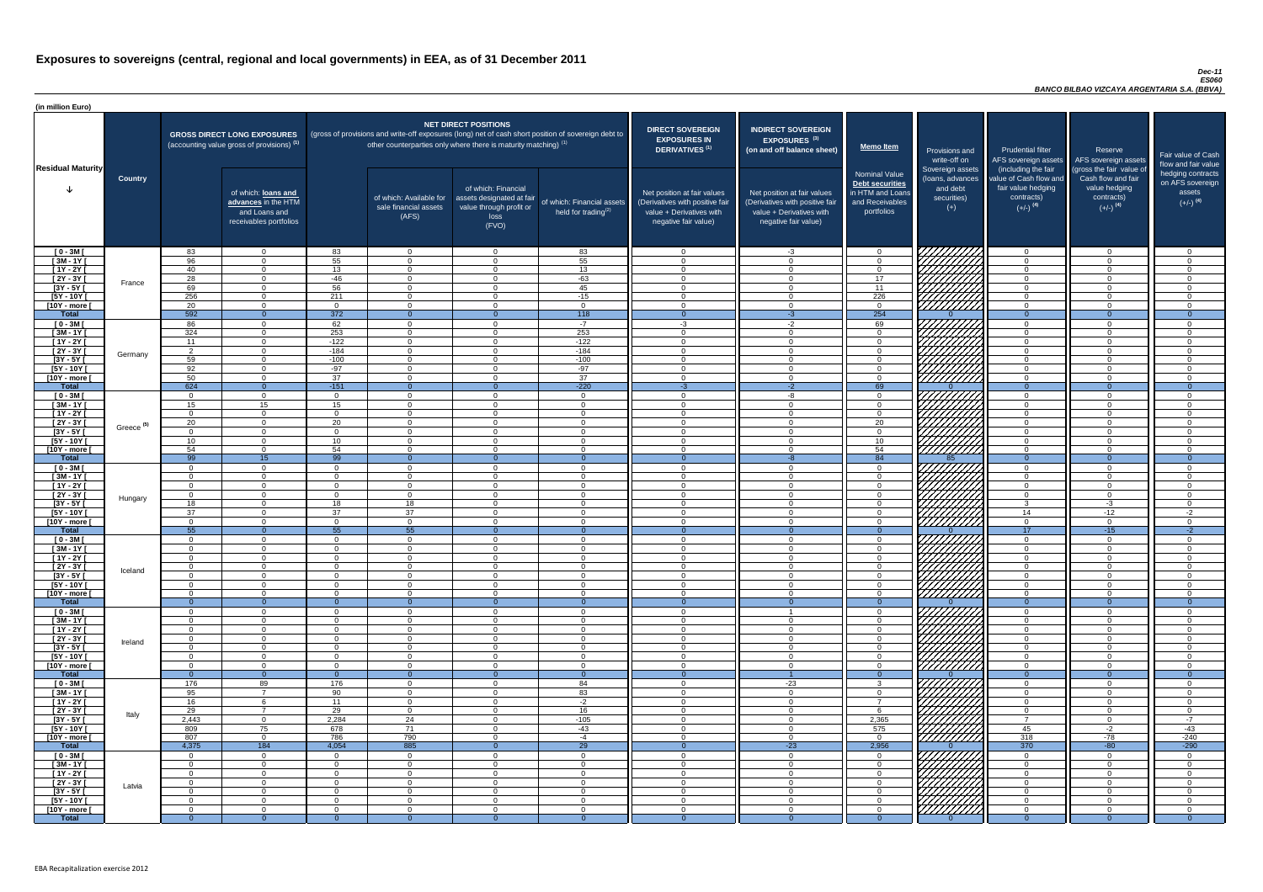#### *Dec-11 ES060 BANCO BILBAO VIZCAYA ARGENTARIA S.A. (BBVA)*

| (in million Euro)             |                       |                      |                                                                                             |                      |                                                                                                                                                                                   |                                                                                              |                                                      |                                                                                                                    |                                                                                                                    |                                                                                              |                                                                          |                                                                                                             |                                                                                                         |                                                                           |
|-------------------------------|-----------------------|----------------------|---------------------------------------------------------------------------------------------|----------------------|-----------------------------------------------------------------------------------------------------------------------------------------------------------------------------------|----------------------------------------------------------------------------------------------|------------------------------------------------------|--------------------------------------------------------------------------------------------------------------------|--------------------------------------------------------------------------------------------------------------------|----------------------------------------------------------------------------------------------|--------------------------------------------------------------------------|-------------------------------------------------------------------------------------------------------------|---------------------------------------------------------------------------------------------------------|---------------------------------------------------------------------------|
| <b>Residual Maturity</b>      |                       |                      | <b>GROSS DIRECT LONG EXPOSURES</b><br>(accounting value gross of provisions) <sup>(1)</sup> |                      | (gross of provisions and write-off exposures (long) net of cash short position of sovereign debt to<br>other counterparties only where there is maturity matching) <sup>(1)</sup> | <b>NET DIRECT POSITIONS</b>                                                                  |                                                      | <b>DIRECT SOVEREIGN</b><br><b>EXPOSURES IN</b><br><b>DERIVATIVES (1)</b>                                           | <b>INDIRECT SOVEREIGN</b><br>EXPOSURES <sup>(3)</sup><br>(on and off balance sheet)                                | <b>Memo Item</b>                                                                             | Provisions and<br>write-off on                                           | <b>Prudential filter</b>                                                                                    | Reserve<br>AFS sovereign assets AFS sovereign assets                                                    | Fair value of Cash<br>flow and fair value                                 |
|                               | <b>Country</b>        |                      | of which: loans and<br>advances in the HTM<br>and Loans and<br>receivables portfolios       |                      | of which: Available for<br>sale financial assets<br>(AFS)                                                                                                                         | of which: Financial<br>assets designated at fair<br>value through profit or<br>loss<br>(FVO) | of which: Financial assets<br>held for trading $(2)$ | Net position at fair values<br>(Derivatives with positive fair<br>value + Derivatives with<br>negative fair value) | Net position at fair values<br>(Derivatives with positive fair<br>value + Derivatives with<br>negative fair value) | <b>Nominal Value</b><br>Debt securities<br>in HTM and Loans<br>and Receivables<br>portfolios | Sovereign assets<br>(loans, advances<br>and debt<br>securities)<br>$(+)$ | (including the fair<br>value of Cash flow and<br>fair value hedging<br>contracts)<br>$(+/-)$ <sup>(4)</sup> | (gross the fair value of<br>Cash flow and fair<br>value hedging<br>contracts)<br>$(+/-)$ <sup>(4)</sup> | hedging contracts<br>on AFS sovereign<br>assets<br>$(+/-)$ <sup>(4)</sup> |
| $[0 - 3M]$                    |                       | 83                   | $\overline{0}$                                                                              | 83                   | $\overline{0}$                                                                                                                                                                    | $\Omega$                                                                                     | 83                                                   | - റ                                                                                                                | $-3$                                                                                                               | $\overline{0}$                                                                               |                                                                          | $\Omega$                                                                                                    | $\Omega$                                                                                                | _റ                                                                        |
| $[3M - 1Y]$                   |                       | 96                   | $\Omega$<br>$\Omega$                                                                        | 55                   | $\Omega$                                                                                                                                                                          | $\Omega$<br>$\Omega$                                                                         | 55                                                   | - 0<br>$\cap$                                                                                                      | $\cap$                                                                                                             | $\Omega$                                                                                     |                                                                          | $\Omega$                                                                                                    | $\Omega$<br>$\Omega$                                                                                    | $\Omega$<br>$\cap$                                                        |
| $[1Y - 2Y]$<br>$[2Y - 3Y]$    |                       | 40<br>28             | $\Omega$                                                                                    | 13<br>$-46$          | $\Omega$<br>$\Omega$                                                                                                                                                              | $\Omega$                                                                                     | 13<br>$-63$                                          | $\cap$                                                                                                             | $\Omega$                                                                                                           | $\Omega$<br>17                                                                               |                                                                          | $\Omega$<br>$\Omega$                                                                                        | $\Omega$                                                                                                | $\Omega$                                                                  |
| $[3Y - 5Y]$                   | France                | 69                   | $\Omega$                                                                                    | 56                   | $\Omega$                                                                                                                                                                          | $\Omega$                                                                                     | 45                                                   | $\cap$                                                                                                             |                                                                                                                    | 11                                                                                           | HAHARA<br>HAHARA                                                         | $\Omega$                                                                                                    | $\Omega$                                                                                                | $\cap$                                                                    |
| $[5Y - 10Y]$                  |                       | 256                  | $\overline{0}$                                                                              | 211                  | $\overline{0}$                                                                                                                                                                    | $\Omega$                                                                                     | $-15$                                                | $\sqrt{ }$                                                                                                         | $\Omega$                                                                                                           | 226                                                                                          |                                                                          | $\Omega$                                                                                                    | $\Omega$                                                                                                | $\cap$                                                                    |
| [10Y - more [                 |                       | 20                   | $\overline{0}$                                                                              | $\Omega$             | $\overline{0}$                                                                                                                                                                    | $\Omega$                                                                                     | $\overline{0}$                                       | $\sqrt{ }$                                                                                                         | $\Omega$                                                                                                           | $\overline{0}$                                                                               |                                                                          | $\overline{0}$                                                                                              | $\Omega$                                                                                                | $\cap$                                                                    |
| <b>Total</b>                  |                       | 592                  | $\overline{0}$                                                                              | 372                  | $\Omega$                                                                                                                                                                          | $\Omega$<br>$\Omega$                                                                         | 118<br>$-7$                                          | $\overline{0}$                                                                                                     | $-3$                                                                                                               | 254                                                                                          |                                                                          | $\Omega$                                                                                                    | $\Omega$<br>$\Omega$                                                                                    | $\overline{0}$<br>$\Omega$                                                |
| $[0 - 3M]$<br>$[3M - 1Y]$     |                       | 86<br>324            | $\overline{0}$<br>$\overline{0}$                                                            | 62<br>253            | $\overline{0}$<br>$\overline{0}$                                                                                                                                                  | $\Omega$                                                                                     | 253                                                  | $-3$<br>$\cap$                                                                                                     | $-2$<br>$\Omega$                                                                                                   | 69<br>$\overline{0}$                                                                         |                                                                          | $\overline{0}$<br>$\overline{0}$                                                                            | $\Omega$                                                                                                | $\Omega$                                                                  |
| $\boxed{1Y - 2Y}$             |                       | 11                   | $\Omega$                                                                                    | $-122$               | $\Omega$                                                                                                                                                                          | $\Omega$                                                                                     | $-122$                                               | $\cap$                                                                                                             |                                                                                                                    | $\Omega$                                                                                     |                                                                          | $\overline{0}$                                                                                              | $\Omega$                                                                                                | $\cap$                                                                    |
| $[2Y - 3Y]$                   | Germany               | $\overline{2}$       | $\Omega$                                                                                    | $-184$               | $\Omega$                                                                                                                                                                          | $\Omega$                                                                                     | $-184$                                               | $\Omega$                                                                                                           |                                                                                                                    | $\Omega$                                                                                     | ШША<br>ШШША                                                              | $\overline{0}$                                                                                              | $\Omega$                                                                                                | $\Omega$                                                                  |
| $[3Y - 5Y]$                   |                       | 59                   | $\Omega$                                                                                    | $-100$               | $\Omega$                                                                                                                                                                          | $\Omega$                                                                                     | $-100$                                               | - 0                                                                                                                |                                                                                                                    | $\Omega$                                                                                     |                                                                          | $\overline{0}$                                                                                              |                                                                                                         | $\cap$                                                                    |
| $[5Y - 10Y]$<br>[10Y - more [ |                       | 92<br>50             | $\Omega$<br>$\Omega$                                                                        | $-97$<br>37          | $\Omega$<br>$\Omega$                                                                                                                                                              | $\Omega$<br>$\cap$                                                                           | $-97$<br>37                                          | $\cap$<br>$\cap$                                                                                                   |                                                                                                                    | $\Omega$<br>$\Omega$                                                                         | ////////////                                                             | $\Omega$<br>$\overline{0}$                                                                                  |                                                                                                         | $\cap$                                                                    |
| <b>Total</b>                  |                       | 624                  | $\overline{0}$                                                                              | $-151$               | $\Omega$                                                                                                                                                                          |                                                                                              | $-220$                                               | $-3$                                                                                                               | $-2$                                                                                                               | 69                                                                                           |                                                                          | $\overline{0}$                                                                                              | $\Omega$                                                                                                | $\overline{0}$                                                            |
| $[0 - 3M]$                    |                       | $\Omega$             | $\Omega$                                                                                    | $\Omega$             | $\Omega$                                                                                                                                                                          | $\cap$                                                                                       | $\overline{0}$                                       | $\cap$                                                                                                             | -8                                                                                                                 | $\Omega$                                                                                     | UMMA.                                                                    | $\overline{0}$                                                                                              | $\Omega$                                                                                                | $\cap$                                                                    |
| $[3M - 1Y]$                   |                       | 15                   | 15                                                                                          | 15                   | $\Omega$                                                                                                                                                                          | $\Omega$                                                                                     | $\overline{0}$                                       | $\cap$                                                                                                             | $\Omega$                                                                                                           | $\Omega$                                                                                     |                                                                          | $\overline{0}$                                                                                              | $\Omega$                                                                                                | $\Omega$                                                                  |
| $\sqrt{1Y-2Y}$<br>$[2Y - 3Y]$ |                       | $\Omega$<br>20       | $\overline{0}$<br>$\Omega$                                                                  | $\Omega$<br>20       | $\Omega$<br>$\Omega$                                                                                                                                                              | $\Omega$<br>$\Omega$                                                                         | $\overline{0}$<br>$\Omega$                           | $\overline{0}$<br>$\cap$                                                                                           | $\cap$<br>$\cap$                                                                                                   | $\overline{0}$<br>$\overline{20}$                                                            |                                                                          | $\overline{0}$<br>$\Omega$                                                                                  | $\Omega$<br>$\Omega$                                                                                    | $\Omega$<br>- റ                                                           |
| $[3Y - 5Y]$                   | Greece <sup>(5)</sup> |                      |                                                                                             |                      |                                                                                                                                                                                   |                                                                                              |                                                      |                                                                                                                    |                                                                                                                    |                                                                                              | <i>ШША</i>                                                               |                                                                                                             |                                                                                                         |                                                                           |
| $[5Y - 10Y]$                  |                       | 10 <sup>°</sup>      | $\overline{0}$                                                                              | 10 <sup>1</sup>      | $\overline{0}$                                                                                                                                                                    | $\Omega$                                                                                     | $\Omega$                                             | - 0                                                                                                                |                                                                                                                    | 10                                                                                           | HHHA                                                                     | $\overline{0}$                                                                                              | $\Omega$                                                                                                | - 0                                                                       |
| [10Y - more [                 |                       | 54                   | $\Omega$                                                                                    | 54                   | - 0                                                                                                                                                                               | $\Omega$                                                                                     | $\Omega$                                             | $\cap$                                                                                                             |                                                                                                                    | 54                                                                                           | 7777777777                                                               | $\Omega$                                                                                                    | $\Omega$                                                                                                | ി                                                                         |
| <b>Total</b>                  |                       | 99                   | 15                                                                                          | $\overline{99}$      | - 0                                                                                                                                                                               |                                                                                              | $\Omega$                                             | $\Omega$                                                                                                           | $\Omega$                                                                                                           | 84                                                                                           | 85                                                                       | $\Omega$                                                                                                    |                                                                                                         | ി                                                                         |
| $[0 - 3M]$<br>$[3M - 1Y]$     |                       | $\Omega$<br>$\Omega$ | $\overline{0}$<br>$\overline{0}$                                                            | $\Omega$<br>$\Omega$ | $\Omega$<br>$\Omega$                                                                                                                                                              | $\Omega$<br>$\Omega$                                                                         | $\Omega$<br>$\overline{0}$                           | - റ                                                                                                                | $\Omega$                                                                                                           | $\overline{0}$<br>$\Omega$                                                                   |                                                                          | $\overline{0}$<br>$\overline{0}$                                                                            | $\Omega$<br>$\Omega$                                                                                    | $\cap$                                                                    |
| [1Y - 2Y [                    |                       | $\overline{0}$       | $\overline{0}$                                                                              | $\overline{0}$       | $\Omega$                                                                                                                                                                          | $\Omega$                                                                                     | $\overline{0}$                                       | - 0                                                                                                                | $\Omega$                                                                                                           | $\Omega$                                                                                     |                                                                          | $\overline{0}$                                                                                              | $\Omega$                                                                                                | - 0                                                                       |
| [2Y - 3Y [                    | Hungary               | $\Omega$             | $\Omega$                                                                                    | $\Omega$             | $\Omega$                                                                                                                                                                          | $\Omega$                                                                                     | $\overline{0}$                                       | $\cap$                                                                                                             | $\Omega$                                                                                                           | $\Omega$                                                                                     |                                                                          | $\overline{0}$                                                                                              | $\Omega$                                                                                                | $\cap$                                                                    |
| $[3Y - 5Y]$                   |                       | 18                   | $\Omega$                                                                                    | 18                   | 18                                                                                                                                                                                | $\Omega$                                                                                     | $\Omega$                                             | $\cap$                                                                                                             | $\cap$                                                                                                             | $\Omega$                                                                                     |                                                                          | $\mathbf{3}$                                                                                                | $-3$                                                                                                    | റ                                                                         |
| $[5Y - 10Y]$<br>[10Y - more [ |                       | 37<br>$\Omega$       | $\Omega$<br>$\Omega$                                                                        | 37<br>$\Omega$       | 37<br>$\Omega$                                                                                                                                                                    | $\Omega$<br>$\Omega$                                                                         | $\overline{0}$<br>$\Omega$                           | $\Omega$<br>$\cap$                                                                                                 | $\cap$<br>$\Omega$                                                                                                 | $\Omega$<br>$\Omega$                                                                         | HHHHA                                                                    | 14<br>$\overline{0}$                                                                                        | $-12$<br>$\Omega$                                                                                       | $-2$<br>$\Omega$                                                          |
| <b>Total</b>                  |                       | 55                   | $\overline{0}$                                                                              | 55                   | 55                                                                                                                                                                                | $\Omega$                                                                                     | $\Omega$                                             | $\Omega$                                                                                                           |                                                                                                                    | $\Omega$                                                                                     |                                                                          | 17                                                                                                          | $-15$                                                                                                   | $-2$                                                                      |
| $[0 - 3M]$                    |                       | $\Omega$             | $\overline{0}$                                                                              | $\overline{0}$       | $\overline{0}$                                                                                                                                                                    | $\Omega$                                                                                     | $\overline{0}$                                       | $\Omega$                                                                                                           | $\cap$                                                                                                             | $\overline{0}$                                                                               |                                                                          | $\overline{0}$                                                                                              | $\Omega$                                                                                                | - 0                                                                       |
| $[3M-1Y]$                     |                       | $\Omega$             | $\Omega$                                                                                    | $\Omega$             | $\Omega$                                                                                                                                                                          | $\Omega$                                                                                     | $\overline{0}$                                       | - 0                                                                                                                |                                                                                                                    | $\Omega$                                                                                     |                                                                          | $\overline{0}$                                                                                              | $\Omega$                                                                                                | $\Omega$                                                                  |
| $[1Y - 2Y]$<br>$[2Y - 3Y]$    |                       | $\Omega$<br>$\Omega$ | $\Omega$<br>$\Omega$                                                                        | $\Omega$<br>$\Omega$ | $\Omega$<br>- റ                                                                                                                                                                   | $\Omega$<br>$\Omega$                                                                         | $\Omega$<br>$\overline{0}$                           | $\Omega$<br>- 0                                                                                                    |                                                                                                                    | $\Omega$<br>$\Omega$                                                                         |                                                                          | $\Omega$<br>$\overline{0}$                                                                                  | $\Omega$<br>$\Omega$                                                                                    | $\cap$                                                                    |
| $[3Y - 5Y]$                   | Iceland               | $\Omega$             | $\Omega$                                                                                    | $\Omega$             | $\Omega$                                                                                                                                                                          | $\Omega$                                                                                     | $\Omega$                                             |                                                                                                                    |                                                                                                                    | $\Omega$                                                                                     |                                                                          | $\Omega$                                                                                                    |                                                                                                         |                                                                           |
| $[5Y - 10Y]$                  |                       | $\Omega$             | $\Omega$                                                                                    | $\Omega$             | $\Omega$                                                                                                                                                                          | $\Omega$                                                                                     | $\Omega$                                             |                                                                                                                    |                                                                                                                    | $\Omega$                                                                                     |                                                                          | $\Omega$                                                                                                    |                                                                                                         |                                                                           |
| [10Y - more [                 |                       | - 0                  | $\Omega$                                                                                    | $\Omega$             | $\Omega$                                                                                                                                                                          | $\Omega$                                                                                     | $\Omega$                                             | - വ                                                                                                                |                                                                                                                    | $\Omega$                                                                                     | //////////                                                               | $\overline{0}$                                                                                              | $\Omega$                                                                                                |                                                                           |
| <b>Total</b><br>$[0 - 3M]$    |                       | - റ<br>റ             | $\Omega$<br>$\Omega$                                                                        | $\Omega$<br>$\Omega$ | $\Omega$<br>$\Omega$                                                                                                                                                              | $\Omega$<br>$\Omega$                                                                         | $\Omega$<br>$\Omega$                                 | $\Omega$                                                                                                           |                                                                                                                    | $\Omega$<br>$\Omega$                                                                         |                                                                          | $\Omega$<br>$\overline{0}$                                                                                  | $\Omega$<br>$\Omega$                                                                                    | $\Omega$<br>$\cap$                                                        |
| $[3M - 1Y]$                   |                       | $\Omega$             | $\overline{0}$                                                                              | $\Omega$             | $\Omega$                                                                                                                                                                          | $\Omega$                                                                                     | $\overline{0}$                                       | $\cap$                                                                                                             | ∩                                                                                                                  | $\Omega$                                                                                     |                                                                          | $\overline{0}$                                                                                              | $\Omega$                                                                                                | $\cap$                                                                    |
| $[1Y - 2Y]$                   |                       | $\Omega$             | $\overline{0}$                                                                              | $\Omega$             | $\Omega$                                                                                                                                                                          | $\Omega$                                                                                     | $\Omega$                                             | $\cap$                                                                                                             | $\cap$                                                                                                             | $\Omega$                                                                                     | UMMA.                                                                    | $\overline{0}$                                                                                              | $\Omega$                                                                                                | $\Omega$                                                                  |
| $[2Y - 3Y]$                   | Ireland               | $\Omega$             | $\Omega$                                                                                    | $\Omega$             | $\Omega$                                                                                                                                                                          | $\Omega$                                                                                     | $\overline{0}$                                       | $\cap$                                                                                                             | $\Omega$                                                                                                           | $\Omega$                                                                                     |                                                                          | $\overline{0}$                                                                                              | $\Omega$                                                                                                | $\Omega$                                                                  |
| $[3Y - 5Y]$<br>$[5Y - 10Y]$   |                       | $\Omega$<br>$\Omega$ | $\Omega$<br>$\Omega$                                                                        | $\Omega$<br>$\Omega$ | $\Omega$<br>$\Omega$                                                                                                                                                              | $\Omega$<br>$\Omega$                                                                         | $\Omega$                                             | - 0<br>$\cap$                                                                                                      | $\Omega$<br>$\Omega$                                                                                               | $\overline{0}$                                                                               | 777777777                                                                | $\overline{0}$                                                                                              | $\Omega$<br>$\Omega$                                                                                    | $\Omega$<br>$\Omega$                                                      |
| [10Y - more [                 |                       | $\Omega$             | $\Omega$                                                                                    | $\Omega$             | $\Omega$                                                                                                                                                                          | $\Omega$                                                                                     | $\overline{0}$<br>$\Omega$                           | $\cap$                                                                                                             | $\Omega$                                                                                                           | $\overline{0}$<br>$\Omega$                                                                   | <u>77777777</u>                                                          | $\overline{0}$<br>$\overline{0}$                                                                            | $\Omega$                                                                                                | $\Omega$                                                                  |
| <b>Total</b>                  |                       |                      | $\Omega$                                                                                    |                      | - റ                                                                                                                                                                               |                                                                                              | $\Omega$                                             |                                                                                                                    |                                                                                                                    |                                                                                              |                                                                          | $\Omega$                                                                                                    |                                                                                                         |                                                                           |
| $[0 - 3M]$                    |                       | 176                  | 89                                                                                          | 176                  | $\Omega$                                                                                                                                                                          | $\Omega$                                                                                     | 84                                                   | - വ                                                                                                                | $-23$                                                                                                              | -3                                                                                           | 77777                                                                    | $\overline{0}$                                                                                              | $\Omega$                                                                                                | $\cap$                                                                    |
| $[3M - 1Y]$                   |                       | 95                   | $\overline{7}$                                                                              | 90                   | $\Omega$                                                                                                                                                                          | $\Omega$                                                                                     | 83                                                   | - 0                                                                                                                | $\Omega$                                                                                                           | $\Omega$<br>$\overline{7}$                                                                   |                                                                          | $\overline{0}$                                                                                              | $\Omega$                                                                                                | $\cap$                                                                    |
| $[1Y - 2Y]$<br>$[2Y - 3Y]$    |                       | 16<br>29             | -6<br>$\overline{7}$                                                                        | 11<br>29             | $\Omega$<br>$\Omega$                                                                                                                                                              | $\Omega$<br>$\Omega$                                                                         | $-2$<br>16                                           | - 0<br>- റ                                                                                                         | $\Omega$<br>$\Omega$                                                                                               | -6                                                                                           |                                                                          | $\overline{0}$<br>$\overline{0}$                                                                            | $\Omega$<br>$\Omega$                                                                                    | - 0<br>- 0                                                                |
| $[3Y - 5Y]$                   | Italy                 | 2,443                | $\Omega$                                                                                    | 2,284                | 24                                                                                                                                                                                | $\Omega$                                                                                     | $-105$                                               | $\cap$                                                                                                             | $\cap$                                                                                                             | 2,365                                                                                        |                                                                          | $\overline{7}$                                                                                              | $\Omega$                                                                                                | $-7$                                                                      |
| $[5Y - 10Y]$                  |                       | 809                  | 75                                                                                          | 678                  | 71                                                                                                                                                                                | $\Omega$                                                                                     | $-43$                                                | - റ                                                                                                                | $\Omega$                                                                                                           | 575                                                                                          | , HHHH                                                                   | 45                                                                                                          | $-2$                                                                                                    | $-43$                                                                     |
| [10Y - more [                 |                       | 807                  | $\Omega$                                                                                    | 786                  | 790                                                                                                                                                                               | $\Omega$                                                                                     | $-4$                                                 | $\Omega$                                                                                                           | $\Omega$                                                                                                           | $\Omega$                                                                                     |                                                                          | 318                                                                                                         | $-78$                                                                                                   | $-240$                                                                    |
| <b>Total</b><br>$[0 - 3M]$    |                       | 4,375<br>$\Omega$    | 184<br>$\overline{0}$                                                                       | 4,054<br>$\Omega$    | 885<br>$\Omega$                                                                                                                                                                   | $\Omega$                                                                                     | 29<br>$\Omega$                                       | $\cap$                                                                                                             | $-23$<br>$\cap$                                                                                                    | 2,956<br>$\Omega$                                                                            | VIIIIIIII                                                                | 370<br>$\Omega$                                                                                             | $-80$<br>$\Omega$                                                                                       | $-290$                                                                    |
| $[3M - 1Y]$                   |                       | $\Omega$             | $\overline{0}$                                                                              | $\Omega$             | $\overline{0}$                                                                                                                                                                    | $\Omega$                                                                                     | $\overline{0}$                                       | $\Omega$                                                                                                           | $\Omega$                                                                                                           | $\Omega$                                                                                     |                                                                          | $\overline{0}$                                                                                              | $\Omega$                                                                                                | $\cap$                                                                    |
| $[1Y - 2Y]$                   |                       | $\Omega$             | $\Omega$                                                                                    | $\Omega$             | $\Omega$                                                                                                                                                                          | $\Omega$                                                                                     | $\overline{0}$                                       | $\cap$                                                                                                             |                                                                                                                    | $\Omega$                                                                                     |                                                                          | $\Omega$                                                                                                    | $\Omega$                                                                                                | $\cap$                                                                    |
| $[2Y - 3Y]$                   | Latvia                | $\Omega$             | $\overline{0}$                                                                              | $\Omega$             | $\Omega$                                                                                                                                                                          | $\Omega$                                                                                     | $\overline{0}$                                       | $\Omega$                                                                                                           |                                                                                                                    | $\Omega$                                                                                     |                                                                          | $\Omega$                                                                                                    | $\Omega$                                                                                                | $\Omega$                                                                  |
| $[3Y - 5Y]$                   |                       | $\Omega$             | $\Omega$                                                                                    | $\Omega$             | $\Omega$                                                                                                                                                                          | $\Omega$                                                                                     | $\overline{0}$                                       | $\cap$                                                                                                             |                                                                                                                    | $\Omega$                                                                                     | HATHAR<br>HATHAR                                                         | $\Omega$                                                                                                    | $\Omega$                                                                                                | $\cap$<br>$\Omega$                                                        |
| [5Y - 10Y [<br>[10Y - more [  |                       | $\Omega$<br>- 0      | $\Omega$<br>$\Omega$                                                                        | $\Omega$<br>$\Omega$ | $\Omega$<br>$\Omega$                                                                                                                                                              | $\Omega$<br>$\Omega$                                                                         | $\overline{0}$<br>$\Omega$                           | $\cap$<br>$\Omega$                                                                                                 |                                                                                                                    | $\Omega$<br>$\Omega$                                                                         |                                                                          | $\Omega$<br>$\Omega$                                                                                        | $\Omega$                                                                                                | $\Omega$                                                                  |
| <b>Total</b>                  |                       | -0                   | $\Omega$                                                                                    | $\Omega$             | - 0                                                                                                                                                                               | $\Omega$                                                                                     | $\Omega$                                             |                                                                                                                    |                                                                                                                    | $\Omega$                                                                                     |                                                                          |                                                                                                             |                                                                                                         | $\Omega$                                                                  |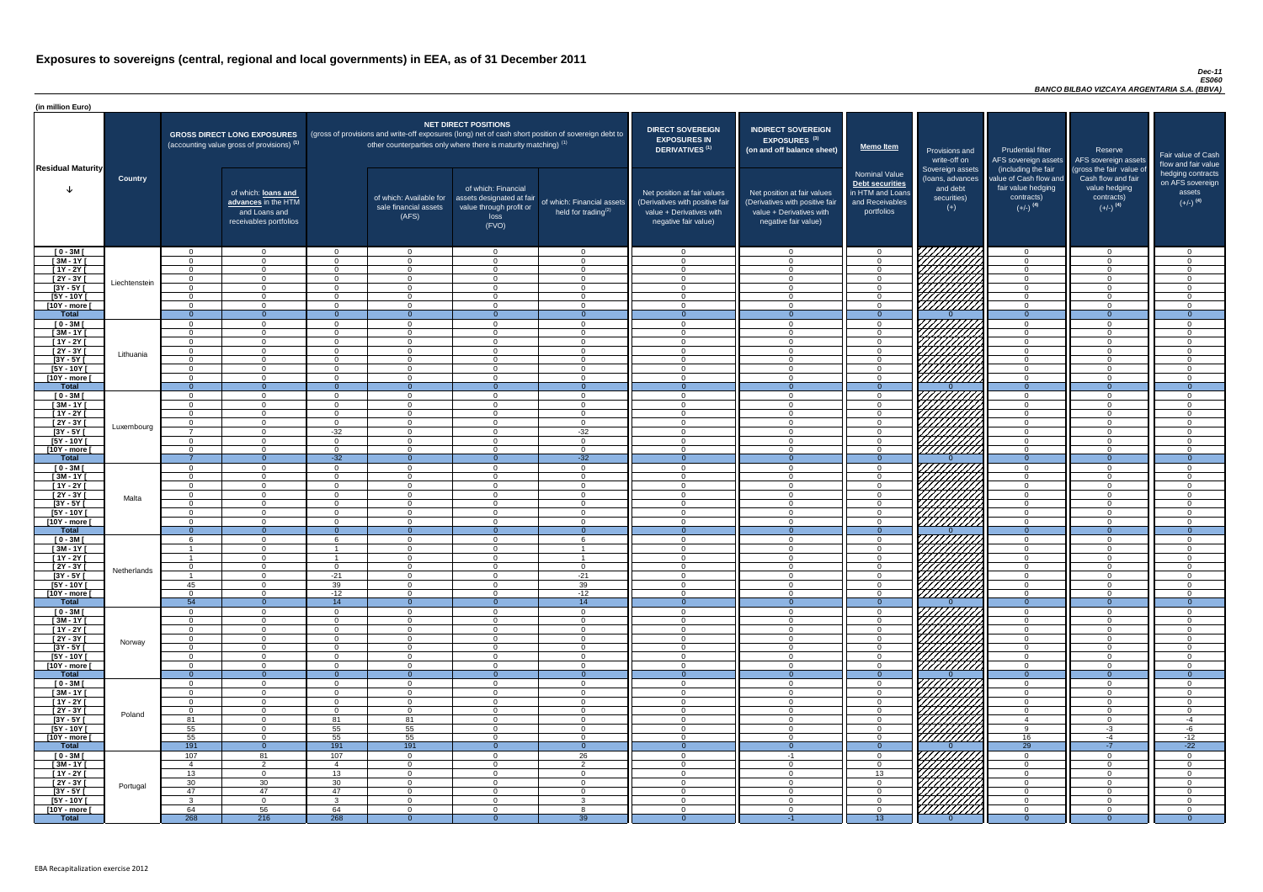#### *Dec-11 ES060 BANCO BILBAO VIZCAYA ARGENTARIA S.A. (BBVA)*

| <b>DIRECT SOVEREIGN</b><br><b>EXPOSURES IN</b><br><b>DERIVATIVES<sup>(1)</sup></b><br>Net position at fair values<br>(Derivatives with positive fair<br>value + Derivatives with<br>negative fair value) | <b>INDIRECT SOVEREIGN</b><br><b>EXPOSURES<sup>(3)</sup></b><br>(on and off balance sheet)<br>Net position at fair values<br>(Derivatives with positive fair<br>$value + Derivative$ s with<br>negative fair value) | <b>Memo Item</b><br><b>Nominal Value</b><br>Debt securities<br>in HTM and Loans<br>and Receivables<br>portfolios | Provisions and<br>write-off on<br>Sovereign assets<br>(loans, advances<br>and debt<br>securities)<br>$(+)$ | <b>Prudential filter</b><br>AFS sovereign assets<br>(including the fair<br>value of Cash flow and<br>fair value hedging<br>contracts)<br>$(+/-)$ <sup>(4)</sup> | Reserve<br>AFS sovereign assets<br>(gross the fair value of<br>Cash flow and fair<br>value hedging<br>contracts)<br>$(+/-)$ <sup>(4)</sup> | Fair value of Cash<br>flow and fair value<br>hedging contracts<br>on AFS sovereign<br>assets<br>$(+/-)$ <sup>(4)</sup> |
|----------------------------------------------------------------------------------------------------------------------------------------------------------------------------------------------------------|--------------------------------------------------------------------------------------------------------------------------------------------------------------------------------------------------------------------|------------------------------------------------------------------------------------------------------------------|------------------------------------------------------------------------------------------------------------|-----------------------------------------------------------------------------------------------------------------------------------------------------------------|--------------------------------------------------------------------------------------------------------------------------------------------|------------------------------------------------------------------------------------------------------------------------|
| 0                                                                                                                                                                                                        | $\overline{0}$                                                                                                                                                                                                     | $\mathbf 0$                                                                                                      |                                                                                                            | $\overline{0}$                                                                                                                                                  | $\overline{0}$                                                                                                                             | 0                                                                                                                      |
| $\overline{0}$                                                                                                                                                                                           | $\mathbf 0$                                                                                                                                                                                                        | $\mathbf 0$                                                                                                      |                                                                                                            | $\mathbf 0$                                                                                                                                                     | $\overline{0}$                                                                                                                             | $\overline{0}$                                                                                                         |
| $\pmb{0}$                                                                                                                                                                                                | $\pmb{0}$                                                                                                                                                                                                          | $\pmb{0}$                                                                                                        |                                                                                                            | $\pmb{0}$                                                                                                                                                       | $\mathbf 0$                                                                                                                                | 0                                                                                                                      |
| $\mathbf 0$                                                                                                                                                                                              | $\mathbf 0$                                                                                                                                                                                                        | $\mathbf 0$                                                                                                      |                                                                                                            | $\mathbf 0$                                                                                                                                                     | $\mathbf 0$                                                                                                                                | $\overline{0}$                                                                                                         |
| $\mathbf 0$<br>$\mathbf 0$                                                                                                                                                                               | $\mathbf 0$<br>$\mathbf 0$                                                                                                                                                                                         | $\mathbf 0$                                                                                                      |                                                                                                            | $\mathbf 0$<br>$\mathbf 0$                                                                                                                                      | $\mathbf 0$<br>$\mathbf 0$                                                                                                                 | 0<br>0                                                                                                                 |
| $\mathbf 0$                                                                                                                                                                                              | $\mathbf 0$                                                                                                                                                                                                        | $\mathbf 0$<br>$\mathbf 0$                                                                                       |                                                                                                            | $\mathbf 0$                                                                                                                                                     | $\mathbf 0$                                                                                                                                | 0                                                                                                                      |
| $\mathbf{0}$                                                                                                                                                                                             | $\overline{0}$                                                                                                                                                                                                     | $\overline{0}$                                                                                                   | $\Omega$                                                                                                   | $\overline{O}$                                                                                                                                                  | $\overline{0}$                                                                                                                             | $\overline{0}$                                                                                                         |
| $\mathbf 0$                                                                                                                                                                                              | $\mathbf 0$                                                                                                                                                                                                        | $\mathbf 0$                                                                                                      |                                                                                                            | $\mathbf 0$                                                                                                                                                     | $\mathbf 0$                                                                                                                                | 0                                                                                                                      |
| $\mathbf 0$                                                                                                                                                                                              | $\mathbf 0$                                                                                                                                                                                                        | $\mathbf 0$                                                                                                      |                                                                                                            | $\mathbf 0$                                                                                                                                                     | $\mathbf 0$                                                                                                                                | 0                                                                                                                      |
| $\mathbf 0$                                                                                                                                                                                              | $\mathbf 0$                                                                                                                                                                                                        | $\mathbf 0$                                                                                                      |                                                                                                            | $\mathbf 0$                                                                                                                                                     | $\mathbf 0$                                                                                                                                | 0                                                                                                                      |
| $\mathbf 0$<br>$\mathbf 0$                                                                                                                                                                               | $\mathbf 0$<br>$\mathbf 0$                                                                                                                                                                                         | $\mathbf 0$<br>$\mathbf 0$                                                                                       |                                                                                                            | $\mathbf 0$<br>$\mathbf 0$                                                                                                                                      | $\mathbf 0$<br>$\mathbf 0$                                                                                                                 | 0<br>0                                                                                                                 |
| $\mathbf 0$                                                                                                                                                                                              | $\mathbf 0$                                                                                                                                                                                                        | $\mathsf 0$                                                                                                      |                                                                                                            | $\mathbf 0$                                                                                                                                                     | $\mathbf 0$                                                                                                                                | $\mathbf 0$                                                                                                            |
| $\mathbf 0$                                                                                                                                                                                              | $\mathbf 0$                                                                                                                                                                                                        | $\mathbf 0$                                                                                                      |                                                                                                            | $\mathbf 0$                                                                                                                                                     | $\mathbf 0$                                                                                                                                | 0                                                                                                                      |
| $\overline{0}$                                                                                                                                                                                           | $\overline{0}$                                                                                                                                                                                                     | $\overline{0}$                                                                                                   | $\Omega$                                                                                                   | $\overline{0}$                                                                                                                                                  | $\overline{0}$                                                                                                                             | $\overline{0}$                                                                                                         |
| $\mathbf 0$                                                                                                                                                                                              | $\mathbf 0$                                                                                                                                                                                                        | $\mathbf 0$                                                                                                      |                                                                                                            | $\mathbf 0$                                                                                                                                                     | $\mathbf 0$                                                                                                                                | 0                                                                                                                      |
| $\mathbf 0$                                                                                                                                                                                              | $\mathbf 0$                                                                                                                                                                                                        | $\mathbf 0$                                                                                                      |                                                                                                            | $\mathbf 0$                                                                                                                                                     | $\mathbf 0$                                                                                                                                | 0                                                                                                                      |
| $\mathbf 0$                                                                                                                                                                                              | 0                                                                                                                                                                                                                  | $\mathbf 0$                                                                                                      |                                                                                                            | $\mathbf 0$                                                                                                                                                     | $\mathbf 0$                                                                                                                                | 0                                                                                                                      |
| $\mathbf 0$<br>$\mathbf 0$                                                                                                                                                                               | 0<br>$\mathbf 0$                                                                                                                                                                                                   | $\mathbf 0$<br>$\mathbf 0$                                                                                       |                                                                                                            | $\mathbf 0$<br>0                                                                                                                                                | $\Omega$<br>$\mathbf 0$                                                                                                                    | 0<br>0                                                                                                                 |
| 0                                                                                                                                                                                                        | $\overline{0}$                                                                                                                                                                                                     | $\mathbf 0$                                                                                                      |                                                                                                            | 0                                                                                                                                                               | 0                                                                                                                                          | 0                                                                                                                      |
| $\mathbf 0$                                                                                                                                                                                              | $\mathbf 0$                                                                                                                                                                                                        | $\mathbf 0$                                                                                                      |                                                                                                            | 0                                                                                                                                                               | $\mathbf 0$                                                                                                                                | 0                                                                                                                      |
| $\mathbf{0}$                                                                                                                                                                                             | $\overline{0}$                                                                                                                                                                                                     | $\overline{0}$                                                                                                   | 0                                                                                                          | $\overline{O}$                                                                                                                                                  | $\overline{0}$                                                                                                                             | $\mathbf{0}$                                                                                                           |
| 0                                                                                                                                                                                                        | $\mathbf 0$                                                                                                                                                                                                        | $\mathbf 0$                                                                                                      |                                                                                                            | $\mathbf 0$                                                                                                                                                     | $\mathbf 0$                                                                                                                                | 0                                                                                                                      |
| 0                                                                                                                                                                                                        | $\mathbf 0$                                                                                                                                                                                                        | $\mathbf 0$                                                                                                      |                                                                                                            | $\mathbf 0$                                                                                                                                                     | $\overline{0}$                                                                                                                             | 0                                                                                                                      |
| 0                                                                                                                                                                                                        | $\mathbf 0$                                                                                                                                                                                                        | $\mathbf 0$                                                                                                      |                                                                                                            | $\mathbf 0$                                                                                                                                                     | $\overline{0}$                                                                                                                             | 0                                                                                                                      |
| $\mathbf 0$<br>$\mathbf 0$                                                                                                                                                                               | $\mathbf 0$<br>$\mathbf 0$                                                                                                                                                                                         | $\mathbf 0$<br>$\mathbf 0$                                                                                       |                                                                                                            | $\mathbf 0$<br>$\pmb{0}$                                                                                                                                        | $\mathbf 0$<br>$\mathbf 0$                                                                                                                 | 0<br>0                                                                                                                 |
| $\mathbf 0$                                                                                                                                                                                              | $\mathbf 0$                                                                                                                                                                                                        | $\mathbf 0$                                                                                                      |                                                                                                            | $\mathbf 0$                                                                                                                                                     | $\mathbf 0$                                                                                                                                | 0                                                                                                                      |
| 0                                                                                                                                                                                                        | $\mathbf 0$                                                                                                                                                                                                        | $\mathbf 0$                                                                                                      |                                                                                                            | $\mathbf 0$                                                                                                                                                     | 0                                                                                                                                          | 0                                                                                                                      |
| $\overline{0}$                                                                                                                                                                                           | $\overline{0}$                                                                                                                                                                                                     | $\mathbf{0}$                                                                                                     | $\overline{0}$                                                                                             | $\overline{0}$                                                                                                                                                  | $\overline{0}$                                                                                                                             | $\mathbf{0}$                                                                                                           |
| 0                                                                                                                                                                                                        | $\mathbf 0$                                                                                                                                                                                                        | $\pmb{0}$                                                                                                        |                                                                                                            | $\mathbf 0$                                                                                                                                                     | 0                                                                                                                                          | 0                                                                                                                      |
| $\mathbf 0$                                                                                                                                                                                              | $\mathbf 0$                                                                                                                                                                                                        | $\pmb{0}$                                                                                                        |                                                                                                            | 0                                                                                                                                                               | $\mathbf 0$                                                                                                                                | 0                                                                                                                      |
| $\mathbf 0$<br>$\mathbf 0$                                                                                                                                                                               | $\mathbf 0$<br>$\mathbf 0$                                                                                                                                                                                         | $\mathbf 0$<br>$\mathbf 0$                                                                                       |                                                                                                            | $\mathbf 0$<br>$\mathbf 0$                                                                                                                                      | 0<br>0                                                                                                                                     | 0<br>0                                                                                                                 |
| 0                                                                                                                                                                                                        | $\mathbf 0$                                                                                                                                                                                                        | $\mathbf 0$                                                                                                      |                                                                                                            | $\mathbf 0$                                                                                                                                                     | 0                                                                                                                                          | 0                                                                                                                      |
| 0                                                                                                                                                                                                        | 0                                                                                                                                                                                                                  | $\mathsf 0$                                                                                                      |                                                                                                            | $\mathbf 0$                                                                                                                                                     | 0                                                                                                                                          | 0                                                                                                                      |
| 0                                                                                                                                                                                                        | $\mathbf 0$                                                                                                                                                                                                        | $\mathbf 0$                                                                                                      |                                                                                                            | $\mathbf 0$                                                                                                                                                     | 0                                                                                                                                          | 0                                                                                                                      |
| $\mathbf{0}$                                                                                                                                                                                             | $\overline{0}$                                                                                                                                                                                                     | $\overline{0}$                                                                                                   | $\mathbf{0}$                                                                                               | $\overline{O}$                                                                                                                                                  | $\overline{0}$                                                                                                                             | $\overline{0}$                                                                                                         |
| 0                                                                                                                                                                                                        | 0                                                                                                                                                                                                                  | $\mathbf 0$                                                                                                      |                                                                                                            | $\mathbf 0$                                                                                                                                                     | $\mathbf{0}$                                                                                                                               | 0                                                                                                                      |
| 0<br>0                                                                                                                                                                                                   | 0<br>0                                                                                                                                                                                                             | $\mathbf 0$<br>$\mathbf 0$                                                                                       |                                                                                                            | 0<br>0                                                                                                                                                          | 0<br>$\Omega$                                                                                                                              | 0<br>0                                                                                                                 |
| $\mathbf{0}$                                                                                                                                                                                             | 0                                                                                                                                                                                                                  | $\mathbf 0$                                                                                                      |                                                                                                            | 0                                                                                                                                                               | $\Omega$                                                                                                                                   | 0                                                                                                                      |
| 0                                                                                                                                                                                                        | 0                                                                                                                                                                                                                  | $\mathbf 0$                                                                                                      |                                                                                                            | 0                                                                                                                                                               | 0                                                                                                                                          | 0                                                                                                                      |
| $\mathbf 0$                                                                                                                                                                                              | $\mathbf 0$                                                                                                                                                                                                        | $\boldsymbol{0}$                                                                                                 |                                                                                                            | $\mathbf 0$                                                                                                                                                     | $\mathbf 0$                                                                                                                                | 0                                                                                                                      |
| $\mathbf 0$                                                                                                                                                                                              | 0                                                                                                                                                                                                                  | $\mathbf 0$                                                                                                      |                                                                                                            | $\mathbf 0$                                                                                                                                                     | 0                                                                                                                                          | 0                                                                                                                      |
| $\overline{0}$                                                                                                                                                                                           | $\overline{0}$                                                                                                                                                                                                     | $\overline{0}$                                                                                                   | $\mathbf{0}$<br>---                                                                                        | $\overline{0}$                                                                                                                                                  | $\overline{0}$                                                                                                                             | $\overline{0}$                                                                                                         |
| 0<br>$\mathbf 0$                                                                                                                                                                                         | 0<br>$\mathbf 0$                                                                                                                                                                                                   | $\mathbf 0$<br>$\mathbf 0$                                                                                       |                                                                                                            | $\mathbf 0$<br>$\mathbf 0$                                                                                                                                      | 0<br>$\overline{0}$                                                                                                                        | 0<br>0                                                                                                                 |
| 0                                                                                                                                                                                                        | $\mathbf 0$                                                                                                                                                                                                        | $\mathbf 0$                                                                                                      |                                                                                                            | $\mathbf 0$                                                                                                                                                     | 0                                                                                                                                          | 0                                                                                                                      |
| $\mathbf 0$                                                                                                                                                                                              | $\pmb{0}$                                                                                                                                                                                                          | $\boldsymbol{0}$                                                                                                 |                                                                                                            | $\pmb{0}$                                                                                                                                                       | $\overline{0}$                                                                                                                             | 0                                                                                                                      |
| $\mathbf 0$                                                                                                                                                                                              | $\mathbf 0$                                                                                                                                                                                                        | $\boldsymbol{0}$                                                                                                 |                                                                                                            | $\overline{\mathbf{4}}$                                                                                                                                         | $\mathbf 0$                                                                                                                                | $-4$                                                                                                                   |
| $\mathbf 0$                                                                                                                                                                                              | $\mathbf 0$                                                                                                                                                                                                        | $\mathbf 0$                                                                                                      |                                                                                                            | 9                                                                                                                                                               | $-3$                                                                                                                                       | $-6$                                                                                                                   |
| 0                                                                                                                                                                                                        | $\mathbf 0$                                                                                                                                                                                                        | $\mathbf 0$                                                                                                      |                                                                                                            | 16                                                                                                                                                              | $-4$                                                                                                                                       | $-12$                                                                                                                  |
| $\mathbf{0}$                                                                                                                                                                                             | $\overline{0}$                                                                                                                                                                                                     | $\mathbf{0}$                                                                                                     | $\overline{0}$                                                                                             | 29                                                                                                                                                              | $-7$                                                                                                                                       | $-22$                                                                                                                  |
| 0<br>$\Omega$                                                                                                                                                                                            | -1<br>$\Omega$                                                                                                                                                                                                     | $\mathbf 0$<br>$\Omega$                                                                                          |                                                                                                            | 0<br>$\Omega$                                                                                                                                                   | $\mathbf 0$<br>$\overline{0}$                                                                                                              | 0<br>$\Omega$                                                                                                          |
| $\mathsf 0$                                                                                                                                                                                              | $\mathbf 0$                                                                                                                                                                                                        | 13                                                                                                               |                                                                                                            | $\overline{0}$                                                                                                                                                  | $\overline{0}$                                                                                                                             | $\mathbf 0$                                                                                                            |
| $\mathbf 0$                                                                                                                                                                                              | $\mathbf 0$                                                                                                                                                                                                        | $\overline{0}$                                                                                                   |                                                                                                            | $\mathbf 0$                                                                                                                                                     | $\mathbf 0$                                                                                                                                | $\overline{0}$                                                                                                         |
| $\mathbf 0$                                                                                                                                                                                              | $\mathbf 0$                                                                                                                                                                                                        | $\overline{0}$                                                                                                   |                                                                                                            | $\mathbf 0$                                                                                                                                                     | $\overline{0}$                                                                                                                             | $\overline{0}$                                                                                                         |
| $\mathbf 0$                                                                                                                                                                                              | $\overline{0}$                                                                                                                                                                                                     | $\mathsf{O}\xspace$                                                                                              |                                                                                                            | $\overline{0}$                                                                                                                                                  | $\overline{0}$                                                                                                                             | $\overline{0}$                                                                                                         |
| $\mathbf 0$                                                                                                                                                                                              | $\overline{0}$                                                                                                                                                                                                     | $\boldsymbol{0}$                                                                                                 |                                                                                                            | $\overline{0}$                                                                                                                                                  | $\overline{0}$                                                                                                                             | $\overline{0}$                                                                                                         |
| $\overline{0}$                                                                                                                                                                                           | $-1$                                                                                                                                                                                                               | $\overline{13}$                                                                                                  | $\overline{0}$                                                                                             | $\overline{0}$                                                                                                                                                  | $\overline{0}$                                                                                                                             | $\overline{0}$                                                                                                         |

| (in million Euro)             |                |                      |                                                                                       |                      |                                                                                                     |                                                                                              |                                                               |                                                                                                                    |                                                                                                                    |                                                                                              |                                                                          |                                                                                                             |                                                                                                         |                                            |
|-------------------------------|----------------|----------------------|---------------------------------------------------------------------------------------|----------------------|-----------------------------------------------------------------------------------------------------|----------------------------------------------------------------------------------------------|---------------------------------------------------------------|--------------------------------------------------------------------------------------------------------------------|--------------------------------------------------------------------------------------------------------------------|----------------------------------------------------------------------------------------------|--------------------------------------------------------------------------|-------------------------------------------------------------------------------------------------------------|---------------------------------------------------------------------------------------------------------|--------------------------------------------|
|                               |                |                      | <b>GROSS DIRECT LONG EXPOSURES</b>                                                    |                      | (gross of provisions and write-off exposures (long) net of cash short position of sovereign debt to | <b>NET DIRECT POSITIONS</b>                                                                  |                                                               | <b>DIRECT SOVEREIGN</b>                                                                                            | <b>INDIRECT SOVEREIGN</b>                                                                                          |                                                                                              |                                                                          |                                                                                                             |                                                                                                         |                                            |
|                               |                |                      | (accounting value gross of provisions) <sup>(1)</sup>                                 |                      | other counterparties only where there is maturity matching) <sup>(1)</sup>                          |                                                                                              |                                                               | <b>EXPOSURES IN</b><br><b>DERIVATIVES (1)</b>                                                                      | <b>EXPOSURES<sup>(3)</sup></b><br>(on and off balance sheet)                                                       | <b>Memo Item</b>                                                                             | Provisions and<br>write-off on                                           | <b>Prudential filter</b><br>AFS sovereign assets                                                            | Reserve<br>AFS sovereign assets                                                                         | Fair value<br>flow and fa                  |
| <b>Residual Maturity</b>      | <b>Country</b> |                      | of which: loans and<br>advances in the HTM<br>and Loans and<br>receivables portfolios |                      | of which: Available for<br>sale financial assets<br>(AFS)                                           | of which: Financial<br>assets designated at fair<br>value through profit or<br>loss<br>(FVO) | of which: Financial assets<br>held for trading <sup>(2)</sup> | Net position at fair values<br>(Derivatives with positive fair<br>value + Derivatives with<br>negative fair value) | Net position at fair values<br>(Derivatives with positive fair<br>value + Derivatives with<br>negative fair value) | <b>Nominal Value</b><br>Debt securities<br>in HTM and Loans<br>and Receivables<br>portfolios | Sovereign assets<br>(loans, advances<br>and debt<br>securities)<br>$(+)$ | (including the fair<br>value of Cash flow and<br>fair value hedging<br>contracts)<br>$(+/-)$ <sup>(4)</sup> | (gross the fair value of<br>Cash flow and fair<br>value hedging<br>contracts)<br>$(+/-)$ <sup>(4)</sup> | hedging co<br>on AFS sc<br>asse<br>$(+/-)$ |
| $[0 - 3M]$                    |                | $\Omega$             | $\Omega$                                                                              | $\cap$               | $\overline{0}$                                                                                      | - 0                                                                                          | $\overline{0}$                                                | $\Omega$                                                                                                           | $\Omega$                                                                                                           | $\overline{\mathbf{0}}$                                                                      | HANG SANG                                                                | $\cap$                                                                                                      | $\overline{0}$                                                                                          |                                            |
| $[3M-1Y]$<br>$[1Y - 2Y]$      |                | $\cap$<br>$\cap$     | $\Omega$<br>$\Omega$                                                                  | $\cap$<br>$\bigcap$  | $\Omega$<br>$\overline{0}$                                                                          | $\cap$<br>$\cap$                                                                             | $\Omega$<br>$\Omega$                                          | $\cap$<br>$\cap$                                                                                                   | $\Omega$<br>$\Omega$                                                                                               | $\Omega$<br>$\Omega$                                                                         |                                                                          | റ<br>$\Omega$                                                                                               | $\Omega$<br>$\cap$                                                                                      |                                            |
| $\boxed{2Y - 3Y}$             | Liechtenstein  | $\Omega$             | $\overline{0}$                                                                        | $\Omega$             | $\overline{0}$                                                                                      | $\Omega$                                                                                     | $\overline{0}$                                                | $\cap$                                                                                                             | $\overline{0}$                                                                                                     | $\overline{0}$                                                                               |                                                                          | $\Omega$                                                                                                    | $\Omega$                                                                                                |                                            |
| $[3Y - 5Y]$<br>$[5Y - 10Y]$   |                | $\Omega$<br>$\Omega$ | $\Omega$<br>$\Omega$                                                                  | $\cap$<br>$\cap$     | $\Omega$<br>$\Omega$                                                                                | $\cap$<br>$\cap$                                                                             | $\Omega$<br>$\Omega$                                          | $\cap$<br>$\cap$                                                                                                   | $\Omega$<br>$\Omega$                                                                                               | <b>O</b><br>$\Omega$                                                                         |                                                                          | $\cap$<br>$\cap$                                                                                            | $\Omega$<br>$\Omega$                                                                                    |                                            |
| [10Y - more [                 |                | $\Omega$             | $\overline{0}$                                                                        | $\Omega$             | $\overline{0}$                                                                                      | $\cap$                                                                                       | $\overline{0}$                                                | $\cap$                                                                                                             | $\overline{0}$                                                                                                     | $\overline{\mathbf{0}}$                                                                      |                                                                          | $\Omega$                                                                                                    | $\Omega$                                                                                                |                                            |
| <b>Total</b>                  |                | $\Omega$<br>$\Omega$ | $\Omega$                                                                              | - 0<br>$\sqrt{ }$    | $\overline{0}$<br>$\Omega$                                                                          | $\Omega$<br>$\cap$                                                                           | $\Omega$<br>$\Omega$                                          | $\Omega$<br>$\cap$                                                                                                 | $\Omega$                                                                                                           | $\Omega$<br>$\Omega$                                                                         |                                                                          | $\Omega$<br>$\Omega$                                                                                        | $\Omega$<br>$\Omega$                                                                                    |                                            |
| $[0 - 3M]$<br>$[3M - 1Y]$     |                |                      | $\Omega$<br>$\Omega$                                                                  |                      | $\Omega$                                                                                            | റ                                                                                            | $\Omega$                                                      |                                                                                                                    | $\Omega$<br>$\Omega$                                                                                               | $\Omega$                                                                                     | 7777772)                                                                 |                                                                                                             | $\Omega$                                                                                                |                                            |
| $[1Y - 2Y]$                   |                |                      | $\Omega$                                                                              |                      | $\Omega$                                                                                            | റ                                                                                            | $\Omega$                                                      |                                                                                                                    | $\Omega$                                                                                                           |                                                                                              | HAHAS SAHAS SER                                                          |                                                                                                             | $\Omega$                                                                                                |                                            |
| $[2Y - 3Y]$<br>$[3Y - 5Y]$    | Lithuania      | $\cap$<br>$\cap$     | $\Omega$<br>$\Omega$                                                                  | _റ                   | $\Omega$<br>$\Omega$                                                                                | $\cap$<br>റ                                                                                  | $\Omega$<br>$\Omega$                                          | $\cap$                                                                                                             | $\Omega$<br>$\Omega$                                                                                               | $\cap$<br>$\cap$                                                                             |                                                                          | $\cap$                                                                                                      | $\Omega$<br>$\Omega$                                                                                    | $\Omega$                                   |
| $[5Y - 10Y]$                  |                |                      | $\Omega$                                                                              | $\sqrt{ }$           | $\Omega$                                                                                            | $\cap$                                                                                       | $\Omega$                                                      |                                                                                                                    | $\Omega$                                                                                                           | $\cap$                                                                                       |                                                                          | $\Omega$                                                                                                    | $\cap$                                                                                                  | $\Omega$                                   |
| [10Y - more [<br><b>Total</b> |                | $\cap$<br>$\Omega$   | $\Omega$<br>$\Omega$                                                                  | $\sqrt{ }$           | $\Omega$<br>$\Omega$                                                                                | $\cap$<br>- വ                                                                                | $\Omega$                                                      | $\cap$<br>$\Omega$                                                                                                 | $\Omega$<br>$\Omega$                                                                                               | $\cap$<br>- 0                                                                                |                                                                          | $\Omega$                                                                                                    | $\Omega$<br>$\Omega$                                                                                    | $\cap$<br>$\Omega$                         |
| $[0 - 3M]$                    |                | $\cap$               | $\Omega$                                                                              | $\sqrt{ }$           | $\Omega$                                                                                            | $\Omega$                                                                                     | $\Omega$                                                      | $\Omega$                                                                                                           | $\Omega$                                                                                                           | $\cap$                                                                                       |                                                                          | $\Omega$                                                                                                    | $\cap$                                                                                                  | $\Omega$                                   |
| $[3M - 1Y]$                   |                | $\cap$<br>$\Omega$   | $\Omega$                                                                              | $\Omega$<br>$\cap$   | $\Omega$                                                                                            | $\cap$<br>$\Omega$                                                                           | $\Omega$                                                      | $\cap$<br>$\Omega$                                                                                                 | $\Omega$                                                                                                           | $\overline{0}$<br>$\Omega$                                                                   | HHHH                                                                     | $\Omega$<br>$\cap$                                                                                          | $\cap$<br>$\Omega$                                                                                      | $\Omega$                                   |
| $[1Y - 2Y]$<br>$[2Y - 3Y]$    |                | $\Omega$             | $\Omega$<br>$\Omega$                                                                  |                      | $\Omega$<br>$\Omega$                                                                                | റ                                                                                            | $\Omega$<br>$\cap$                                            |                                                                                                                    | $\Omega$<br>$\Omega$                                                                                               |                                                                                              | CHANNA S                                                                 |                                                                                                             |                                                                                                         | $\overline{0}$<br>$\Omega$                 |
| $[3Y - 5Y]$                   | Luxembourg     |                      |                                                                                       | $-32$                |                                                                                                     |                                                                                              | $-32$                                                         |                                                                                                                    |                                                                                                                    |                                                                                              |                                                                          |                                                                                                             |                                                                                                         |                                            |
| [5Y - 10Y [<br>[10Y - more ]  |                | $\cap$               | $\Omega$<br>$\Omega$                                                                  | $\Omega$<br>$\cap$   | $\Omega$<br>$\Omega$                                                                                | - 0<br>റ                                                                                     | $\overline{0}$<br>$\Omega$                                    |                                                                                                                    | - 0<br>റ                                                                                                           | $\cap$<br>$\cap$                                                                             | HHHH                                                                     |                                                                                                             | $\cap$                                                                                                  |                                            |
| <b>Total</b>                  |                |                      | $\Omega$                                                                              | $-32$                | $\Omega$                                                                                            | $\cap$                                                                                       | $-32$                                                         | $\Omega$                                                                                                           | $\Omega$                                                                                                           | $\Omega$                                                                                     |                                                                          |                                                                                                             | $\Omega$                                                                                                | -0                                         |
| $[0 - 3M]$<br>$[3M - 1Y]$     |                | റ<br>$\cap$          | $\Omega$<br>$\Omega$                                                                  | $\cap$<br>$\cap$     | $\Omega$<br>$\Omega$                                                                                | $\cap$<br>റ                                                                                  | $\overline{0}$<br>$\Omega$                                    | $\Omega$<br>റ                                                                                                      | $\Omega$<br>$\Omega$                                                                                               | $\Omega$<br>- 0                                                                              |                                                                          | $\cap$                                                                                                      | $\Omega$<br><u>റ</u>                                                                                    |                                            |
| $[1Y - 2Y]$                   |                | റ                    | $\Omega$                                                                              | $\cap$               | $\Omega$                                                                                            | $\cap$                                                                                       | $\Omega$                                                      | റ                                                                                                                  | $\Omega$                                                                                                           | $\Omega$                                                                                     |                                                                          | $\cap$                                                                                                      | $\Omega$                                                                                                |                                            |
| $[2Y - 3Y]$                   | Malta          | $\cap$<br>$\cap$     | $\Omega$                                                                              | $\Omega$<br>$\Omega$ | $\Omega$                                                                                            | $\Omega$<br>$\Omega$                                                                         | $\Omega$                                                      | $\Omega$<br>$\Omega$                                                                                               | $\Omega$                                                                                                           | $\Omega$                                                                                     |                                                                          | $\cap$                                                                                                      | $\Omega$                                                                                                |                                            |
| $[3Y - 5Y]$<br>$[5Y - 10Y]$   |                | $\Omega$             | $\Omega$<br>$\overline{0}$                                                            | - 0                  | $\Omega$<br>$\Omega$                                                                                | $\Omega$                                                                                     | $\Omega$<br>$\overline{0}$                                    | $\cap$                                                                                                             | $\Omega$<br>$\overline{0}$                                                                                         | $\Omega$<br>$\Omega$                                                                         |                                                                          | $\Omega$<br>$\Omega$                                                                                        | $\Omega$<br>$\Omega$                                                                                    |                                            |
| [10Y - more [                 |                | $\Omega$             | $\Omega$                                                                              | $\cap$               | $\Omega$                                                                                            | - 0                                                                                          | $\Omega$                                                      |                                                                                                                    | $\Omega$                                                                                                           | $\Omega$                                                                                     |                                                                          | $\Omega$                                                                                                    | $\Omega$                                                                                                |                                            |
| <b>Total</b><br>$[0 - 3M]$    |                | $\Omega$             | $\Omega$<br>$\Omega$                                                                  | $\Omega$             | $\Omega$<br>$\Omega$                                                                                | $\cap$                                                                                       |                                                               |                                                                                                                    | $\Omega$                                                                                                           | $\Omega$<br>$\Omega$                                                                         |                                                                          | $\cap$                                                                                                      | $\Omega$<br>$\Omega$                                                                                    |                                            |
| $[3M - 1Y]$                   |                |                      | $\Omega$                                                                              | - 1                  | $\Omega$                                                                                            | $\cap$                                                                                       |                                                               |                                                                                                                    | - 0                                                                                                                | $\cap$                                                                                       |                                                                          | ∩                                                                                                           | $\Omega$                                                                                                |                                            |
| $[1Y - 2Y]$<br>$[2Y - 3Y]$    |                | $\Omega$             | $\Omega$<br>$\Omega$                                                                  | $\Omega$             | $\Omega$<br>$\Omega$                                                                                | - വ<br>- 0                                                                                   | $\overline{0}$                                                |                                                                                                                    | $\Omega$<br>- 0                                                                                                    | $\cap$<br>$\Omega$                                                                           |                                                                          |                                                                                                             | $\Omega$<br>$\Omega$                                                                                    |                                            |
| $[3Y - 5Y]$                   | Netherlands    |                      | $\Omega$                                                                              | $-21$                | $\Omega$                                                                                            | $\cap$                                                                                       | $-21$                                                         | റ                                                                                                                  | $\Omega$                                                                                                           | $\Omega$                                                                                     | HATARA<br>HATARA                                                         |                                                                                                             | <u>റ</u>                                                                                                |                                            |
| $[5Y - 10Y]$                  |                | 45<br>$\Omega$       | $\Omega$                                                                              | 39                   | $\Omega$                                                                                            | റ<br>$\Omega$                                                                                | 39                                                            |                                                                                                                    | $\Omega$                                                                                                           | $\cap$<br>$\Omega$                                                                           | HHHA                                                                     | $\Omega$                                                                                                    | $\cap$                                                                                                  |                                            |
| [10Y - more [<br><b>Total</b> |                | 54                   | $\overline{0}$<br>- 0                                                                 | $-12$<br>14          | $\overline{0}$<br>$\Omega$                                                                          | - വ                                                                                          | $-12$<br>14                                                   | $\cap$<br>- 0                                                                                                      | $\Omega$<br>$\Omega$                                                                                               | - 0                                                                                          |                                                                          |                                                                                                             | $\Omega$<br>$\Omega$                                                                                    |                                            |
| $[0 - 3M]$                    |                | $\cap$               | $\Omega$                                                                              | $\cap$               | $\Omega$                                                                                            | $\cap$                                                                                       | $\Omega$                                                      | $\cap$                                                                                                             | $\Omega$                                                                                                           | $\Omega$                                                                                     |                                                                          | $\cap$                                                                                                      | $\Omega$                                                                                                |                                            |
| $[3M - 1Y]$<br>$[1Y - 2Y]$    |                | $\Omega$<br>$\cap$   | $\Omega$<br>$\Omega$                                                                  | $\cap$<br>$\Omega$   | $\Omega$<br>$\Omega$                                                                                | $\Omega$<br>$\Omega$                                                                         | $\overline{0}$<br>$\Omega$                                    | $\cap$<br>$\cap$                                                                                                   | $\Omega$<br>$\Omega$                                                                                               | - 0<br>$\Omega$                                                                              | <i><b>WAHALAT</b></i>                                                    | $\Omega$<br>$\Omega$                                                                                        | $\Omega$<br>$\Omega$                                                                                    |                                            |
| $[2Y - 3Y]$                   | Norway         | $\cap$               | $\Omega$                                                                              | $\cap$               | $\Omega$                                                                                            | $\cap$                                                                                       | $\Omega$                                                      | $\cap$                                                                                                             | $\Omega$                                                                                                           | $\Omega$                                                                                     | HT.<br>$\mathbb{Z}\!\!\!\!Z\!\!\!\!X$                                    | $\Omega$                                                                                                    | $\Omega$                                                                                                |                                            |
| $[3Y - 5Y]$<br>[5Y - 10Y [    |                |                      | $\Omega$<br>$\Omega$                                                                  | $\cap$               | $\Omega$<br>$\Omega$                                                                                | റ<br>$\cap$                                                                                  | $\Omega$<br>$\Omega$                                          |                                                                                                                    | $\Omega$<br>$\Omega$                                                                                               | $\cap$                                                                                       |                                                                          | $\cap$                                                                                                      | $\Omega$                                                                                                |                                            |
| [10Y - more ]                 |                |                      | $\Omega$                                                                              |                      | $\Omega$                                                                                            | $\cap$                                                                                       | $\Omega$                                                      |                                                                                                                    | $\Omega$                                                                                                           | $\cap$                                                                                       | FF,<br><u>IIIIII</u> I                                                   |                                                                                                             | $\cap$                                                                                                  |                                            |
| <b>Total</b>                  |                |                      | $\Omega$                                                                              | $\cap$               |                                                                                                     |                                                                                              | $\Omega$                                                      |                                                                                                                    | $\Omega$                                                                                                           | $\Omega$                                                                                     |                                                                          |                                                                                                             | $\Omega$                                                                                                |                                            |
| $[0 - 3M]$<br>$[3M - 1Y]$     |                |                      | $\Omega$<br>$\Omega$                                                                  | $\Omega$             | $\Omega$<br>$\Omega$                                                                                | റ<br>$\Omega$                                                                                | $\Omega$<br>$\Omega$                                          |                                                                                                                    | $\Omega$<br>$\Omega$                                                                                               | $\Omega$                                                                                     |                                                                          | $\Omega$                                                                                                    | $\cap$<br>$\Omega$                                                                                      |                                            |
| $[1Y - 2Y]$                   |                | റ                    | $\Omega$                                                                              | $\Omega$             | $\Omega$                                                                                            | $\cap$                                                                                       | $\Omega$                                                      | റ                                                                                                                  | $\Omega$                                                                                                           | $\Omega$                                                                                     | THING SAN TANG                                                           | $\Omega$                                                                                                    | $\Omega$                                                                                                |                                            |
| $[2Y - 3Y]$<br>$[3Y - 5Y]$    | Poland         | $\Omega$<br>81       | $\Omega$<br>$\Omega$                                                                  | $\cap$<br>81         | $\Omega$<br>81                                                                                      | $\cap$<br>$\Omega$                                                                           | $\Omega$<br>$\Omega$                                          | $\cap$                                                                                                             | $\Omega$<br>$\Omega$                                                                                               | $\Omega$<br>$\Omega$                                                                         |                                                                          | $\Omega$<br>$\boldsymbol{\mathcal{A}}$                                                                      | $\Omega$<br>$\Omega$                                                                                    |                                            |
| [5Y - 10Y [                   |                | 55                   | $\Omega$                                                                              | 55                   | 55                                                                                                  | $\Omega$                                                                                     | $\overline{0}$                                                | $\cap$                                                                                                             | $\Omega$                                                                                                           | $\Omega$                                                                                     |                                                                          | <b>q</b>                                                                                                    | $-3$                                                                                                    |                                            |
| [10Y - more [<br><b>Total</b> |                | 55<br>191            | $\Omega$<br>$\Omega$                                                                  | 55<br>191            | 55<br>191                                                                                           | $\cap$<br>- 0                                                                                | $\Omega$<br>$\Omega$                                          | $\Omega$                                                                                                           | $\Omega$<br>- 0                                                                                                    | $\Omega$<br>$\Omega$                                                                         |                                                                          | 16<br>29                                                                                                    | $-4$<br>$-7$                                                                                            | $-12$<br>$-22$                             |
| $[0 - 3M]$                    |                | 107                  | 81                                                                                    | 107                  | $\Omega$                                                                                            | $\Omega$                                                                                     | 26                                                            |                                                                                                                    | -1                                                                                                                 |                                                                                              | <i>V7777777</i> 711                                                      | $\Omega$                                                                                                    |                                                                                                         |                                            |
| $[3M-1Y]$                     |                |                      | 2                                                                                     | -4                   | $\Omega$                                                                                            | - 0                                                                                          | 2                                                             | $\Omega$                                                                                                           | $\Omega$                                                                                                           | - 0                                                                                          | William                                                                  | ി                                                                                                           | $\overline{0}$                                                                                          | - 0                                        |
| $[1Y - 2Y]$<br>$[2Y - 3Y]$    |                | 13<br>30             | $\overline{0}$<br>30                                                                  | 13<br>30             | $\Omega$<br>$\overline{0}$                                                                          | $\cap$<br>- 0                                                                                | $\Omega$<br>$\overline{0}$                                    | $\cap$<br>$\Omega$                                                                                                 | $\overline{0}$<br>$\overline{0}$                                                                                   | 13<br>- 0                                                                                    |                                                                          | $\Omega$<br>$\Omega$                                                                                        | $\Omega$<br>$\overline{0}$                                                                              | $\Omega$<br>$\overline{0}$                 |
| $[3Y - 5Y]$                   | Portugal       | 47                   | 47                                                                                    | 47                   | $\overline{0}$                                                                                      | $\Omega$                                                                                     | $\overline{0}$                                                | $\Omega$                                                                                                           | $\overline{0}$                                                                                                     | - 0                                                                                          |                                                                          | $\Omega$                                                                                                    | $\Omega$                                                                                                | $\Omega$                                   |
| $[5Y - 10Y]$                  |                |                      | $\Omega$                                                                              | - 3                  | $\overline{0}$                                                                                      | $\cap$<br>$\cap$                                                                             | $\mathbf{R}$                                                  | $\cap$<br>$\cap$                                                                                                   | $\Omega$                                                                                                           | - 0<br>$\Omega$                                                                              |                                                                          | $\cap$<br>$\Omega$                                                                                          | . റ<br>$\cap$                                                                                           | $\Omega$                                   |
| [10Y - more [<br><b>Total</b> |                | 64<br>268            | 56<br>216                                                                             | 64<br>268            | $\overline{0}$<br>$\Omega$                                                                          | - 0                                                                                          | -8<br>39                                                      | $\Omega$                                                                                                           | $\Omega$<br>-1                                                                                                     | 13 <sup>°</sup>                                                                              |                                                                          |                                                                                                             | $\Omega$                                                                                                | $\overline{0}$<br>$\overline{0}$           |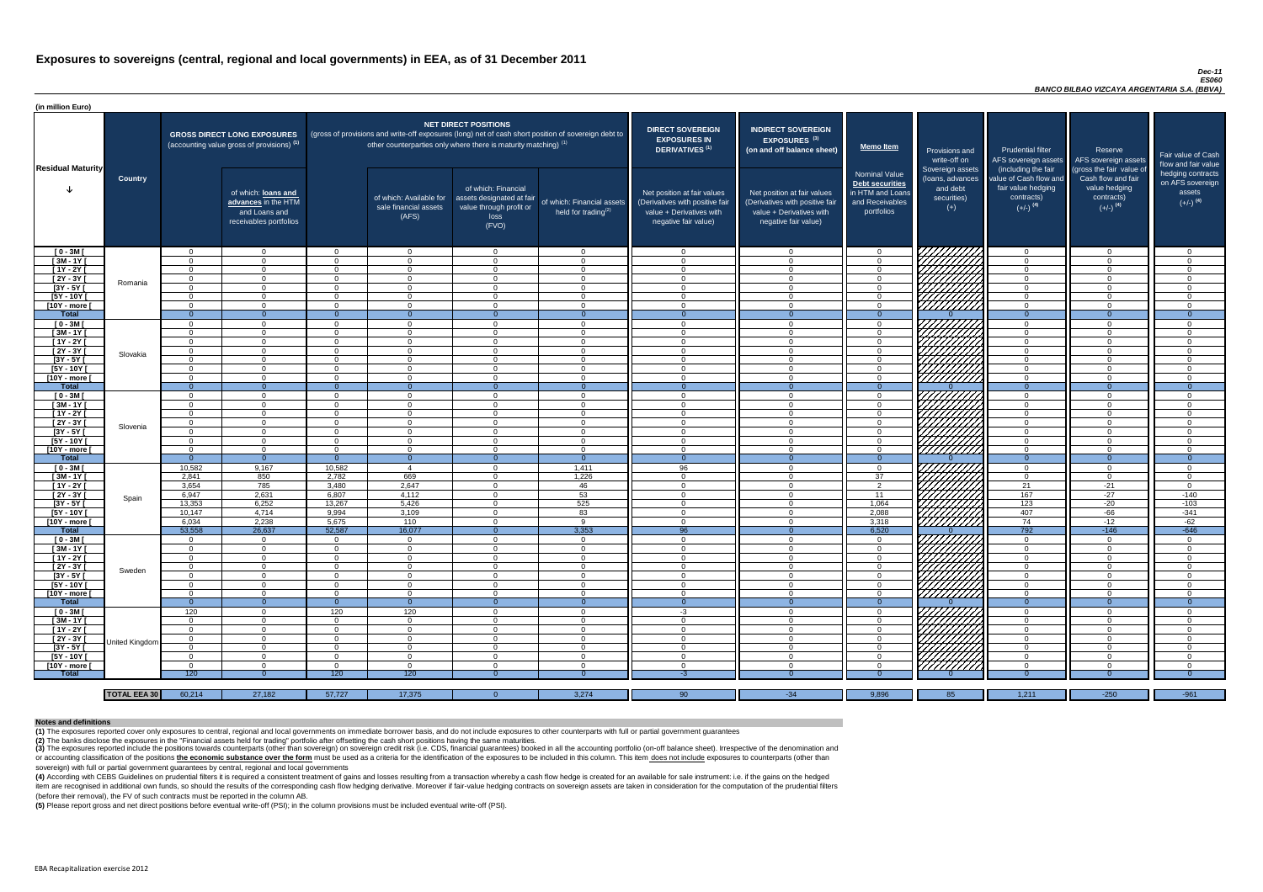#### *Dec-11 ES060 BANCO BILBAO VIZCAYA ARGENTARIA S.A. (BBVA)*

(4) According with CEBS Guidelines on prudential filters it is required a consistent treatment of gains and losses resulting from a transaction whereby a cash flow hedge is created for an available for sale instrument: i.e item are recognised in additional own funds, so should the results of the corresponding cash flow hedging derivative. Moreover if fair-value hedging contracts on sovereign assets are taken in consideration for the computat (before their removal), the FV of such contracts must be reported in the column AB.

(3) The exposures reported include the positions towards counterparts (other than sovereign) on sovereign credit risk (i.e. CDS, financial guarantees) booked in all the accounting portfolio (on-off balance sheet). Irrespec or accounting classification of the positions the economic substance over the form must be used as a criteria for the identification of the exposures to be included in this column. This item does not include exposures to c sovereign) with full or partial government guarantees by central, regional and local governments

| (in million Euro)            |                     |                      |                                                                                             |                      |                                                                            |                                                                                              |                                                                                                     |                                                                                                                    |                                                                                                                    |                                                                                              |                                                                             |                                                                                                             |                                                                                                         |                                                                           |
|------------------------------|---------------------|----------------------|---------------------------------------------------------------------------------------------|----------------------|----------------------------------------------------------------------------|----------------------------------------------------------------------------------------------|-----------------------------------------------------------------------------------------------------|--------------------------------------------------------------------------------------------------------------------|--------------------------------------------------------------------------------------------------------------------|----------------------------------------------------------------------------------------------|-----------------------------------------------------------------------------|-------------------------------------------------------------------------------------------------------------|---------------------------------------------------------------------------------------------------------|---------------------------------------------------------------------------|
| <b>Residual Maturity</b>     |                     |                      | <b>GROSS DIRECT LONG EXPOSURES</b><br>(accounting value gross of provisions) <sup>(1)</sup> |                      | other counterparties only where there is maturity matching) <sup>(1)</sup> | NET DIRECT POSITIONS                                                                         | (gross of provisions and write-off exposures (long) net of cash short position of sovereign debt to | <b>DIRECT SOVEREIGN</b><br><b>EXPOSURES IN</b><br>DERIVATIVES <sup>(1)</sup>                                       | <b>INDIRECT SOVEREIGN</b><br><b>EXPOSURES<sup>(3)</sup></b><br>(on and off balance sheet)                          | Memo Item                                                                                    | <b>Provisions and</b><br>write-off on                                       | <b>Prudential filter</b><br>AFS sovereign assets                                                            | Reserve<br>AFS sovereign assets                                                                         | Fair value of Cash<br>flow and fair value                                 |
|                              | <b>Country</b>      |                      | of which: loans and<br>advances in the HTM<br>and Loans and<br>receivables portfolios       |                      | of which: Available for<br>sale financial assets<br>(AFS)                  | of which: Financial<br>assets designated at fair<br>value through profit or<br>loss<br>(FVO) | of which: Financial assets<br>held for trading $^{(2)}$                                             | Net position at fair values<br>(Derivatives with positive fair<br>value + Derivatives with<br>negative fair value) | Net position at fair values<br>(Derivatives with positive fair<br>value + Derivatives with<br>negative fair value) | <b>Nominal Value</b><br>Debt securities<br>in HTM and Loans<br>and Receivables<br>portfolios | Sovereign assets<br>(loans, advances<br>and debt<br>securities)<br>$^{(+)}$ | (including the fair<br>value of Cash flow and<br>fair value hedging<br>contracts)<br>$(+/-)$ <sup>(4)</sup> | (gross the fair value of<br>Cash flow and fair<br>value hedging<br>contracts)<br>$(+/-)$ <sup>(4)</sup> | hedging contracts<br>on AFS sovereign<br>assets<br>$(+/-)$ <sup>(4)</sup> |
| $[0 - 3M]$                   |                     | $\Omega$             | $\Omega$                                                                                    | $\Omega$             | $\Omega$                                                                   | $\Omega$                                                                                     | $\overline{0}$                                                                                      | - 0                                                                                                                | റ                                                                                                                  | $\overline{0}$                                                                               | <i>ЧНННА</i>                                                                | $\overline{0}$                                                                                              | $\overline{0}$                                                                                          | $\overline{0}$                                                            |
| $[3M-1Y]$                    |                     | $\Omega$             | $\Omega$                                                                                    | $\Omega$             | $\Omega$                                                                   | $\Omega$                                                                                     | $\Omega$                                                                                            | $\Omega$                                                                                                           | $\cap$                                                                                                             | $\Omega$                                                                                     |                                                                             | $\overline{0}$                                                                                              | $\cap$                                                                                                  | $\Omega$                                                                  |
| $[1Y - 2Y]$                  |                     | $\Omega$             | $\Omega$                                                                                    | $\Omega$             | $\Omega$                                                                   | $\cap$                                                                                       | $\Omega$                                                                                            | $\cap$                                                                                                             | $\Omega$                                                                                                           | $\Omega$                                                                                     |                                                                             | $\Omega$                                                                                                    | $\cap$                                                                                                  | $\overline{0}$                                                            |
| [2Y - 3Y [                   | Romania             | $\Omega$             | $\Omega$                                                                                    | $\Omega$             | $\Omega$                                                                   | $\cap$                                                                                       | $\Omega$                                                                                            | $\cap$                                                                                                             | $\Omega$                                                                                                           | $\Omega$                                                                                     |                                                                             | $\overline{0}$                                                                                              | $\cap$                                                                                                  | $\overline{0}$                                                            |
| [3Y - 5Y [                   |                     | $\Omega$<br>$\Omega$ | റ<br>$\cap$                                                                                 | $\Omega$<br>$\Omega$ | $\Omega$<br>$\Omega$                                                       | $\cap$<br>$\cap$                                                                             | $\Omega$<br>$\Omega$                                                                                | - വ<br>$\cap$                                                                                                      |                                                                                                                    | $\Omega$<br>$\Omega$                                                                         |                                                                             | $\Omega$<br>$\Omega$                                                                                        | $\cap$                                                                                                  | $\Omega$<br>$\Omega$                                                      |
| [5Y - 10Y [<br>[10Y - more [ |                     | $\Omega$             | $\cap$                                                                                      | $\Omega$             | $\Omega$                                                                   | $\Omega$                                                                                     | $\Omega$                                                                                            | - വ                                                                                                                | $\cap$                                                                                                             | $\Omega$                                                                                     | ШШЛ                                                                         | $\Omega$                                                                                                    | $\cap$                                                                                                  | $\Omega$                                                                  |
| <b>Total</b>                 |                     | $\Omega$             | $\Omega$                                                                                    | $\Omega$             | $\Omega$                                                                   | $\Omega$                                                                                     | $\Omega$                                                                                            |                                                                                                                    |                                                                                                                    | $\Omega$                                                                                     |                                                                             | $\Omega$                                                                                                    | $\Omega$                                                                                                | $\Omega$                                                                  |
| $[0 - 3M]$                   |                     | $\Omega$             | $\Omega$                                                                                    | $\Omega$             | $\Omega$                                                                   | $\Omega$                                                                                     | $\Omega$                                                                                            | $\cap$                                                                                                             |                                                                                                                    | $\Omega$                                                                                     | UNITA<br>UNITA                                                              | $\Omega$                                                                                                    |                                                                                                         | $\Omega$                                                                  |
| $[3M-1Y]$                    |                     | $\Omega$             | $\Omega$                                                                                    | $\cap$               | $\Omega$                                                                   | $\cap$                                                                                       | $\Omega$                                                                                            | $\cap$                                                                                                             |                                                                                                                    | $\Omega$                                                                                     |                                                                             | $\Omega$                                                                                                    | $\Omega$                                                                                                | $\Omega$                                                                  |
| $[1Y - 2Y]$                  |                     | $\Omega$             | $\Omega$                                                                                    | $\cap$               | $\Omega$                                                                   | $\cap$                                                                                       | $\overline{0}$                                                                                      | $\cap$                                                                                                             |                                                                                                                    | $\Omega$                                                                                     |                                                                             | $\Omega$                                                                                                    | $\Omega$                                                                                                | $\Omega$                                                                  |
| $[2Y - 3Y]$                  | Slovakia            | $\Omega$             | $\Omega$                                                                                    | $\cap$               | $\Omega$                                                                   | $\cap$                                                                                       | $\overline{0}$                                                                                      | $\cap$                                                                                                             | $\Omega$                                                                                                           | $\Omega$                                                                                     |                                                                             | $\overline{0}$                                                                                              | $\Omega$                                                                                                | $\Omega$                                                                  |
| $[3Y - 5Y]$                  |                     | $\Omega$             | $\Omega$                                                                                    | $\Omega$             | $\Omega$                                                                   | $\cap$                                                                                       | $\overline{0}$                                                                                      | $\cap$                                                                                                             | $\Omega$                                                                                                           | $\Omega$                                                                                     |                                                                             | $\overline{0}$                                                                                              | $\Omega$                                                                                                | $\Omega$                                                                  |
| [5Y - 10Y [                  |                     | $\Omega$             | $\Omega$                                                                                    | $\cap$               | $\Omega$                                                                   | $\Omega$                                                                                     | $\overline{0}$                                                                                      | $\cap$                                                                                                             | $\Omega$                                                                                                           | $\Omega$                                                                                     |                                                                             | $\Omega$                                                                                                    | $\Omega$                                                                                                | $\Omega$                                                                  |
| [10Y - more [                |                     | $\Omega$             | $\Omega$                                                                                    | $\Omega$             | $\Omega$                                                                   | $\Omega$                                                                                     | $\overline{0}$                                                                                      | $\Omega$                                                                                                           | $\Omega$                                                                                                           | $\overline{0}$                                                                               |                                                                             | $\overline{0}$                                                                                              | $\Omega$                                                                                                | $\overline{0}$                                                            |
| <b>Total</b>                 |                     | $\Omega$             | $\Omega$                                                                                    |                      | $\Omega$                                                                   | $\Omega$                                                                                     | $\Omega$                                                                                            | - 0                                                                                                                |                                                                                                                    | $\Omega$                                                                                     |                                                                             | $\Omega$                                                                                                    |                                                                                                         | $\Omega$                                                                  |
| $[0 - 3M]$                   |                     | $\Omega$             | $\Omega$                                                                                    | $\Omega$             | $\Omega$                                                                   | $\cap$                                                                                       | $\overline{0}$                                                                                      | $\cap$                                                                                                             |                                                                                                                    | $\overline{0}$                                                                               | .VHHHHA                                                                     | $\overline{0}$                                                                                              | $\Omega$                                                                                                | $\Omega$                                                                  |
| $[3M - 1Y]$                  |                     | $\Omega$             | $\Omega$                                                                                    | $\Omega$<br>$\Omega$ | $\Omega$                                                                   | $\cap$                                                                                       | $\Omega$                                                                                            | $\Omega$<br>$\Omega$                                                                                               |                                                                                                                    | $\Omega$                                                                                     |                                                                             | $\overline{0}$                                                                                              | $\Omega$                                                                                                | $\Omega$                                                                  |
| $[1Y - 2Y]$                  |                     | $\Omega$             |                                                                                             | $\Omega$             | $\Omega$<br>$\Omega$                                                       |                                                                                              | $\Omega$<br>$\Omega$                                                                                | - വ                                                                                                                |                                                                                                                    | $\Omega$<br>$\Omega$                                                                         |                                                                             | $\overline{0}$<br>$\Omega$                                                                                  |                                                                                                         | $\Omega$<br>$\Omega$                                                      |
| $[2Y - 3Y]$                  | Slovenia            | $\Omega$             |                                                                                             |                      |                                                                            |                                                                                              |                                                                                                     |                                                                                                                    |                                                                                                                    |                                                                                              | <b>College College College Proposed Service</b>                             |                                                                                                             |                                                                                                         |                                                                           |
| [3Y - 5Y [<br>$[5Y - 10Y]$   |                     | $\Omega$             | $\Omega$                                                                                    | $\Omega$             | - 0<br>$\Omega$                                                            | $\Omega$                                                                                     | 0<br>$\overline{0}$                                                                                 | - 0                                                                                                                | $\Omega$                                                                                                           | - ( )<br>$\Omega$                                                                            |                                                                             | 0<br>$\overline{0}$                                                                                         | $\Omega$                                                                                                | $\Omega$                                                                  |
| [10Y - more [                |                     | $\Omega$             | - റ                                                                                         | - റ                  | $\Omega$                                                                   | - റ                                                                                          | $\overline{0}$                                                                                      | റ                                                                                                                  | $\cap$                                                                                                             | $\Omega$                                                                                     | 7777777777                                                                  | $\overline{0}$                                                                                              | $\cap$                                                                                                  | $\Omega$                                                                  |
| <b>Total</b>                 |                     | - 0                  | $\Omega$                                                                                    |                      | - 0                                                                        |                                                                                              | $\Omega$                                                                                            |                                                                                                                    |                                                                                                                    |                                                                                              |                                                                             | $\Omega$                                                                                                    |                                                                                                         | - റ                                                                       |
| $[0 - 3M]$                   |                     | 10,582               | 9,167                                                                                       | 10,582               | $\boldsymbol{\Delta}$                                                      | $\Omega$                                                                                     | 1,411                                                                                               | 96                                                                                                                 | $\cap$                                                                                                             | $\overline{0}$                                                                               |                                                                             | $\overline{0}$                                                                                              | $\Omega$                                                                                                | - 0                                                                       |
| $[3M - 1Y]$                  |                     | 2,841                | 850                                                                                         | 2,782                | 669                                                                        | $\Omega$                                                                                     | 1,226                                                                                               | $\Omega$                                                                                                           | $\Omega$                                                                                                           | 37                                                                                           |                                                                             | $\Omega$                                                                                                    | $\Omega$                                                                                                | $\overline{0}$                                                            |
| $[1Y - 2Y]$                  |                     | 3,654                | 785                                                                                         | 3,480                | 2,647                                                                      | $\Omega$                                                                                     | 46                                                                                                  | $\overline{0}$                                                                                                     | $\Omega$                                                                                                           | $\overline{2}$                                                                               |                                                                             | 21                                                                                                          | $-21$                                                                                                   | $\overline{0}$                                                            |
| $[2Y - 3Y]$                  | Spain               | 6,947                | 2,631                                                                                       | 6,807                | 4,112                                                                      | $\Omega$                                                                                     | 53                                                                                                  | $\Omega$                                                                                                           | $\Omega$                                                                                                           | 11                                                                                           |                                                                             | 167                                                                                                         | $-27$                                                                                                   | $-140$                                                                    |
| $[3Y - 5Y]$                  |                     | 13,353               | 6,252                                                                                       | 13,267               | 5,426                                                                      | $\Omega$                                                                                     | 525                                                                                                 | - 0                                                                                                                | $\Omega$                                                                                                           | 1,064                                                                                        |                                                                             | 123                                                                                                         | $-20$                                                                                                   | $-103$                                                                    |
| [5Y - 10Y [                  |                     | 10,147               | 4,714                                                                                       | 9,994                | 3,109                                                                      | $\Omega$                                                                                     | 83                                                                                                  | $\Omega$                                                                                                           | $\cap$                                                                                                             | 2,088                                                                                        | HAAA<br>HAAAA                                                               | 407                                                                                                         | -66                                                                                                     | $-341$                                                                    |
| [10Y - more                  |                     | 6,034                | 2,238                                                                                       | 5,675                | 110                                                                        | $\Omega$                                                                                     | -9                                                                                                  | $\cap$                                                                                                             | $\cap$                                                                                                             | 3,318                                                                                        | <u>///////////</u>                                                          | 74                                                                                                          | $-12$                                                                                                   | $-62$                                                                     |
| <b>Total</b>                 |                     | 53,558               | 26,637                                                                                      | 52,587               | 16,077                                                                     | $\Omega$                                                                                     | 3,353                                                                                               | 96                                                                                                                 |                                                                                                                    | 6,520                                                                                        |                                                                             | 792                                                                                                         | $-146$                                                                                                  | $-646$                                                                    |
| $[0 - 3M]$                   |                     | $\Omega$             | $\Omega$                                                                                    | $\Omega$             | $\Omega$                                                                   | $\Omega$<br>$\Omega$                                                                         | $\overline{0}$                                                                                      | - 0<br>$\cap$                                                                                                      | $\Omega$<br>$\Omega$                                                                                               | $\Omega$                                                                                     |                                                                             | $\overline{0}$                                                                                              | $\Omega$<br>$\cap$                                                                                      | $\overline{0}$                                                            |
| $[3M - 1Y]$<br>[ 1Y - 2Y [   |                     | $\Omega$<br>$\Omega$ | $\Omega$<br>$\Omega$                                                                        | $\Omega$<br>$\Omega$ | $\Omega$<br>$\Omega$                                                       | $\Omega$                                                                                     | $\overline{0}$<br>$\overline{0}$                                                                    | $\cap$                                                                                                             | $\cap$                                                                                                             | $\Omega$<br>$\Omega$                                                                         |                                                                             | $\overline{0}$<br>$\Omega$                                                                                  | $\cap$                                                                                                  | $\Omega$<br>$\Omega$                                                      |
| [2Y - 3Y [                   |                     | $\Omega$             | $\Omega$                                                                                    | $\Omega$             | $\Omega$                                                                   | $\Omega$                                                                                     | $\overline{0}$                                                                                      | $\Omega$                                                                                                           | $\cap$                                                                                                             | $\Omega$                                                                                     |                                                                             | $\Omega$                                                                                                    | $\Omega$                                                                                                | $\Omega$                                                                  |
| $[3Y - 5Y]$                  | Sweden              | $\Omega$             | $\Omega$                                                                                    | $\Omega$             | $\Omega$                                                                   | $\Omega$                                                                                     | $\overline{0}$                                                                                      | $\cap$                                                                                                             | $\cap$                                                                                                             | $\Omega$                                                                                     |                                                                             | $\Omega$                                                                                                    | $\Omega$                                                                                                | $\Omega$                                                                  |
| [5Y - 10Y [                  |                     | $\Omega$             | $\Omega$                                                                                    | $\Omega$             | $\Omega$                                                                   | $\Omega$                                                                                     | $\overline{0}$                                                                                      | $\Omega$                                                                                                           | $\Omega$                                                                                                           | $\Omega$                                                                                     | ШШЛ                                                                         | $\overline{0}$                                                                                              | $\Omega$                                                                                                | $\overline{0}$                                                            |
| [10Y - more ]                |                     | $\Omega$             | $\Omega$                                                                                    | $\Omega$             | $\overline{0}$                                                             | $\Omega$                                                                                     | $\overline{0}$                                                                                      | - 0                                                                                                                | $\Omega$                                                                                                           | $\overline{0}$                                                                               | A <i>littua</i>                                                             | $\overline{0}$                                                                                              | $\Omega$                                                                                                | $\overline{0}$                                                            |
| <b>Total</b>                 |                     | $\Omega$             | $\overline{0}$                                                                              | $\Omega$             | $\Omega$                                                                   | $\Omega$                                                                                     | $\Omega$                                                                                            | $\overline{0}$                                                                                                     |                                                                                                                    | $\Omega$                                                                                     |                                                                             | $\overline{0}$                                                                                              | $\Omega$                                                                                                | $\Omega$                                                                  |
| $[0 - 3M]$                   |                     | 120                  | $\Omega$                                                                                    | 120                  | 120                                                                        | $\Omega$                                                                                     | $\overline{0}$                                                                                      | $-3$                                                                                                               | $\Omega$                                                                                                           | $\Omega$                                                                                     |                                                                             | $\overline{0}$                                                                                              | $\Omega$                                                                                                | $\Omega$                                                                  |
| $[3M - 1Y]$                  |                     | $\Omega$             | $\Omega$                                                                                    | $\Omega$             | $\Omega$                                                                   | $\Omega$                                                                                     | $\overline{0}$                                                                                      | $\Omega$                                                                                                           |                                                                                                                    | $\overline{0}$                                                                               |                                                                             | $\overline{0}$                                                                                              |                                                                                                         | $\Omega$                                                                  |
| $[1Y - 2Y]$                  |                     | $\Omega$             | റ                                                                                           | $\Omega$             | $\Omega$                                                                   | $\Omega$                                                                                     | $\Omega$                                                                                            | $\Omega$                                                                                                           |                                                                                                                    | $\Omega$                                                                                     |                                                                             | $\overline{0}$                                                                                              |                                                                                                         | $\Omega$                                                                  |
| $[2Y - 3Y]$                  | United Kingdom      | - 0                  | $\Omega$                                                                                    | $\Omega$             | $\Omega$                                                                   | $\Omega$                                                                                     | $\Omega$                                                                                            |                                                                                                                    |                                                                                                                    | $\Omega$                                                                                     |                                                                             | $\overline{0}$                                                                                              |                                                                                                         | $\Omega$                                                                  |
| $[3Y - 5Y]$                  |                     | - 0                  | $\Omega$                                                                                    | $\Omega$             | $\Omega$                                                                   | $\Omega$                                                                                     | $\Omega$                                                                                            | - 0                                                                                                                |                                                                                                                    | $\Omega$                                                                                     |                                                                             | $\overline{0}$                                                                                              |                                                                                                         | $\Omega$                                                                  |
| $[5Y - 10Y]$                 |                     | - 0                  | $\Omega$                                                                                    | $\Omega$             | $\Omega$                                                                   | $\Omega$                                                                                     | $\Omega$                                                                                            | - വ                                                                                                                |                                                                                                                    | $\Omega$                                                                                     |                                                                             | $\overline{0}$                                                                                              |                                                                                                         | $\Omega$                                                                  |
| [10Y - more [                |                     | $\Omega$             | $\cap$                                                                                      | $\cap$               | $\Omega$                                                                   | $\cap$                                                                                       | $\Omega$                                                                                            | $\cap$                                                                                                             |                                                                                                                    | $\Omega$                                                                                     | 777777777                                                                   | $\Omega$                                                                                                    |                                                                                                         | $\Omega$                                                                  |
| <b>Total</b>                 |                     | 120                  |                                                                                             | 120                  | 120                                                                        |                                                                                              |                                                                                                     | -3                                                                                                                 |                                                                                                                    | -0                                                                                           |                                                                             | - 0                                                                                                         |                                                                                                         | -0                                                                        |
|                              |                     |                      |                                                                                             |                      |                                                                            |                                                                                              |                                                                                                     |                                                                                                                    |                                                                                                                    |                                                                                              |                                                                             |                                                                                                             |                                                                                                         |                                                                           |
|                              | <b>TOTAL EEA 30</b> | 60,214               | 27,182                                                                                      | 57,727               | 17,375                                                                     | $\Omega$                                                                                     | 3,274                                                                                               | 90                                                                                                                 | $-34$                                                                                                              | 9,896                                                                                        | 85                                                                          | 1,211                                                                                                       | $-250$                                                                                                  | $-961$                                                                    |

**(5)** Please report gross and net direct positions before eventual write-off (PSI); in the column provisions must be included eventual write-off (PSI).

#### **Notes and definitions**

**(1)** The exposures reported cover only exposures to central, regional and local governments on immediate borrower basis, and do not include exposures to other counterparts with full or partial government guarantees **(2)** The banks disclose the exposures in the "Financial assets held for trading" portfolio after offsetting the cash short positions having the same maturities.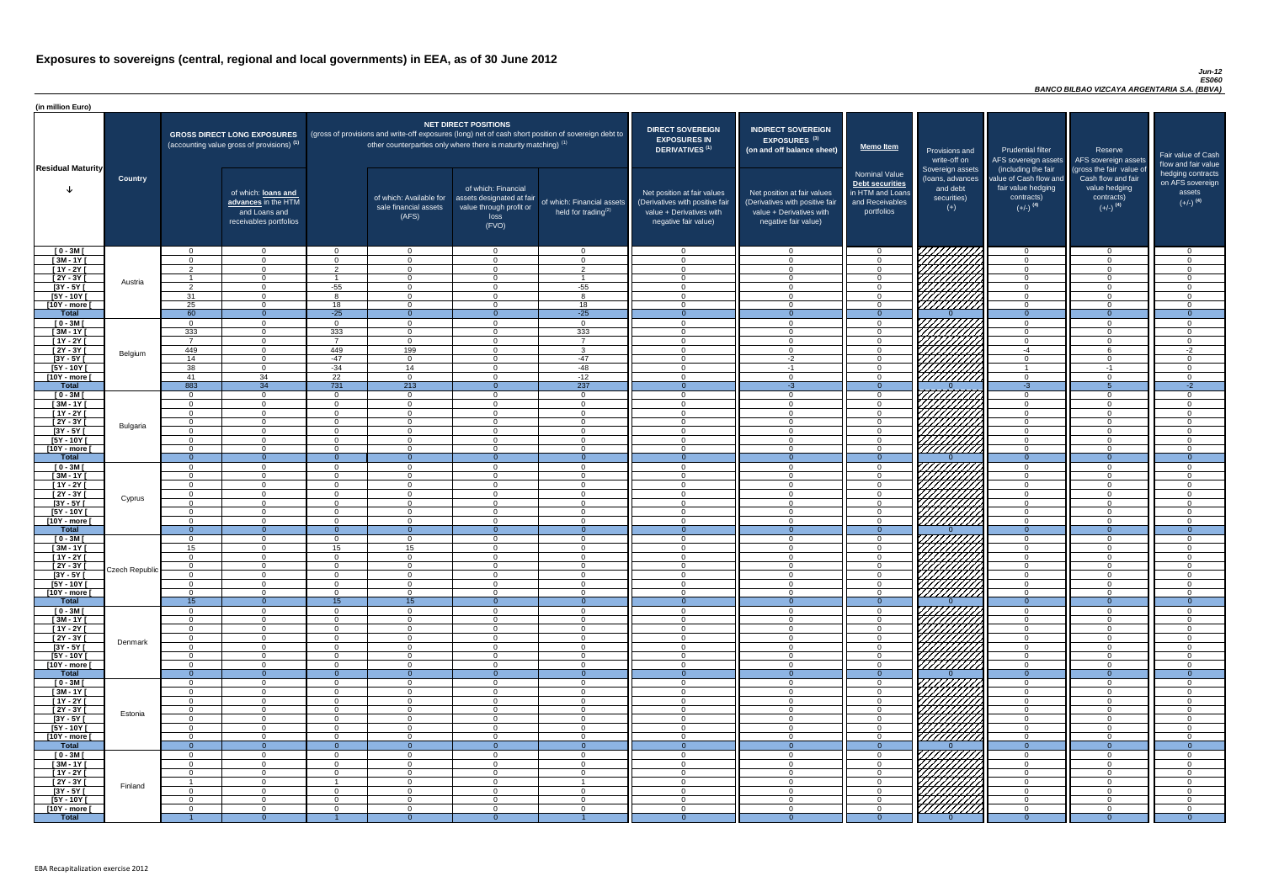#### *Jun-12 ES060 BANCO BILBAO VIZCAYA ARGENTARIA S.A. (BBVA)*

| (in million Euro)             |                 |                           |                                                                                             |                             |                                                                                                                                                                                   |                                                                                              |                                                      |                                                                                                                    |                                                                                                                    |                                                                                              |                                                                                                                                                                                                                                 |                                                                                                             |                                                                                                         |                                                                           |
|-------------------------------|-----------------|---------------------------|---------------------------------------------------------------------------------------------|-----------------------------|-----------------------------------------------------------------------------------------------------------------------------------------------------------------------------------|----------------------------------------------------------------------------------------------|------------------------------------------------------|--------------------------------------------------------------------------------------------------------------------|--------------------------------------------------------------------------------------------------------------------|----------------------------------------------------------------------------------------------|---------------------------------------------------------------------------------------------------------------------------------------------------------------------------------------------------------------------------------|-------------------------------------------------------------------------------------------------------------|---------------------------------------------------------------------------------------------------------|---------------------------------------------------------------------------|
| <b>Residual Maturity</b>      |                 |                           | <b>GROSS DIRECT LONG EXPOSURES</b><br>(accounting value gross of provisions) <sup>(1)</sup> |                             | (gross of provisions and write-off exposures (long) net of cash short position of sovereign debt to<br>other counterparties only where there is maturity matching) <sup>(1)</sup> | NET DIRECT POSITIONS                                                                         |                                                      | <b>DIRECT SOVEREIGN</b><br><b>EXPOSURES IN</b><br><b>DERIVATIVES (1)</b>                                           | <b>INDIRECT SOVEREIGN</b><br><b>EXPOSURES<sup>(3)</sup></b><br>(on and off balance sheet)                          | <b>Memo Item</b>                                                                             | Provisions and<br>write-off on                                                                                                                                                                                                  | <b>Prudential filter</b>                                                                                    | Reserve<br>AFS sovereign assets AFS sovereign assets                                                    | Fair value of Cash<br>flow and fair value                                 |
|                               | <b>Country</b>  |                           | of which: loans and<br>advances in the HTM<br>and Loans and<br>receivables portfolios       |                             | of which: Available for<br>sale financial assets<br>(AFS)                                                                                                                         | of which: Financial<br>assets designated at fair<br>value through profit or<br>loss<br>(FVO) | of which: Financial assets<br>held for trading $(2)$ | Net position at fair values<br>(Derivatives with positive fair<br>value + Derivatives with<br>negative fair value) | Net position at fair values<br>(Derivatives with positive fair<br>value + Derivatives with<br>negative fair value) | <b>Nominal Value</b><br>Debt securities<br>in HTM and Loans<br>and Receivables<br>portfolios | Sovereign assets<br>(Ioans, advances<br>and debt<br>securities)<br>$(+)$                                                                                                                                                        | (including the fair<br>value of Cash flow and<br>fair value hedging<br>contracts)<br>$(+/-)$ <sup>(4)</sup> | (gross the fair value of<br>Cash flow and fair<br>value hedging<br>contracts)<br>$(+/-)$ <sup>(4)</sup> | hedging contracts<br>on AFS sovereign<br>assets<br>$(+/-)$ <sup>(4)</sup> |
| $[0 - 3M]$                    |                 | $\Omega$                  | $\overline{0}$                                                                              | $\Omega$                    | $\Omega$                                                                                                                                                                          | $\Omega$                                                                                     | $\overline{0}$                                       | $\cap$                                                                                                             | $\Omega$                                                                                                           | $\Omega$                                                                                     |                                                                                                                                                                                                                                 | $\overline{0}$                                                                                              | $\cap$                                                                                                  | - വ                                                                       |
| $[3M - 1Y]$<br>$[1Y - 2Y]$    |                 | $\Omega$<br>$\mathcal{D}$ | $\overline{0}$<br>$\overline{0}$                                                            | $\Omega$<br>ົາ              | $\Omega$<br>$\Omega$                                                                                                                                                              | $\Omega$<br>$\Omega$                                                                         | $\overline{0}$<br>2                                  | $\Omega$<br>$\cap$                                                                                                 | $\cap$<br>$\Omega$                                                                                                 | $\Omega$<br>$\Omega$                                                                         |                                                                                                                                                                                                                                 | $\Omega$<br>$\overline{0}$                                                                                  | $\Omega$<br>$\Omega$                                                                                    | . വ<br>$\sqrt{ }$                                                         |
| $[2Y - 3Y]$                   |                 |                           | $\Omega$                                                                                    |                             | $\Omega$                                                                                                                                                                          | $\Omega$                                                                                     |                                                      | $\cap$                                                                                                             |                                                                                                                    | $\Omega$                                                                                     |                                                                                                                                                                                                                                 | $\overline{0}$                                                                                              | $\Omega$                                                                                                | $\cap$                                                                    |
| $[3Y - 5Y]$                   | Austria         | റ                         | $\Omega$                                                                                    | $-55$                       | $\Omega$                                                                                                                                                                          | $\Omega$                                                                                     | $-55$                                                | $\cap$                                                                                                             |                                                                                                                    | $\Omega$                                                                                     | HAAAN.                                                                                                                                                                                                                          | $\Omega$                                                                                                    | $\Omega$                                                                                                | $\cap$                                                                    |
| [5Y - 10Y [                   |                 | 31                        | $\Omega$                                                                                    |                             | $\Omega$                                                                                                                                                                          | $\cap$                                                                                       | $\mathbf{8}$                                         | $\cap$                                                                                                             |                                                                                                                    | $\Omega$                                                                                     |                                                                                                                                                                                                                                 | $\Omega$                                                                                                    | $\Omega$                                                                                                |                                                                           |
| [10Y - more [                 |                 | 25                        | $\Omega$                                                                                    | 18                          | $\Omega$                                                                                                                                                                          | $\Omega$                                                                                     | 18                                                   | $\cap$                                                                                                             |                                                                                                                    | $\Omega$                                                                                     |                                                                                                                                                                                                                                 | $\Omega$                                                                                                    | $\Omega$                                                                                                |                                                                           |
| <b>Total</b>                  |                 | 60                        | $\overline{0}$                                                                              | $-25$                       | $\Omega$                                                                                                                                                                          | $\Omega$                                                                                     | $-25$                                                | $\Omega$                                                                                                           | $\Omega$                                                                                                           | $\Omega$                                                                                     |                                                                                                                                                                                                                                 | $\Omega$                                                                                                    | $\Omega$                                                                                                | $\Omega$                                                                  |
| $[0 - 3M]$<br>$[3M - 1Y]$     |                 | $\Omega$<br>333           | $\Omega$<br>$\Omega$                                                                        | $\Omega$<br>333             | $\Omega$<br>$\Omega$                                                                                                                                                              | $\Omega$<br>$\Omega$                                                                         | $\overline{0}$<br>333                                | $\cap$<br>$\cap$                                                                                                   | $\Omega$                                                                                                           | $\Omega$<br>$\Omega$                                                                         |                                                                                                                                                                                                                                 | $\Omega$<br>$\Omega$                                                                                        | $\Omega$<br>$\Omega$                                                                                    | - 0<br>$\cap$                                                             |
| $[1Y - 2Y]$                   |                 |                           | $\Omega$                                                                                    |                             | $\Omega$                                                                                                                                                                          | $\Omega$                                                                                     | $\overline{ }$                                       | $\cap$                                                                                                             | $\Omega$                                                                                                           | $\overline{0}$                                                                               | FANDA<br>HANA                                                                                                                                                                                                                   | $\overline{0}$                                                                                              | $\Omega$                                                                                                | $\Omega$                                                                  |
| $[2Y - 3Y]$                   | Belgium         | 449                       | $\Omega$                                                                                    | 449                         | 199                                                                                                                                                                               | $\Omega$                                                                                     | $\mathbf{3}$                                         | $\cap$                                                                                                             | $\Omega$                                                                                                           | $\Omega$                                                                                     |                                                                                                                                                                                                                                 | $-4$                                                                                                        |                                                                                                         | $-2$                                                                      |
| $[3Y - 5Y]$                   |                 | 14                        | $\Omega$                                                                                    | $-47$                       | $\overline{0}$                                                                                                                                                                    | $\Omega$                                                                                     | $-47$                                                | $\cap$                                                                                                             | $-2$                                                                                                               | $\overline{0}$                                                                               |                                                                                                                                                                                                                                 | $\Omega$                                                                                                    | $\Omega$                                                                                                | $\Omega$                                                                  |
| $[5Y - 10Y]$                  |                 | 38                        | $\overline{0}$                                                                              | $-34$                       | 14                                                                                                                                                                                | $\Omega$                                                                                     | $-48$                                                | $\Omega$                                                                                                           | $-1$                                                                                                               | $\overline{0}$                                                                               |                                                                                                                                                                                                                                 |                                                                                                             | $-1$                                                                                                    | $\Omega$                                                                  |
| [10Y - more [<br><b>Total</b> |                 | 41<br>883                 | 34<br>34                                                                                    | 22<br>731                   | $\overline{0}$<br>213                                                                                                                                                             | $\Omega$<br>$\Omega$                                                                         | $-12$<br>237                                         | $\Omega$<br>$\Omega$                                                                                               | $\Omega$<br>$-3$                                                                                                   | $\Omega$<br>$\Omega$                                                                         | <u>777777777</u>                                                                                                                                                                                                                | $\overline{0}$<br>$-3$                                                                                      | $\Omega$                                                                                                | $\Omega$<br>$-2$                                                          |
| $[0 - 3M]$                    |                 | $\Omega$                  | $\overline{0}$                                                                              | $\Omega$                    | $\overline{0}$                                                                                                                                                                    | $\Omega$                                                                                     | $\overline{0}$                                       | $\Omega$                                                                                                           | $\Omega$                                                                                                           | $\overline{0}$                                                                               |                                                                                                                                                                                                                                 | $\overline{0}$                                                                                              | $\Omega$                                                                                                | - 0                                                                       |
| $[3M - 1Y]$                   |                 | $\Omega$                  | $\overline{0}$                                                                              | $\Omega$                    | $\Omega$                                                                                                                                                                          | $\Omega$                                                                                     | $\overline{0}$                                       | - 0                                                                                                                | $\cap$                                                                                                             | $\overline{0}$                                                                               | HAAAD                                                                                                                                                                                                                           | $\overline{0}$                                                                                              | $\Omega$                                                                                                | $\Omega$                                                                  |
| $[1Y - 2Y]$                   |                 | $\overline{0}$            | $\Omega$                                                                                    | $\Omega$                    | $\Omega$                                                                                                                                                                          | $\Omega$                                                                                     | $\overline{0}$                                       | - 0                                                                                                                |                                                                                                                    | $\Omega$                                                                                     |                                                                                                                                                                                                                                 | $\overline{0}$                                                                                              | $\Omega$                                                                                                | $\Omega$                                                                  |
| $[2Y - 3Y]$                   | <b>Bulgaria</b> | $\overline{0}$            | $\Omega$                                                                                    | $\Omega$                    | $\Omega$                                                                                                                                                                          | $\Omega$                                                                                     | $\overline{0}$                                       | - 0                                                                                                                | $\Omega$                                                                                                           | $\overline{0}$                                                                               |                                                                                                                                                                                                                                 | $\overline{0}$                                                                                              | $\Omega$                                                                                                | $\Omega$                                                                  |
| $[3Y - 5Y]$<br>$[5Y - 10Y]$   |                 | $\Omega$                  | $\Omega$                                                                                    | $\Omega$                    | - 0<br>$\Omega$                                                                                                                                                                   | $\Omega$                                                                                     | 0<br>$\Omega$                                        | $\cap$                                                                                                             |                                                                                                                    | $\Omega$                                                                                     | HAHAS SAHARA SERANG DENGAN DENGAN DENGAN DENGAN DENGAN DENGAN DENGAN DENGAN DENGAN DENGAN DENGAN DENGAN DENGA<br>DENGAN DENGAN DENGAN DENGAN DENGAN DENGAN DENGAN DENGAN DENGAN DENGAN DENGAN DENGAN DENGAN DENGAN DENGAN DENGA | 0<br>$\Omega$                                                                                               | $\cap$                                                                                                  | ി                                                                         |
| [10Y - more [                 |                 | $\Omega$                  | $\Omega$                                                                                    | - 0                         | $\Omega$                                                                                                                                                                          | $\Omega$                                                                                     | $\Omega$                                             | $\cap$                                                                                                             | ∩                                                                                                                  | $\Omega$                                                                                     |                                                                                                                                                                                                                                 | $\overline{0}$                                                                                              | $\Omega$                                                                                                | $\cap$                                                                    |
| <b>Total</b>                  |                 | - വ                       | $\overline{0}$                                                                              | $\Omega$                    | - 0                                                                                                                                                                               |                                                                                              | $\overline{0}$                                       |                                                                                                                    |                                                                                                                    | $\Omega$                                                                                     |                                                                                                                                                                                                                                 | $\Omega$                                                                                                    |                                                                                                         |                                                                           |
| $[0 - 3M]$                    |                 | $\Omega$                  | $\Omega$                                                                                    | $\Omega$                    | $\Omega$                                                                                                                                                                          | $\Omega$                                                                                     | $\overline{0}$                                       | $\cap$                                                                                                             | $\cap$                                                                                                             | $\Omega$                                                                                     |                                                                                                                                                                                                                                 | $\overline{0}$                                                                                              | $\Omega$                                                                                                | $\Omega$                                                                  |
| $[3M - 1Y]$                   |                 | $\Omega$                  | $\overline{0}$                                                                              | $\Omega$                    | $\overline{0}$                                                                                                                                                                    | $\Omega$                                                                                     | $\overline{0}$                                       | - 0                                                                                                                | $\cap$                                                                                                             | $\overline{0}$                                                                               |                                                                                                                                                                                                                                 | $\overline{0}$                                                                                              | $\Omega$                                                                                                | - 0                                                                       |
| $[1Y - 2Y]$                   |                 | $\Omega$                  | $\overline{0}$<br>$\overline{0}$                                                            | $\Omega$<br>$\overline{0}$  | $\Omega$<br>$\Omega$                                                                                                                                                              | $\Omega$<br>$\Omega$                                                                         | $\overline{0}$<br>$\overline{0}$                     | $\Omega$<br>- 0                                                                                                    | $\Omega$<br>$\Omega$                                                                                               | $\Omega$<br>$\overline{0}$                                                                   | VIIIIIII                                                                                                                                                                                                                        | $\overline{0}$<br>$\overline{0}$                                                                            | $\Omega$<br>$\Omega$                                                                                    | $\cap$<br>$\Omega$                                                        |
| [2Y - 3Y [<br>$[3Y - 5Y]$     | Cyprus          | $\Omega$<br>$\Omega$      | $\Omega$                                                                                    | $\Omega$                    | $\Omega$                                                                                                                                                                          | $\Omega$                                                                                     | $\Omega$                                             | $\cap$                                                                                                             |                                                                                                                    | $\Omega$                                                                                     |                                                                                                                                                                                                                                 | $\Omega$                                                                                                    | $\Omega$                                                                                                | $\cap$                                                                    |
| $[5Y - 10Y]$                  |                 | $\Omega$                  | $\Omega$                                                                                    | $\Omega$                    | $\Omega$                                                                                                                                                                          | $\Omega$                                                                                     | $\Omega$                                             |                                                                                                                    |                                                                                                                    | $\Omega$                                                                                     |                                                                                                                                                                                                                                 | $\Omega$                                                                                                    | $\Omega$                                                                                                |                                                                           |
| [10Y - more [                 |                 | $\Omega$                  | $\Omega$                                                                                    | $\Omega$                    | $\Omega$                                                                                                                                                                          | $\Omega$                                                                                     | $\Omega$                                             | $\cap$                                                                                                             |                                                                                                                    | $\Omega$                                                                                     | 77777777                                                                                                                                                                                                                        | $\Omega$                                                                                                    | $\Omega$                                                                                                |                                                                           |
| <b>Total</b>                  |                 | $\overline{0}$            | $\Omega$                                                                                    | $\Omega$                    | $\Omega$                                                                                                                                                                          | $\Omega$                                                                                     | $\Omega$                                             | $\Omega$                                                                                                           |                                                                                                                    | $\Omega$                                                                                     |                                                                                                                                                                                                                                 | $\Omega$                                                                                                    | $\theta$                                                                                                | $\Omega$                                                                  |
| $[0 - 3M]$                    |                 | $\Omega$                  | $\Omega$<br>$\Omega$                                                                        | $\Omega$                    | $\Omega$                                                                                                                                                                          | $\Omega$<br>$\Omega$                                                                         | $\Omega$                                             | റ<br>$\Omega$                                                                                                      | $\Omega$                                                                                                           | $\Omega$                                                                                     |                                                                                                                                                                                                                                 | $\Omega$                                                                                                    | $\Omega$<br>$\Omega$                                                                                    | $\Omega$                                                                  |
| $[3M - 1Y]$<br>$[1Y - 2Y]$    |                 | 15<br>$\Omega$            | $\Omega$                                                                                    | 15<br>$\Omega$              | 15<br>$\Omega$                                                                                                                                                                    | $\Omega$                                                                                     | $\overline{0}$<br>$\Omega$                           | $\cap$                                                                                                             | $\Omega$                                                                                                           | $\Omega$<br>$\Omega$                                                                         |                                                                                                                                                                                                                                 | $\overline{0}$<br>$\overline{0}$                                                                            | $\Omega$                                                                                                | $\cap$                                                                    |
| $[2Y - 3Y]$                   |                 | $\Omega$                  | $\Omega$                                                                                    | $\Omega$                    | $\Omega$                                                                                                                                                                          | $\Omega$                                                                                     | $\Omega$                                             | $\Omega$                                                                                                           | $\Omega$                                                                                                           | $\Omega$                                                                                     |                                                                                                                                                                                                                                 | $\Omega$                                                                                                    | $\Omega$                                                                                                | $\cap$                                                                    |
| $[3Y - 5Y]$                   | Czech Republic  | $\Omega$                  | $\overline{0}$                                                                              | $\Omega$                    | $\Omega$                                                                                                                                                                          | $\Omega$                                                                                     | $\overline{0}$                                       | $\cap$                                                                                                             | $\Omega$                                                                                                           | $\overline{0}$                                                                               | UMMA<br>UMMA                                                                                                                                                                                                                    | $\overline{0}$                                                                                              | $\Omega$                                                                                                | $\Omega$                                                                  |
| $[5Y - 10Y]$                  |                 | $\Omega$                  | $\Omega$                                                                                    | $\Omega$                    | $\overline{0}$                                                                                                                                                                    | $\Omega$                                                                                     | $\overline{0}$                                       | $\cap$                                                                                                             | $\Omega$                                                                                                           | $\Omega$                                                                                     |                                                                                                                                                                                                                                 | $\Omega$                                                                                                    | $\Omega$                                                                                                | $\Omega$                                                                  |
| [10Y - more [<br><b>Total</b> |                 | $\Omega$<br>15            | $\Omega$<br>$\overline{0}$                                                                  | $\Omega$<br>15 <sub>1</sub> | $\Omega$<br>15                                                                                                                                                                    | $\Omega$<br>$\Omega$                                                                         | $\Omega$<br>$\overline{0}$                           | $\Omega$<br>$\Omega$                                                                                               | $\Omega$                                                                                                           | $\overline{0}$<br>$\Omega$                                                                   |                                                                                                                                                                                                                                 | $\overline{0}$<br>$\overline{0}$                                                                            | $\Omega$<br>$\Omega$                                                                                    | $\Omega$<br>$\Omega$                                                      |
| $[0 - 3M]$                    |                 | $\Omega$                  | $\overline{0}$                                                                              | $\Omega$                    | $\Omega$                                                                                                                                                                          | $\Omega$                                                                                     | $\overline{0}$                                       | $\Omega$                                                                                                           |                                                                                                                    | $\Omega$                                                                                     |                                                                                                                                                                                                                                 | $\overline{0}$                                                                                              | $\Omega$                                                                                                | $\cap$                                                                    |
| $[3M - 1Y]$                   |                 | - 0                       | $\Omega$                                                                                    | $\Omega$                    | $\Omega$                                                                                                                                                                          | $\Omega$                                                                                     | $\overline{0}$                                       | $\Omega$                                                                                                           |                                                                                                                    | $\Omega$                                                                                     | 777777777                                                                                                                                                                                                                       | $\overline{0}$                                                                                              | ∩                                                                                                       |                                                                           |
| $\overline{[1Y-2Y]}$          |                 | $\overline{0}$            | $\overline{0}$                                                                              | $\Omega$                    | $\Omega$                                                                                                                                                                          | $\Omega$                                                                                     | $\mathbf 0$                                          | $\Omega$                                                                                                           |                                                                                                                    | $\Omega$                                                                                     | 777777777                                                                                                                                                                                                                       | $\overline{0}$                                                                                              |                                                                                                         |                                                                           |
| $[2Y - 3Y]$                   | Denmark         | - 0                       | $\Omega$                                                                                    | $\Omega$                    | <u>_ ೧</u>                                                                                                                                                                        | $\Omega$                                                                                     | $\Omega$                                             | - വ                                                                                                                |                                                                                                                    | $\Omega$                                                                                     | 7777777777                                                                                                                                                                                                                      | $\overline{0}$                                                                                              |                                                                                                         |                                                                           |
| $[3Y - 5Y]$<br>[5Y - 10Y]     |                 | $\Omega$<br>$\Omega$      | $\Omega$<br>$\overline{0}$                                                                  | $\Omega$<br>$\Omega$        | - 0<br>$\Omega$                                                                                                                                                                   | $\Omega$<br>$\Omega$                                                                         | $\Omega$<br>$\overline{0}$                           | - 0<br>- 0                                                                                                         | $\Omega$                                                                                                           | $\Omega$<br>$\Omega$                                                                         | 777777777                                                                                                                                                                                                                       | $\overline{0}$<br>$\overline{0}$                                                                            | $\Omega$                                                                                                | $\Omega$                                                                  |
| [10Y - more [                 |                 | $\Omega$                  | $\Omega$                                                                                    | $\Omega$                    | $\Omega$                                                                                                                                                                          | $\Omega$                                                                                     | $\Omega$                                             | റ                                                                                                                  | $\cap$                                                                                                             | $\Omega$                                                                                     | ///////////                                                                                                                                                                                                                     | $\overline{0}$                                                                                              | $\Omega$                                                                                                | $\cap$                                                                    |
| <b>Total</b>                  |                 | $\cap$                    | $\overline{0}$                                                                              | $\Omega$                    | - റ                                                                                                                                                                               |                                                                                              | $\Omega$                                             | - റ                                                                                                                |                                                                                                                    | $\Omega$                                                                                     |                                                                                                                                                                                                                                 | $\Omega$                                                                                                    | $\Omega$                                                                                                | ി                                                                         |
| $[0 - 3M]$                    |                 | $\Omega$                  | $\overline{0}$                                                                              | - 0                         | $\Omega$                                                                                                                                                                          | $\Omega$                                                                                     | $\overline{0}$                                       | - 0                                                                                                                | $\cap$                                                                                                             | $\overline{0}$                                                                               |                                                                                                                                                                                                                                 | $\overline{0}$                                                                                              | $\Omega$                                                                                                | $\Omega$                                                                  |
| $[3M-1Y]$                     |                 | $\Omega$                  | $\overline{0}$                                                                              | $\Omega$                    | $\Omega$                                                                                                                                                                          | $\Omega$                                                                                     | $\overline{0}$                                       | - 0                                                                                                                | $\cap$                                                                                                             | $\overline{0}$                                                                               |                                                                                                                                                                                                                                 | $\overline{0}$                                                                                              | $\Omega$                                                                                                | $\Omega$                                                                  |
| $[1Y - 2Y]$<br>[2Y - 3Y [     |                 | $\Omega$<br>$\Omega$      | $\Omega$<br>$\overline{0}$                                                                  | $\Omega$<br>$\overline{0}$  | $\Omega$<br>$\Omega$                                                                                                                                                              | $\Omega$<br>$\overline{0}$                                                                   | $\overline{0}$<br>$\overline{0}$                     | $\Omega$<br>- 0                                                                                                    | $\Omega$<br>$\Omega$                                                                                               | $\Omega$<br>$\overline{0}$                                                                   | <u>UMMI</u>                                                                                                                                                                                                                     | $\overline{0}$<br>$\overline{0}$                                                                            | $\Omega$<br>$\Omega$                                                                                    | $\cap$<br>$\Omega$                                                        |
| $[3Y - 5Y]$                   | Estonia         | $\Omega$                  | $\Omega$                                                                                    | $\Omega$                    | - 0                                                                                                                                                                               | $\Omega$                                                                                     | $\Omega$                                             | . വ                                                                                                                | ∩                                                                                                                  | $\Omega$                                                                                     |                                                                                                                                                                                                                                 | $\Omega$                                                                                                    | $\Omega$                                                                                                | ി                                                                         |
| $[5Y - 10Y]$                  |                 | $\Omega$                  | $\Omega$                                                                                    | $\Omega$                    | $\Omega$                                                                                                                                                                          | $\Omega$                                                                                     | $\Omega$                                             | $\cap$                                                                                                             |                                                                                                                    | $\Omega$                                                                                     |                                                                                                                                                                                                                                 | $\Omega$                                                                                                    | $\Omega$                                                                                                | $\Omega$                                                                  |
| [10Y - more [                 |                 | $\Omega$                  | $\Omega$                                                                                    | $\Omega$                    | $\Omega$                                                                                                                                                                          | $\Omega$                                                                                     | $\Omega$                                             | - വ                                                                                                                | ∩                                                                                                                  | $\Omega$                                                                                     | <u> /////////</u>                                                                                                                                                                                                               | $\Omega$                                                                                                    | $\Omega$                                                                                                | $\cap$                                                                    |
| Total                         |                 |                           | $\Omega$                                                                                    |                             | - 0                                                                                                                                                                               |                                                                                              | $\Omega$                                             |                                                                                                                    |                                                                                                                    | $\Omega$                                                                                     |                                                                                                                                                                                                                                 | $\Omega$                                                                                                    |                                                                                                         | $\Omega$                                                                  |
| $[0 - 3M]$<br>$[3M - 1Y]$     |                 | $\Omega$<br>- 0           | $\cap$<br>$\Omega$                                                                          | $\Omega$<br>$\Omega$        | $\Omega$<br>$\Omega$                                                                                                                                                              | $\Omega$<br>$\Omega$                                                                         | $\Omega$<br>$\overline{0}$                           | $\Omega$                                                                                                           | $\Omega$                                                                                                           | $\cap$<br>$\Omega$                                                                           | 777777777                                                                                                                                                                                                                       | $\Omega$<br>$\Omega$                                                                                        | $\Omega$                                                                                                |                                                                           |
| $[1Y - 2Y]$                   |                 | $\Omega$                  | $\overline{0}$                                                                              | $\overline{0}$              | $\Omega$                                                                                                                                                                          | $\overline{0}$                                                                               | $\overline{0}$                                       | $\Omega$                                                                                                           | $\cap$                                                                                                             | $\Omega$                                                                                     |                                                                                                                                                                                                                                 | $\Omega$                                                                                                    | $\Omega$                                                                                                | - 0                                                                       |
| $[2Y - 3Y]$                   | Finland         |                           | $\overline{0}$                                                                              |                             | $\Omega$                                                                                                                                                                          | $\overline{0}$                                                                               |                                                      | $\Omega$                                                                                                           | $\cap$                                                                                                             | $\Omega$                                                                                     |                                                                                                                                                                                                                                 | $\overline{0}$                                                                                              | $\Omega$                                                                                                | $\Omega$                                                                  |
| $[3Y - 5Y]$                   |                 | $\Omega$                  | $\overline{0}$                                                                              | $\overline{0}$              | $\overline{0}$                                                                                                                                                                    | $\overline{0}$                                                                               | $\overline{0}$                                       | $\Omega$                                                                                                           | $\Omega$                                                                                                           | $\overline{0}$                                                                               |                                                                                                                                                                                                                                 | $\overline{0}$                                                                                              | $\Omega$                                                                                                | $\Omega$                                                                  |
| [5Y - 10Y [                   |                 | $\Omega$                  | $\overline{0}$                                                                              | $\overline{0}$              | $\overline{0}$                                                                                                                                                                    | $\overline{0}$                                                                               | $\overline{0}$                                       | $\Omega$<br>$\cap$                                                                                                 | $\Omega$<br>$\Omega$                                                                                               | $\overline{0}$                                                                               | SANARA S                                                                                                                                                                                                                        | $\overline{0}$                                                                                              | $\Omega$<br>$\Omega$                                                                                    | - 0<br>$\Omega$                                                           |
| [10Y - more [<br><b>Total</b> |                 | $\Omega$                  | $\overline{0}$<br>$\Omega$                                                                  | $\overline{0}$              | $\Omega$<br>-0                                                                                                                                                                    | $\overline{0}$                                                                               | $\overline{0}$                                       |                                                                                                                    |                                                                                                                    | $\overline{0}$<br>$\Omega$                                                                   |                                                                                                                                                                                                                                 | $\overline{0}$<br>- 0                                                                                       |                                                                                                         | $\overline{0}$                                                            |
|                               |                 |                           |                                                                                             |                             |                                                                                                                                                                                   |                                                                                              |                                                      |                                                                                                                    |                                                                                                                    |                                                                                              |                                                                                                                                                                                                                                 |                                                                                                             |                                                                                                         |                                                                           |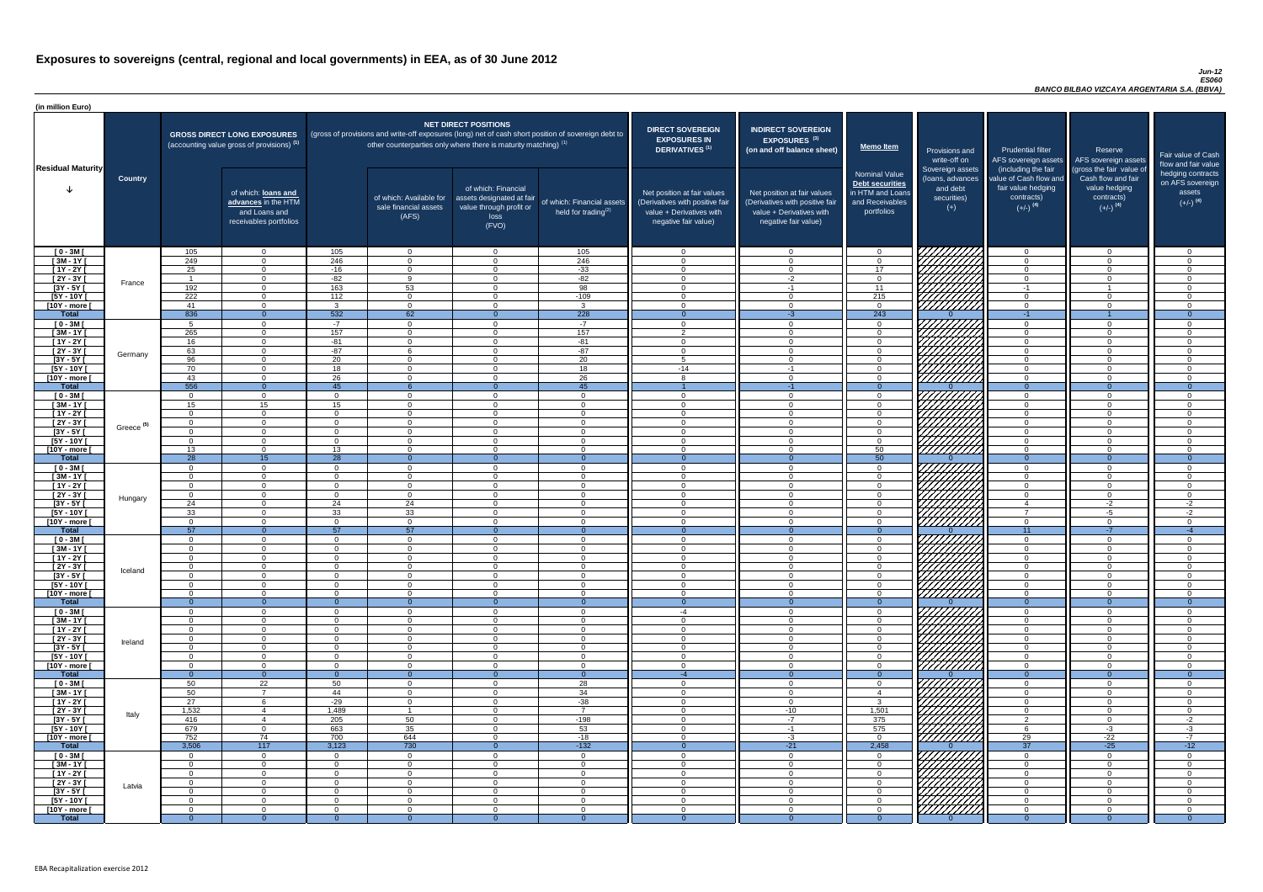#### *Jun-12 ES060 BANCO BILBAO VIZCAYA ARGENTARIA S.A. (BBVA)*

| (in million Euro)             |                       |                       |                                                                                             |                      |                                                                                                                                                                                   |                                                                                              |                                                      |                                                                                                                    |                                                                                                                    |                                                                                              |                                                                          |                                                                                      |                                                                                  |                                                                           |
|-------------------------------|-----------------------|-----------------------|---------------------------------------------------------------------------------------------|----------------------|-----------------------------------------------------------------------------------------------------------------------------------------------------------------------------------|----------------------------------------------------------------------------------------------|------------------------------------------------------|--------------------------------------------------------------------------------------------------------------------|--------------------------------------------------------------------------------------------------------------------|----------------------------------------------------------------------------------------------|--------------------------------------------------------------------------|--------------------------------------------------------------------------------------|----------------------------------------------------------------------------------|---------------------------------------------------------------------------|
| <b>Residual Maturity</b>      |                       |                       | <b>GROSS DIRECT LONG EXPOSURES</b><br>(accounting value gross of provisions) <sup>(1)</sup> |                      | (gross of provisions and write-off exposures (long) net of cash short position of sovereign debt to<br>other counterparties only where there is maturity matching) <sup>(1)</sup> | <b>NET DIRECT POSITIONS</b>                                                                  |                                                      | <b>DIRECT SOVEREIGN</b><br><b>EXPOSURES IN</b><br><b>DERIVATIVES (1)</b>                                           | <b>INDIRECT SOVEREIGN</b><br><b>EXPOSURES<sup>(3)</sup></b><br>(on and off balance sheet)                          | <b>Memo Item</b>                                                                             | Provisions and<br>write-off on                                           | <b>Prudential filter</b><br>(including the fair                                      | Reserve<br>AFS sovereign assets AFS sovereign assets<br>(gross the fair value of | Fair value of Cash<br>flow and fair value                                 |
|                               | <b>Country</b>        |                       | of which: loans and<br>advances in the HTM<br>and Loans and<br>receivables portfolios       |                      | of which: Available for<br>sale financial assets<br>(AFS)                                                                                                                         | of which: Financial<br>assets designated at fair<br>value through profit or<br>loss<br>(FVO) | of which: Financial assets<br>held for trading $(2)$ | Net position at fair values<br>(Derivatives with positive fair<br>value + Derivatives with<br>negative fair value) | Net position at fair values<br>(Derivatives with positive fair<br>value + Derivatives with<br>negative fair value) | <b>Nominal Value</b><br>Debt securities<br>in HTM and Loans<br>and Receivables<br>portfolios | Sovereign assets<br>(loans, advances<br>and debt<br>securities)<br>$(+)$ | value of Cash flow and<br>fair value hedging<br>contracts)<br>$(+/-)$ <sup>(4)</sup> | Cash flow and fair<br>value hedging<br>contracts)<br>$(+/-)$ <sup>(4)</sup>      | hedging contracts<br>on AFS sovereign<br>assets<br>$(+/-)$ <sup>(4)</sup> |
| $[0 - 3M]$                    |                       | 105                   | $\overline{0}$                                                                              | 105                  | $\overline{0}$                                                                                                                                                                    | $\Omega$                                                                                     | 105                                                  | - 0                                                                                                                | $\cap$                                                                                                             | $\overline{0}$                                                                               | 777777777                                                                | $\overline{0}$                                                                       | $\Omega$                                                                         | $\cap$                                                                    |
| $[3M - 1Y]$                   |                       | 249                   | $\overline{0}$                                                                              | 246                  | $\Omega$                                                                                                                                                                          | $\Omega$                                                                                     | 246                                                  | - 0                                                                                                                |                                                                                                                    | $\Omega$                                                                                     |                                                                          | $\overline{0}$                                                                       | $\Omega$                                                                         | $\Omega$                                                                  |
| $[1Y - 2Y]$                   |                       | 25                    | $\overline{0}$                                                                              | $-16$                | $\Omega$                                                                                                                                                                          | $\Omega$                                                                                     | $-33$                                                | $\Omega$                                                                                                           | $\Omega$                                                                                                           | 17 <sup>1</sup>                                                                              |                                                                          | $\overline{0}$                                                                       | $\Omega$                                                                         | $\Omega$                                                                  |
| $[2Y - 3Y]$<br>$[3Y - 5Y]$    | France                | - 1<br>192            | $\overline{0}$<br>$\Omega$                                                                  | $-82$<br>163         | 9<br>53                                                                                                                                                                           | $\Omega$<br>$\Omega$                                                                         | $-82$<br>98                                          | $\overline{0}$<br>$\Omega$                                                                                         | $-2$<br>$-1$                                                                                                       | $\overline{0}$<br>11                                                                         |                                                                          | $\Omega$<br>$-1$                                                                     | $\Omega$<br>$\overline{\mathbf{1}}$                                              | - 0<br>$\cap$                                                             |
| $[5Y - 10Y]$                  |                       | 222                   | $\overline{0}$                                                                              | 112                  | $\Omega$                                                                                                                                                                          | $\Omega$                                                                                     | $-109$                                               | $\cap$                                                                                                             | $\Omega$                                                                                                           | 215                                                                                          | HAHA K                                                                   | $\Omega$                                                                             | $\Omega$                                                                         | $\cap$                                                                    |
| [10Y - more [                 |                       | 41                    | $\Omega$                                                                                    | વ                    | $\Omega$                                                                                                                                                                          | $\Omega$                                                                                     | $\mathbf{3}$                                         | $\cap$                                                                                                             | $\Omega$                                                                                                           | $\Omega$                                                                                     |                                                                          | $\overline{0}$                                                                       | $\Omega$                                                                         | - വ                                                                       |
| Total                         |                       | 836                   | $\Omega$                                                                                    | 532                  | 62                                                                                                                                                                                |                                                                                              | 228                                                  | - 0                                                                                                                | -3                                                                                                                 | 243                                                                                          |                                                                          | $-1$                                                                                 |                                                                                  | $\overline{0}$                                                            |
| $[0 - 3M]$                    |                       | Б.                    | $\Omega$                                                                                    | $-7$                 | $\Omega$                                                                                                                                                                          | $\Omega$                                                                                     | $-7$                                                 | $\sqrt{ }$                                                                                                         | $\Omega$                                                                                                           | $\Omega$                                                                                     |                                                                          | $\Omega$                                                                             | $\Omega$                                                                         | $\cap$                                                                    |
| $[3M - 1Y]$                   |                       | 265                   | $\overline{0}$                                                                              | 157                  | $\overline{0}$                                                                                                                                                                    | $\Omega$                                                                                     | 157                                                  | $\overline{2}$                                                                                                     | $\cap$                                                                                                             | $\Omega$                                                                                     |                                                                          | $\overline{0}$                                                                       | $\Omega$                                                                         | - റ                                                                       |
| $[1Y - 2Y]$                   |                       | 16                    | $\overline{0}$                                                                              | $-81$                | $\overline{0}$                                                                                                                                                                    | $\Omega$                                                                                     | $-81$                                                | $\cap$                                                                                                             |                                                                                                                    | $\Omega$                                                                                     |                                                                          | $\overline{0}$                                                                       | $\Omega$                                                                         | $\Omega$                                                                  |
| $[2Y - 3Y]$<br>$[3Y - 5Y]$    | Germany               | 63<br>$\overline{96}$ | $\overline{0}$<br>$\overline{0}$                                                            | $-87$<br>20          | 6<br>$\Omega$                                                                                                                                                                     | $\Omega$<br>$\Omega$                                                                         | $-87$<br>20                                          | $\cap$<br>$-5$                                                                                                     |                                                                                                                    | $\Omega$<br>$\Omega$                                                                         |                                                                          | $\overline{0}$<br>$\overline{0}$                                                     | $\Omega$<br>$\Omega$                                                             | $\cap$<br>$\cap$                                                          |
| $[5Y - 10Y]$                  |                       | 70                    | $\Omega$                                                                                    | 18                   | $\Omega$                                                                                                                                                                          | $\Omega$                                                                                     | 18                                                   | $-14$                                                                                                              | $-1$                                                                                                               | $\Omega$                                                                                     |                                                                          | $\Omega$                                                                             |                                                                                  | $\Omega$                                                                  |
| [10Y - more [                 |                       | 43                    | $\Omega$                                                                                    | 26                   | $\Omega$                                                                                                                                                                          | $\Omega$                                                                                     | $\overline{26}$                                      |                                                                                                                    |                                                                                                                    | $\Omega$                                                                                     | 777777777                                                                | $\Omega$                                                                             | $\Omega$                                                                         | $\Omega$                                                                  |
| <b>Total</b>                  |                       | 556                   | $\Omega$                                                                                    | 45                   |                                                                                                                                                                                   | $\Omega$                                                                                     | 45                                                   |                                                                                                                    | $-1$                                                                                                               | $\Omega$                                                                                     |                                                                          | $\Omega$                                                                             | $\Omega$                                                                         | $\overline{0}$                                                            |
| $[0 - 3M]$                    |                       | $\cap$                | $\Omega$                                                                                    |                      | $\Omega$                                                                                                                                                                          | $\cap$                                                                                       | $\overline{0}$                                       | റ                                                                                                                  |                                                                                                                    | $\Omega$                                                                                     |                                                                          | $\Omega$                                                                             | $\Omega$                                                                         | $\cap$                                                                    |
| $[3M - 1Y]$                   |                       | 15                    | 15                                                                                          | 15                   | $\Omega$                                                                                                                                                                          | $\Omega$                                                                                     | $\Omega$                                             | $\cap$                                                                                                             |                                                                                                                    | $\Omega$                                                                                     |                                                                          | $\overline{0}$                                                                       | $\Omega$                                                                         | $\Omega$                                                                  |
| $[1Y - 2Y]$                   |                       | $\cap$                | $\overline{0}$                                                                              |                      | $\Omega$                                                                                                                                                                          | $\Omega$                                                                                     | $\overline{0}$                                       | $\cap$                                                                                                             |                                                                                                                    | $\Omega$                                                                                     |                                                                          | $\overline{0}$                                                                       | $\Omega$                                                                         | $\cap$                                                                    |
| $\sqrt{2Y-3Y}$                | Greece <sup>(5)</sup> | $\Omega$              | $\Omega$                                                                                    | $\cap$               | $\Omega$                                                                                                                                                                          | $\Omega$                                                                                     | $\Omega$                                             | $\cap$                                                                                                             | $\Omega$                                                                                                           | $\overline{0}$                                                                               | <i>VHHHA</i>                                                             | $\overline{0}$                                                                       | $\Omega$                                                                         | $\cap$                                                                    |
| [3Y - 5Y<br>$[5Y - 10Y]$      |                       |                       | $\Omega$                                                                                    |                      | $\Omega$                                                                                                                                                                          | $\Omega$                                                                                     | $\Omega$                                             | - 0                                                                                                                |                                                                                                                    | $\overline{0}$                                                                               | HHHH                                                                     | $\overline{0}$                                                                       |                                                                                  |                                                                           |
| [10Y - more [                 |                       | 13                    | $\Omega$                                                                                    | 13                   | $\Omega$                                                                                                                                                                          | $\Omega$                                                                                     | $\Omega$                                             | $\cap$                                                                                                             |                                                                                                                    | 50                                                                                           | 77777777777                                                              | $\overline{0}$                                                                       | $\Omega$                                                                         | $\cap$                                                                    |
| <b>Total</b>                  |                       | 28                    | 15                                                                                          | $\overline{28}$      | $\cap$                                                                                                                                                                            |                                                                                              | $\theta$                                             | $\Omega$                                                                                                           |                                                                                                                    | 50                                                                                           |                                                                          | $\Omega$                                                                             | $\Omega$                                                                         | $\Omega$                                                                  |
| $[0 - 3M]$                    |                       |                       | $\overline{0}$                                                                              | $\Omega$             | $\Omega$                                                                                                                                                                          | $\Omega$                                                                                     | $\overline{0}$                                       | $\cap$                                                                                                             |                                                                                                                    | $\Omega$                                                                                     |                                                                          | $\overline{0}$                                                                       | $\Omega$                                                                         | $\cap$                                                                    |
| $[3M - 1Y]$                   |                       |                       | $\overline{0}$                                                                              | $\Omega$             | $\Omega$                                                                                                                                                                          | $\Omega$                                                                                     | $\overline{0}$                                       | - 0                                                                                                                |                                                                                                                    | $\Omega$                                                                                     | WWWW                                                                     | $\overline{0}$                                                                       | $\Omega$                                                                         | $\cap$                                                                    |
| $[1Y - 2Y]$<br>[2Y - 3Y [     |                       | $\Omega$              | $\overline{0}$<br>$\Omega$                                                                  | $\Omega$<br>$\Omega$ | $\Omega$<br>$\Omega$                                                                                                                                                              | $\Omega$<br>$\Omega$                                                                         | $\overline{0}$<br>$\Omega$                           | - 0<br>- 0                                                                                                         |                                                                                                                    | $\Omega$<br>$\Omega$                                                                         |                                                                          | $\overline{0}$<br>$\overline{0}$                                                     | $\Omega$<br>$\Omega$                                                             | $\Omega$<br>$\Omega$                                                      |
| $[3Y - 5Y]$                   | Hungary               | - 0<br>24             | $\Omega$                                                                                    | 24                   | 24                                                                                                                                                                                | $\Omega$                                                                                     | $\Omega$                                             | $\cap$                                                                                                             | $\cap$                                                                                                             | $\Omega$                                                                                     |                                                                          | -4                                                                                   | $-2$                                                                             | $-2$                                                                      |
| [5Y - 10Y]                    |                       | 33                    | $\overline{0}$                                                                              | 33                   | 33                                                                                                                                                                                | $\Omega$                                                                                     | $\overline{0}$                                       | - 0                                                                                                                | $\Omega$                                                                                                           | $\Omega$                                                                                     |                                                                          | $\overline{7}$                                                                       | -5                                                                               | $-2$                                                                      |
| [10Y - more [                 |                       | $\Omega$              | $\Omega$                                                                                    | $\Omega$             | $\Omega$                                                                                                                                                                          | $\Omega$                                                                                     | $\overline{0}$                                       | റ                                                                                                                  | $\cap$                                                                                                             | $\Omega$                                                                                     | Millith                                                                  | $\overline{0}$                                                                       | $\Omega$                                                                         | - വ                                                                       |
| <b>Total</b>                  |                       | 57                    | $\Omega$                                                                                    | 57                   | 57                                                                                                                                                                                |                                                                                              |                                                      |                                                                                                                    |                                                                                                                    | -0                                                                                           |                                                                          | 11                                                                                   | -7                                                                               |                                                                           |
| $[0 - 3M]$                    |                       | . റ                   | $\overline{0}$                                                                              | $\Omega$             | $\Omega$                                                                                                                                                                          | $\Omega$                                                                                     | $\overline{0}$                                       | - 0                                                                                                                | $\Omega$                                                                                                           | $\Omega$                                                                                     |                                                                          | $\overline{0}$                                                                       | $\Omega$                                                                         | - 0                                                                       |
| $[3M-1Y]$<br>$[1Y - 2Y]$      |                       | $\Omega$<br>$\Omega$  | $\overline{0}$<br>$\Omega$                                                                  | $\Omega$<br>$\Omega$ | $\overline{0}$<br>$\Omega$                                                                                                                                                        | $\Omega$<br>$\Omega$                                                                         | $\overline{0}$<br>$\overline{0}$                     | $\cap$<br>$\Omega$                                                                                                 | $\Omega$<br>$\Omega$                                                                                               | $\Omega$<br>$\Omega$                                                                         |                                                                          | $\overline{0}$<br>$\overline{0}$                                                     | $\Omega$<br>$\Omega$                                                             | $\Omega$<br>$\cap$                                                        |
| $[2Y - 3Y]$                   |                       | $\Omega$              | $\overline{0}$                                                                              | $\Omega$             | $\overline{0}$                                                                                                                                                                    | $\Omega$                                                                                     | $\overline{0}$                                       | $\Omega$                                                                                                           | $\cap$                                                                                                             | $\Omega$                                                                                     |                                                                          | $\overline{0}$                                                                       | $\Omega$                                                                         | $\Omega$                                                                  |
| $[3Y - 5Y]$                   | Iceland               |                       | $\overline{0}$                                                                              | $\Omega$             | $\Omega$                                                                                                                                                                          | $\Omega$                                                                                     | $\Omega$                                             | - വ                                                                                                                |                                                                                                                    | $\Omega$                                                                                     |                                                                          | $\Omega$                                                                             | $\Omega$                                                                         | ി                                                                         |
| $[5Y - 10Y]$                  |                       |                       | $\Omega$                                                                                    | $\Omega$             | $\Omega$                                                                                                                                                                          | $\Omega$                                                                                     | $\Omega$                                             | $\cap$                                                                                                             |                                                                                                                    | $\Omega$                                                                                     |                                                                          | $\Omega$                                                                             | $\Omega$                                                                         | $\cap$                                                                    |
| [10Y - more [                 |                       | $\Omega$              | $\Omega$                                                                                    | $\Omega$             | $\Omega$                                                                                                                                                                          | $\Omega$                                                                                     | $\Omega$                                             | $\cap$                                                                                                             |                                                                                                                    | $\Omega$                                                                                     | 77777777                                                                 | $\Omega$                                                                             | $\Omega$                                                                         | $\cap$                                                                    |
| <b>Total</b>                  |                       | $\Omega$              | $\theta$                                                                                    |                      | $\Omega$                                                                                                                                                                          |                                                                                              | $\theta$                                             | $\overline{0}$                                                                                                     |                                                                                                                    | $\Omega$                                                                                     |                                                                          | $\Omega$                                                                             | $\Omega$                                                                         |                                                                           |
| $[0 - 3M]$<br>$[3M - 1Y]$     |                       | $\Omega$              | $\Omega$<br>$\Omega$                                                                        | $\Omega$<br>$\Omega$ | $\Omega$<br>$\Omega$                                                                                                                                                              | $\Omega$<br>$\Omega$                                                                         | $\Omega$<br>$\Omega$                                 | $-4$<br>$\cap$                                                                                                     |                                                                                                                    | $\Omega$<br>$\Omega$                                                                         |                                                                          | $\Omega$<br>$\overline{0}$                                                           | $\Omega$                                                                         | $\Omega$                                                                  |
| $[1Y - 2Y]$                   |                       | $\cap$                | $\Omega$                                                                                    | $\Omega$             | $\Omega$                                                                                                                                                                          | $\Omega$                                                                                     | $\Omega$                                             | $\cap$                                                                                                             |                                                                                                                    | $\Omega$                                                                                     |                                                                          | $\Omega$                                                                             | $\Omega$                                                                         | $\Omega$                                                                  |
| $[2Y - 3Y]$                   |                       | $\cap$                | $\Omega$                                                                                    | $\Omega$             | $\Omega$                                                                                                                                                                          | $\Omega$                                                                                     | $\Omega$                                             | $\cap$                                                                                                             |                                                                                                                    | $\Omega$                                                                                     | UMMI                                                                     | $\overline{0}$                                                                       | $\Omega$                                                                         | $\Omega$                                                                  |
| $[3Y - 5Y]$                   | Ireland               |                       | $\overline{0}$                                                                              | $\Omega$             | $\Omega$                                                                                                                                                                          | $\Omega$                                                                                     | $\Omega$                                             | $\cap$                                                                                                             |                                                                                                                    | $\Omega$                                                                                     |                                                                          | $\overline{0}$                                                                       | $\Omega$                                                                         | $\Omega$                                                                  |
| $[5Y - 10Y]$                  |                       | $\cap$                | $\Omega$                                                                                    | $\Omega$             | $\Omega$                                                                                                                                                                          | $\Omega$                                                                                     | $\Omega$                                             | $\cap$                                                                                                             |                                                                                                                    | $\Omega$                                                                                     | <u>UMMA</u>                                                              | $\overline{0}$                                                                       | $\Omega$                                                                         | $\Omega$                                                                  |
| [10Y - more [                 |                       | $\Omega$<br>റ         | $\Omega$<br>$\Omega$                                                                        | $\Omega$             | $\Omega$                                                                                                                                                                          | $\Omega$                                                                                     | $\Omega$                                             | $\cap$                                                                                                             |                                                                                                                    | $\Omega$<br>$\Omega$                                                                         |                                                                          | $\overline{0}$<br>$\Omega$                                                           | $\Omega$                                                                         | $\Omega$                                                                  |
| <b>Total</b><br>$[0 - 3M]$    |                       | 50                    | 22                                                                                          | $\Omega$<br>50       | $\Omega$<br>$\Omega$                                                                                                                                                              | $\Omega$                                                                                     | $\theta$<br>28                                       | -4<br>$\cap$                                                                                                       |                                                                                                                    | $\Omega$                                                                                     |                                                                          | $\Omega$                                                                             | $\Omega$<br>∩                                                                    | $\Omega$<br>$\sqrt{ }$                                                    |
| $[3M - 1Y]$                   |                       | 50                    | $\overline{7}$                                                                              | 44                   | $\Omega$                                                                                                                                                                          | $\Omega$                                                                                     | 34                                                   | $\cap$                                                                                                             |                                                                                                                    |                                                                                              |                                                                          | $\overline{0}$                                                                       | $\Omega$                                                                         | $\cap$                                                                    |
| $[1Y - 2Y]$                   |                       | 27                    | 6                                                                                           | $-29$                | $\Omega$                                                                                                                                                                          | $\Omega$                                                                                     | $-38$                                                | $\Omega$                                                                                                           |                                                                                                                    | $\mathbf{3}$                                                                                 |                                                                          | $\overline{0}$                                                                       |                                                                                  |                                                                           |
| $\overline{2Y - 3Y}$          | Italy                 | 1,532                 |                                                                                             | 1,489                |                                                                                                                                                                                   | $\Omega$                                                                                     | $\overline{7}$                                       | - 0                                                                                                                | $-10$                                                                                                              | 1,501                                                                                        | ШШ                                                                       | $\Omega$                                                                             |                                                                                  |                                                                           |
| $[3Y - 5Y]$                   |                       | 416                   |                                                                                             | 205                  | 50                                                                                                                                                                                | $\Omega$                                                                                     | $-198$                                               | - 0                                                                                                                | $-7$                                                                                                               | 375                                                                                          |                                                                          | $\mathcal{P}$                                                                        | $\Omega$                                                                         | $-2$                                                                      |
| [5Y - 10Y]                    |                       | 679<br>752            | $\overline{0}$<br>74                                                                        | 663                  | 35                                                                                                                                                                                | $\Omega$<br>$\Omega$                                                                         | 53                                                   | - 0<br>റ                                                                                                           | -1                                                                                                                 | 575                                                                                          | 777777777                                                                | -6                                                                                   | $-3$                                                                             | $-3$                                                                      |
| [10Y - more [<br><b>Total</b> |                       | 3,506                 | 117                                                                                         | 700<br>3,123         | 644<br>730                                                                                                                                                                        |                                                                                              | $-18$<br>$-132$                                      |                                                                                                                    | -3<br>$-21$                                                                                                        | $\Omega$<br>2,458                                                                            |                                                                          | 29<br>37                                                                             | $-22$<br>$-25$                                                                   | $-7$<br>$-12$                                                             |
| $[0 - 3M]$                    |                       | $\Omega$              | $\overline{0}$                                                                              | $\cap$               | $\Omega$                                                                                                                                                                          | $\Omega$                                                                                     | $\Omega$                                             | $\cap$                                                                                                             | $\cap$                                                                                                             | $\Omega$                                                                                     | 7777777777                                                               | $\overline{0}$                                                                       | $\Omega$                                                                         | $\Omega$                                                                  |
| $[3M - 1Y]$                   |                       | $\Omega$              | $\overline{0}$                                                                              | $\Omega$             | $\overline{0}$                                                                                                                                                                    | $\overline{0}$                                                                               | $\overline{0}$                                       | - 0                                                                                                                | $\Omega$                                                                                                           | $\Omega$                                                                                     |                                                                          | $\overline{0}$                                                                       | $\Omega$                                                                         | - 0                                                                       |
| $[1Y - 2Y]$                   |                       | $\Omega$              | $\overline{0}$                                                                              | $\Omega$             | $\Omega$                                                                                                                                                                          | $\overline{0}$                                                                               | $\overline{0}$                                       | $\Omega$                                                                                                           | $\Omega$                                                                                                           | $\overline{0}$                                                                               |                                                                          | $\overline{0}$                                                                       | $\Omega$                                                                         | - 0                                                                       |
| $[2Y - 3Y]$                   | Latvia                | $\overline{0}$        | $\overline{0}$                                                                              | $\overline{0}$       | $\overline{0}$                                                                                                                                                                    | $\overline{0}$                                                                               | $\overline{0}$                                       | $\overline{0}$                                                                                                     | - 0                                                                                                                | $\Omega$                                                                                     | $\frac{1}{2}$                                                            | $\overline{0}$                                                                       | $\overline{0}$                                                                   | $\overline{0}$                                                            |
| $[3Y - 5Y]$                   |                       | . റ                   | $\overline{0}$                                                                              | $\Omega$             | $\overline{0}$                                                                                                                                                                    | $\overline{0}$                                                                               | $\overline{0}$                                       | - 0                                                                                                                | ി<br>$\Omega$                                                                                                      | $\Omega$                                                                                     |                                                                          | $\overline{0}$                                                                       | $\Omega$                                                                         | - 0                                                                       |
| [5Y - 10Y [<br>[10Y - more [  |                       | $\Omega$<br>$\Omega$  | $\overline{0}$<br>$\Omega$                                                                  | $\Omega$<br>$\Omega$ | $\Omega$<br>- 0                                                                                                                                                                   | $\overline{0}$<br>$\overline{0}$                                                             | $\overline{0}$<br>$\Omega$                           | $\Omega$<br>- 0                                                                                                    | $\cap$                                                                                                             | $\Omega$<br>$\Omega$                                                                         |                                                                          | $\Omega$<br>$\Omega$                                                                 | $\Omega$<br>$\Omega$                                                             | $\Omega$<br>$\Omega$                                                      |
| <b>Total</b>                  |                       |                       | $\Omega$                                                                                    |                      |                                                                                                                                                                                   |                                                                                              |                                                      |                                                                                                                    |                                                                                                                    |                                                                                              |                                                                          | $\Omega$                                                                             |                                                                                  | $\Omega$                                                                  |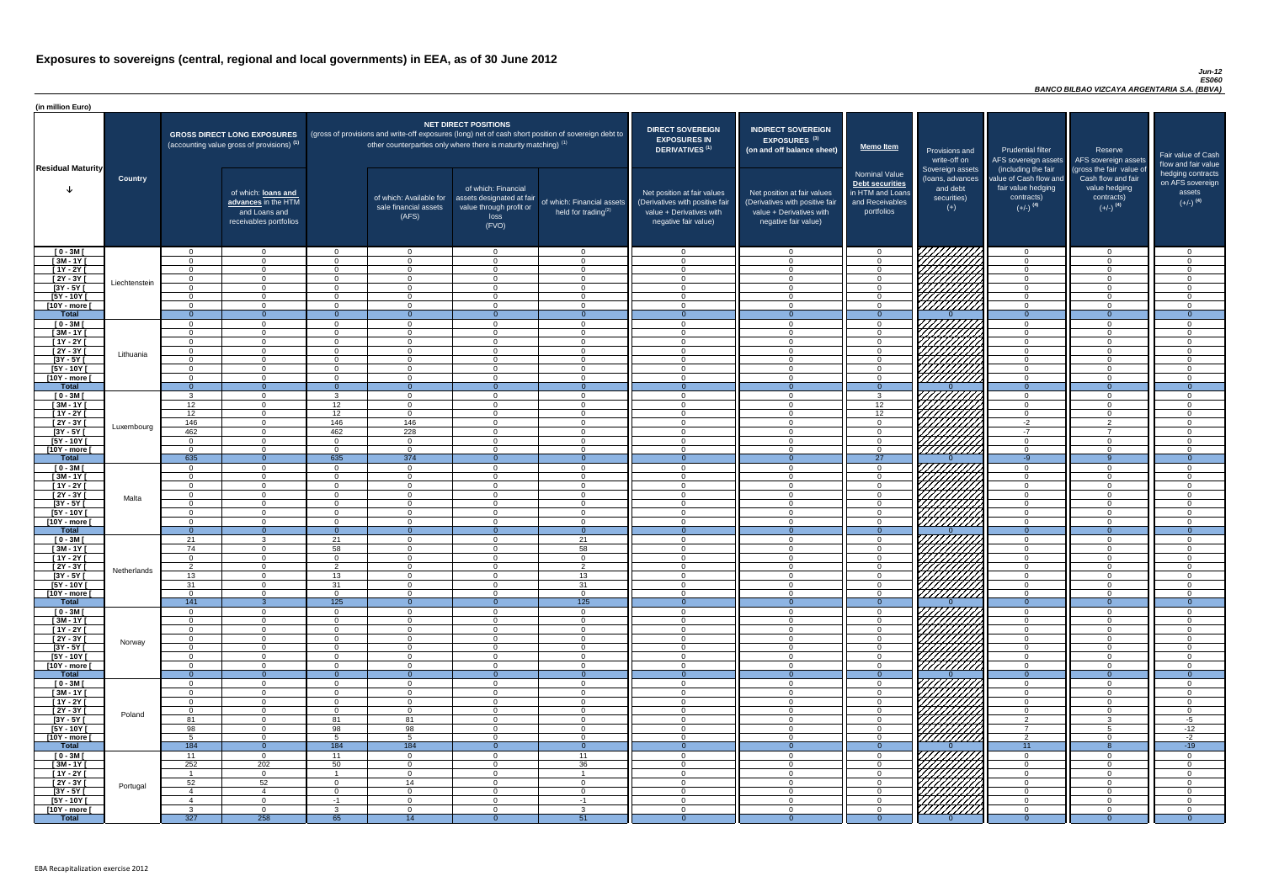#### *Jun-12 ES060 BANCO BILBAO VIZCAYA ARGENTARIA S.A. (BBVA)*

| <b>DIRECT SOVEREIGN</b><br><b>EXPOSURES IN</b><br><b>DERIVATIVES<sup>(1)</sup></b><br>Net position at fair values<br>(Derivatives with positive fair<br>value + Derivatives with<br>negative fair value) | <b>INDIRECT SOVEREIGN</b><br>EXPOSURES <sup>(3)</sup><br>(on and off balance sheet)<br>Net position at fair values<br>(Derivatives with positive fair<br>value + Derivatives with<br>negative fair value) | <b>Memo Item</b><br><b>Nominal Value</b><br>Debt securities<br>in HTM and Loans<br>and Receivables<br>portfolios | Provisions and<br>write-off on<br>Sovereign assets<br>(loans, advances<br>and debt<br>securities)<br>$(+)$ | <b>Prudential filter</b><br>AFS sovereign assets<br>(including the fair<br>value of Cash flow and<br>fair value hedging<br>contracts)<br>$(+/-)$ <sup>(4)</sup> | Reserve<br>AFS sovereign assets<br>(gross the fair value of<br>Cash flow and fair<br>value hedging<br>contracts)<br>$(+/-)$ <sup>(4)</sup> | Fair value of Cash<br>flow and fair value<br>hedging contracts<br>on AFS sovereign<br>assets<br>$(+/-)$ <sup>(4)</sup> |
|----------------------------------------------------------------------------------------------------------------------------------------------------------------------------------------------------------|-----------------------------------------------------------------------------------------------------------------------------------------------------------------------------------------------------------|------------------------------------------------------------------------------------------------------------------|------------------------------------------------------------------------------------------------------------|-----------------------------------------------------------------------------------------------------------------------------------------------------------------|--------------------------------------------------------------------------------------------------------------------------------------------|------------------------------------------------------------------------------------------------------------------------|
| $\mathbf 0$                                                                                                                                                                                              | $\overline{0}$                                                                                                                                                                                            | $\mathbf 0$                                                                                                      |                                                                                                            | $\mathbf 0$                                                                                                                                                     | $\overline{0}$                                                                                                                             | 0                                                                                                                      |
| $\mathbf 0$                                                                                                                                                                                              | $\mathbf 0$                                                                                                                                                                                               | $\mathbf 0$                                                                                                      |                                                                                                            | $\mathbf 0$                                                                                                                                                     | $\overline{0}$                                                                                                                             | $\overline{0}$                                                                                                         |
| $\pmb{0}$                                                                                                                                                                                                | $\mathbf 0$                                                                                                                                                                                               | $\mathbf 0$                                                                                                      |                                                                                                            | $\mathbf 0$                                                                                                                                                     | $\mathbf 0$                                                                                                                                | $\overline{0}$                                                                                                         |
| $\mathbf 0$                                                                                                                                                                                              | $\mathbf 0$                                                                                                                                                                                               | $\mathbf 0$                                                                                                      |                                                                                                            | $\mathbf 0$                                                                                                                                                     | $\mathbf 0$                                                                                                                                | $\overline{0}$                                                                                                         |
| $\mathbf 0$<br>$\pmb{0}$                                                                                                                                                                                 | $\mathbf 0$<br>$\pmb{0}$                                                                                                                                                                                  | $\mathbf 0$<br>$\mathbf 0$                                                                                       |                                                                                                            | $\mathbf 0$<br>$\pmb{0}$                                                                                                                                        | $\mathbf 0$<br>$\mathbf 0$                                                                                                                 | 0<br>0                                                                                                                 |
| $\mathbf 0$                                                                                                                                                                                              | $\mathbf 0$                                                                                                                                                                                               | $\mathbf 0$                                                                                                      |                                                                                                            | $\mathbf 0$                                                                                                                                                     | $\mathbf 0$                                                                                                                                | 0                                                                                                                      |
| $\overline{0}$                                                                                                                                                                                           | $\overline{0}$                                                                                                                                                                                            | $\overline{0}$                                                                                                   |                                                                                                            | $\overline{0}$                                                                                                                                                  | $\overline{0}$                                                                                                                             | $\overline{0}$                                                                                                         |
| $\mathbf 0$                                                                                                                                                                                              | $\mathbf 0$                                                                                                                                                                                               | $\mathbf 0$                                                                                                      |                                                                                                            | $\mathbf 0$                                                                                                                                                     | $\mathbf 0$                                                                                                                                | 0                                                                                                                      |
| $\mathbf 0$                                                                                                                                                                                              | $\mathbf 0$                                                                                                                                                                                               | $\overline{0}$                                                                                                   |                                                                                                            | $\mathbf 0$                                                                                                                                                     | $\mathbf 0$                                                                                                                                | 0                                                                                                                      |
| $\mathbf 0$<br>$\mathbf 0$                                                                                                                                                                               | $\mathbf 0$<br>$\mathbf 0$                                                                                                                                                                                | $\mathbf 0$<br>$\boldsymbol{0}$                                                                                  |                                                                                                            | $\mathbf 0$<br>$\mathbf 0$                                                                                                                                      | $\mathbf 0$<br>$\mathbf 0$                                                                                                                 | 0<br>0                                                                                                                 |
| $\mathbf 0$                                                                                                                                                                                              | $\mathbf 0$                                                                                                                                                                                               | $\mathbf 0$                                                                                                      |                                                                                                            | $\mathbf 0$                                                                                                                                                     | $\mathbf 0$                                                                                                                                | 0                                                                                                                      |
| $\mathbf 0$                                                                                                                                                                                              | $\mathbf 0$                                                                                                                                                                                               | $\mathbf 0$                                                                                                      |                                                                                                            | $\mathbf 0$                                                                                                                                                     | $\mathbf 0$                                                                                                                                | 0                                                                                                                      |
| $\mathbf 0$                                                                                                                                                                                              | $\mathbf 0$                                                                                                                                                                                               | $\mathbf 0$                                                                                                      |                                                                                                            | $\mathbf 0$                                                                                                                                                     | $\mathbf 0$                                                                                                                                | 0                                                                                                                      |
| $\mathbf{0}$                                                                                                                                                                                             | $\overline{0}$                                                                                                                                                                                            | $\overline{0}$                                                                                                   | $\Omega$                                                                                                   | $\overline{0}$                                                                                                                                                  | $\overline{0}$                                                                                                                             | $\overline{0}$                                                                                                         |
| $\mathbf 0$<br>$\mathbf 0$                                                                                                                                                                               | $\mathbf 0$<br>$\mathbf 0$                                                                                                                                                                                | 3<br>12                                                                                                          |                                                                                                            | $\mathbf 0$<br>$\mathbf 0$                                                                                                                                      | $\overline{0}$<br>$\mathbf 0$                                                                                                              | 0<br>0                                                                                                                 |
| $\mathbf 0$                                                                                                                                                                                              | $\mathbf 0$                                                                                                                                                                                               | $\overline{12}$                                                                                                  |                                                                                                            | $\mathbf 0$                                                                                                                                                     | $\mathbf 0$                                                                                                                                | 0                                                                                                                      |
| $\mathbf 0$                                                                                                                                                                                              | $\mathbf 0$                                                                                                                                                                                               | $\mathbf 0$                                                                                                      |                                                                                                            | $-2$                                                                                                                                                            | $\boldsymbol{2}$                                                                                                                           | 0                                                                                                                      |
| $\mathbf 0$                                                                                                                                                                                              | $\mathbf 0$                                                                                                                                                                                               | $\mathbf 0$                                                                                                      |                                                                                                            | $-7$                                                                                                                                                            | $\overline{7}$                                                                                                                             | 0                                                                                                                      |
| 0                                                                                                                                                                                                        | 0                                                                                                                                                                                                         | 0                                                                                                                | <u> HHA</u>                                                                                                | 0                                                                                                                                                               | 0                                                                                                                                          | 0                                                                                                                      |
| $\mathbf{0}$<br>$\mathbf{0}$                                                                                                                                                                             | $\mathbf{0}$<br>$\overline{0}$                                                                                                                                                                            | $\mathbf 0$<br>$\overline{27}$                                                                                   | $\mathbf{0}$                                                                                               | $\mathbf{0}$<br>$-9$                                                                                                                                            | $\Omega$<br>9 <sup>°</sup>                                                                                                                 | 0<br>$\overline{0}$                                                                                                    |
| 0                                                                                                                                                                                                        | $\boldsymbol{0}$                                                                                                                                                                                          | $\mathbf 0$                                                                                                      |                                                                                                            | $\mathbf 0$                                                                                                                                                     | $\mathbf 0$                                                                                                                                | 0                                                                                                                      |
| $\mathbf 0$                                                                                                                                                                                              | $\mathbf 0$                                                                                                                                                                                               | $\boldsymbol{0}$                                                                                                 |                                                                                                            | $\mathbf 0$                                                                                                                                                     | $\mathbf 0$                                                                                                                                | 0                                                                                                                      |
| $\mathbf 0$                                                                                                                                                                                              | $\mathbf 0$                                                                                                                                                                                               | $\mathbf 0$                                                                                                      |                                                                                                            | $\pmb{0}$                                                                                                                                                       | $\mathbf 0$                                                                                                                                | 0                                                                                                                      |
| $\mathbf 0$                                                                                                                                                                                              | $\mathbf 0$                                                                                                                                                                                               | $\mathbf 0$                                                                                                      |                                                                                                            | $\mathbf 0$                                                                                                                                                     | $\mathbf 0$                                                                                                                                | 0                                                                                                                      |
| $\mathbf 0$<br>0                                                                                                                                                                                         | $\mathbf 0$<br>$\mathbf 0$                                                                                                                                                                                | $\mathbf 0$<br>$\mathsf 0$                                                                                       |                                                                                                            | $\mathbf 0$<br>$\mathbf 0$                                                                                                                                      | $\mathbf 0$<br>$\overline{0}$                                                                                                              | 0<br>0                                                                                                                 |
| $\mathbf 0$                                                                                                                                                                                              | $\mathbf 0$                                                                                                                                                                                               | $\mathbf 0$                                                                                                      |                                                                                                            | $\mathbf 0$                                                                                                                                                     | $\mathbf 0$                                                                                                                                | 0                                                                                                                      |
| $\mathbf{0}$                                                                                                                                                                                             | $\overline{0}$                                                                                                                                                                                            | $\overline{0}$                                                                                                   | $\overline{0}$                                                                                             | $\overline{0}$                                                                                                                                                  | $\overline{0}$                                                                                                                             | $\overline{0}$                                                                                                         |
| $\mathbf 0$                                                                                                                                                                                              | $\mathbf 0$                                                                                                                                                                                               | $\mathbf 0$                                                                                                      |                                                                                                            | $\mathbf 0$                                                                                                                                                     | $\mathbf 0$                                                                                                                                | 0                                                                                                                      |
| 0                                                                                                                                                                                                        | $\mathbf 0$                                                                                                                                                                                               | $\mathbf 0$                                                                                                      |                                                                                                            | $\mathbf 0$                                                                                                                                                     | 0                                                                                                                                          | 0                                                                                                                      |
| 0                                                                                                                                                                                                        | $\mathbf 0$                                                                                                                                                                                               | $\mathbf 0$                                                                                                      |                                                                                                            | 0                                                                                                                                                               | 0                                                                                                                                          | 0<br>0                                                                                                                 |
| 0<br>$\mathbf 0$                                                                                                                                                                                         | $\mathbf 0$<br>$\mathbf 0$                                                                                                                                                                                | $\mathbf 0$<br>$\pmb{0}$                                                                                         |                                                                                                            | $\mathbf 0$<br>$\mathbf 0$                                                                                                                                      | $\mathbf 0$<br>$\mathbf 0$                                                                                                                 | 0                                                                                                                      |
| $\mathbf 0$                                                                                                                                                                                              | $\mathbf 0$                                                                                                                                                                                               | $\mathbf 0$                                                                                                      |                                                                                                            | $\mathbf 0$                                                                                                                                                     | 0                                                                                                                                          | 0                                                                                                                      |
| $\mathbf 0$                                                                                                                                                                                              | $\mathbf 0$                                                                                                                                                                                               | $\mathbf 0$                                                                                                      |                                                                                                            | $\mathbf 0$                                                                                                                                                     | 0                                                                                                                                          | 0                                                                                                                      |
| $\mathbf{0}$                                                                                                                                                                                             | $\overline{0}$                                                                                                                                                                                            | $\overline{0}$                                                                                                   | $\mathbf 0$                                                                                                | $\overline{0}$                                                                                                                                                  | $\overline{0}$                                                                                                                             | $\overline{0}$                                                                                                         |
| 0<br>0                                                                                                                                                                                                   | 0<br>$\mathbf 0$                                                                                                                                                                                          | $\mathbf 0$<br>$\mathbf 0$                                                                                       |                                                                                                            | $\mathbf 0$<br>$\mathbf 0$                                                                                                                                      | 0<br>0                                                                                                                                     | 0<br>0                                                                                                                 |
| $\mathbf 0$                                                                                                                                                                                              | $\mathbf 0$                                                                                                                                                                                               | $\mathbf 0$                                                                                                      |                                                                                                            | $\mathbf 0$                                                                                                                                                     | $\mathbf 0$                                                                                                                                | 0                                                                                                                      |
| $\mathbf 0$                                                                                                                                                                                              | $\mathbf 0$                                                                                                                                                                                               | $\mathbf 0$                                                                                                      |                                                                                                            | $\mathbf 0$                                                                                                                                                     | $\mathbf 0$                                                                                                                                | 0                                                                                                                      |
| 0                                                                                                                                                                                                        | 0                                                                                                                                                                                                         | $\mathbf 0$                                                                                                      |                                                                                                            | 0                                                                                                                                                               | $\mathbf{0}$                                                                                                                               | 0                                                                                                                      |
| 0                                                                                                                                                                                                        | 0                                                                                                                                                                                                         | $\mathbf 0$                                                                                                      |                                                                                                            | 0                                                                                                                                                               | $\Omega$                                                                                                                                   | 0                                                                                                                      |
| 0<br>$\mathbf{0}$                                                                                                                                                                                        | 0<br>$\overline{0}$                                                                                                                                                                                       | $\mathbf 0$<br>$\overline{0}$                                                                                    | $\overline{0}$                                                                                             | 0<br>$\overline{0}$                                                                                                                                             | 0<br>$\overline{0}$                                                                                                                        | 0<br>$\overline{0}$                                                                                                    |
| 0                                                                                                                                                                                                        | 0                                                                                                                                                                                                         | $\mathbf 0$                                                                                                      |                                                                                                            | 0                                                                                                                                                               | $\mathbf 0$                                                                                                                                | 0                                                                                                                      |
| $\mathbf 0$                                                                                                                                                                                              | $\mathbf 0$                                                                                                                                                                                               | $\mathbf 0$                                                                                                      |                                                                                                            | $\mathbf 0$                                                                                                                                                     | $\mathbf 0$                                                                                                                                | 0                                                                                                                      |
| $\mathbf 0$                                                                                                                                                                                              | $\mathbf 0$                                                                                                                                                                                               | $\mathbf 0$                                                                                                      |                                                                                                            | $\mathbf 0$                                                                                                                                                     | $\overline{0}$                                                                                                                             | 0                                                                                                                      |
| $\mathbf 0$                                                                                                                                                                                              | $\mathbf 0$                                                                                                                                                                                               | $\mathbf 0$                                                                                                      |                                                                                                            | $\mathbf 0$                                                                                                                                                     | $\overline{0}$                                                                                                                             | 0                                                                                                                      |
| 0<br>0                                                                                                                                                                                                   | $\mathbf 0$<br>$\mathbf 0$                                                                                                                                                                                | $\mathsf 0$<br>$\mathbf 0$                                                                                       |                                                                                                            | $\overline{2}$<br>$\overline{7}$                                                                                                                                | 3<br>5                                                                                                                                     | $-5$<br>$-12$                                                                                                          |
| $\mathbf 0$                                                                                                                                                                                              | $\pmb{0}$                                                                                                                                                                                                 | $\mathbf 0$                                                                                                      |                                                                                                            | $\overline{2}$                                                                                                                                                  | $\overline{0}$                                                                                                                             | $-2$                                                                                                                   |
| $\mathbf{0}$                                                                                                                                                                                             | $\overline{0}$                                                                                                                                                                                            | $\overline{0}$                                                                                                   | $\overline{0}$                                                                                             | $\overline{11}$                                                                                                                                                 | $\overline{8}$                                                                                                                             | $-19$                                                                                                                  |
| 0                                                                                                                                                                                                        | $\mathbf 0$                                                                                                                                                                                               | $\mathbf 0$                                                                                                      |                                                                                                            | $\mathbf 0$                                                                                                                                                     | $\mathbf 0$                                                                                                                                | 0                                                                                                                      |
| $\Omega$                                                                                                                                                                                                 | $\Omega$                                                                                                                                                                                                  | $\Omega$                                                                                                         |                                                                                                            | $\Omega$                                                                                                                                                        | $\overline{0}$                                                                                                                             | $\overline{0}$                                                                                                         |
| $\mathbf 0$                                                                                                                                                                                              | 0<br>$\overline{0}$                                                                                                                                                                                       | $\mathbf 0$<br>$\boldsymbol{0}$                                                                                  |                                                                                                            | $\mathbf 0$<br>$\overline{0}$                                                                                                                                   | $\mathbf 0$<br>$\overline{0}$                                                                                                              | 0<br>$\overline{0}$                                                                                                    |
| $\mathbf 0$<br>$\mathbf 0$                                                                                                                                                                               | $\mathbf 0$                                                                                                                                                                                               | $\overline{0}$                                                                                                   |                                                                                                            | $\mathbf 0$                                                                                                                                                     | $\mathbf 0$                                                                                                                                | $\overline{0}$                                                                                                         |
| $\mathbf 0$                                                                                                                                                                                              | $\overline{0}$                                                                                                                                                                                            | $\pmb{0}$                                                                                                        |                                                                                                            | $\mathbf 0$                                                                                                                                                     | $\overline{0}$                                                                                                                             | $\overline{0}$                                                                                                         |
| $\mathbf 0$                                                                                                                                                                                              | $\mathbf 0$                                                                                                                                                                                               | $\mathbf 0$                                                                                                      |                                                                                                            | $\overline{0}$                                                                                                                                                  | $\mathbf 0$                                                                                                                                | $\overline{0}$                                                                                                         |
| $\overline{0}$                                                                                                                                                                                           | $\overline{0}$                                                                                                                                                                                            | $\overline{0}$                                                                                                   | 0                                                                                                          | $\overline{0}$                                                                                                                                                  | $\overline{0}$                                                                                                                             | $\overline{0}$                                                                                                         |

| (in million Euro)             |                |                         |                                                                                             |                            |                                                                                                                                                                                   |                                                                                              |                                                      |                                                                                                                    |                                                                                                                    |                                                                                              |                                                                          |                                                                                                             |                                                                                                         |                                            |
|-------------------------------|----------------|-------------------------|---------------------------------------------------------------------------------------------|----------------------------|-----------------------------------------------------------------------------------------------------------------------------------------------------------------------------------|----------------------------------------------------------------------------------------------|------------------------------------------------------|--------------------------------------------------------------------------------------------------------------------|--------------------------------------------------------------------------------------------------------------------|----------------------------------------------------------------------------------------------|--------------------------------------------------------------------------|-------------------------------------------------------------------------------------------------------------|---------------------------------------------------------------------------------------------------------|--------------------------------------------|
| <b>Residual Maturity</b>      |                |                         | <b>GROSS DIRECT LONG EXPOSURES</b><br>(accounting value gross of provisions) <sup>(1)</sup> |                            | (gross of provisions and write-off exposures (long) net of cash short position of sovereign debt to<br>other counterparties only where there is maturity matching) <sup>(1)</sup> | <b>NET DIRECT POSITIONS</b>                                                                  |                                                      | <b>DIRECT SOVEREIGN</b><br><b>EXPOSURES IN</b><br>DERIVATIVES <sup>(1)</sup>                                       | <b>INDIRECT SOVEREIGN</b><br><b>EXPOSURES<sup>(3)</sup></b><br>(on and off balance sheet)                          | <b>Memo Item</b>                                                                             | Provisions and<br>write-off on                                           | <b>Prudential filter</b><br>AFS sovereign assets                                                            | Reserve<br>AFS sovereign assets                                                                         | Fair value<br>flow and fa                  |
|                               | <b>Country</b> |                         | of which: loans and<br>advances in the HTM<br>and Loans and<br>receivables portfolios       |                            | of which: Available for<br>sale financial assets<br>(AFS)                                                                                                                         | of which: Financial<br>assets designated at fair<br>value through profit or<br>loss<br>(FVO) | of which: Financial assets<br>held for trading $(2)$ | Net position at fair values<br>(Derivatives with positive fair<br>value + Derivatives with<br>negative fair value) | Net position at fair values<br>(Derivatives with positive fair<br>value + Derivatives with<br>negative fair value) | <b>Nominal Value</b><br>Debt securities<br>in HTM and Loans<br>and Receivables<br>portfolios | Sovereign assets<br>(loans, advances<br>and debt<br>securities)<br>$(+)$ | (including the fair<br>value of Cash flow and<br>fair value hedging<br>contracts)<br>$(+/-)$ <sup>(4)</sup> | (gross the fair value of<br>Cash flow and fair<br>value hedging<br>contracts)<br>$(+/-)$ <sup>(4)</sup> | hedging co<br>on AFS sc<br>asse<br>$(+/-)$ |
| $[0 - 3M]$                    |                | $\cap$                  | $\Omega$                                                                                    | $\cap$                     | $\Omega$                                                                                                                                                                          | - റ                                                                                          | $\overline{0}$                                       | $\Omega$                                                                                                           | $\Omega$                                                                                                           | $\overline{0}$                                                                               | THE REAL PROPERTY                                                        | $\cap$                                                                                                      | <u>റ</u>                                                                                                |                                            |
| $[3M - 1Y]$                   |                | $\cap$                  | $\Omega$                                                                                    | $\Omega$                   | $\Omega$<br>$\Omega$                                                                                                                                                              | $\cap$<br>$\cap$                                                                             | $\Omega$<br>$\Omega$                                 |                                                                                                                    | $\Omega$                                                                                                           | $\Omega$<br>$\Omega$                                                                         |                                                                          |                                                                                                             | $\Omega$                                                                                                |                                            |
| $[1Y - 2Y]$<br>$[2Y - 3Y]$    |                | $\cap$                  | $\Omega$<br>$\overline{0}$                                                                  | $\cap$                     | $\Omega$                                                                                                                                                                          | $\cap$                                                                                       | $\Omega$                                             |                                                                                                                    | $\Omega$<br>$\Omega$                                                                                               | $\Omega$                                                                                     |                                                                          |                                                                                                             | $\Omega$                                                                                                |                                            |
| $[3Y - 5Y]$                   | Liechtenstein  | $\Omega$                | $\Omega$                                                                                    | $\cap$                     | $\Omega$                                                                                                                                                                          | $\cap$                                                                                       | $\Omega$                                             | $\Omega$                                                                                                           | $\Omega$                                                                                                           | $\cap$                                                                                       |                                                                          | $\Omega$                                                                                                    | $\Omega$                                                                                                | $\cap$                                     |
| $[5Y - 10Y]$                  |                | $\cap$                  | $\Omega$                                                                                    | $\Omega$                   | $\Omega$                                                                                                                                                                          | $\sqrt{ }$                                                                                   | $\Omega$                                             | $\cap$                                                                                                             | $\Omega$                                                                                                           | $\Omega$                                                                                     |                                                                          | $\Omega$                                                                                                    | $\cap$                                                                                                  |                                            |
| [10Y - more [                 |                | $\cap$                  | $\Omega$                                                                                    | $\Omega$                   | $\Omega$                                                                                                                                                                          | $\cap$                                                                                       | $\Omega$                                             | $\cap$                                                                                                             | $\Omega$                                                                                                           | $\overline{0}$                                                                               |                                                                          | $\Omega$                                                                                                    | $\cap$                                                                                                  |                                            |
| <b>Total</b><br>$[0 - 3M]$    |                | $\Omega$<br>$\Omega$    | $\Omega$<br>$\Omega$                                                                        | $\cap$                     | $\Omega$<br>$\Omega$                                                                                                                                                              | $\Omega$<br>$\cap$                                                                           | $\Omega$                                             | $\Omega$<br>$\cap$                                                                                                 | $\Omega$<br>$\Omega$                                                                                               | - 0<br>$\Omega$                                                                              |                                                                          | $\Omega$                                                                                                    | $\Omega$<br>$\Omega$                                                                                    |                                            |
| $[3M - 1Y]$                   |                | $\Omega$                | $\overline{0}$                                                                              | $\cap$                     | $\Omega$                                                                                                                                                                          | $\Omega$                                                                                     | $\Omega$                                             | $\cap$                                                                                                             | $\Omega$                                                                                                           | $\overline{0}$                                                                               |                                                                          | $\Omega$                                                                                                    | $\Omega$                                                                                                |                                            |
| $[1Y - 2Y]$                   |                | $\Omega$                | $\Omega$                                                                                    | $\cap$                     | $\Omega$                                                                                                                                                                          | $\Omega$                                                                                     | $\Omega$                                             | $\Omega$                                                                                                           | $\Omega$                                                                                                           | $\overline{0}$                                                                               | WITHDA S                                                                 | $\Omega$                                                                                                    | $\Omega$                                                                                                |                                            |
| $[2Y - 3Y]$                   | Lithuania      | $\Omega$                | $\Omega$                                                                                    | $\cap$                     | $\Omega$                                                                                                                                                                          | $\bigcap$                                                                                    | $\Omega$                                             | $\Omega$                                                                                                           | $\Omega$                                                                                                           | $\Omega$                                                                                     |                                                                          | $\Omega$                                                                                                    | $\Omega$                                                                                                | $\Omega$                                   |
| $[3Y - 5Y]$<br>$[5Y - 10Y]$   |                | $\cap$                  | $\overline{0}$<br>$\overline{0}$                                                            | റ                          | $\Omega$<br>$\Omega$                                                                                                                                                              | $\cap$<br>$\cap$                                                                             | $\overline{0}$<br>$\Omega$                           | $\Omega$                                                                                                           | $\overline{0}$<br>$\Omega$                                                                                         | $\Omega$<br>$\Omega$                                                                         | HAHARA SADARA KE                                                         | $\Omega$                                                                                                    | $\Omega$                                                                                                | $\Omega$                                   |
| [10Y - more [                 |                | $\cap$                  | $\Omega$                                                                                    | $\Omega$                   | $\Omega$                                                                                                                                                                          | $\cap$                                                                                       | $\Omega$                                             |                                                                                                                    | $\Omega$                                                                                                           | $\Omega$                                                                                     |                                                                          | $\Omega$                                                                                                    | $\cap$                                                                                                  |                                            |
| <b>Total</b>                  |                | $\overline{0}$          | $\overline{0}$                                                                              | $\Omega$                   | $\Omega$                                                                                                                                                                          | - 0                                                                                          | $\Omega$                                             | $\Omega$                                                                                                           | $\Omega$                                                                                                           | $\Omega$                                                                                     |                                                                          |                                                                                                             | $\overline{0}$                                                                                          | $\Omega$                                   |
| $[0 - 3M]$                    |                |                         | $\Omega$                                                                                    | $\mathbf{R}$               | $\Omega$                                                                                                                                                                          | റ                                                                                            | $\Omega$                                             | $\Omega$                                                                                                           | $\Omega$                                                                                                           | $\overline{\mathbf{3}}$                                                                      | WATER S                                                                  | $\Omega$                                                                                                    | $\Omega$                                                                                                |                                            |
| $[3M - 1Y]$                   |                | 12<br>12                | $\Omega$                                                                                    | 12<br>12                   | $\Omega$<br>$\Omega$                                                                                                                                                              | $\cap$<br>റ                                                                                  | $\Omega$<br>$\Omega$                                 | $\cap$<br>$\Omega$                                                                                                 | $\Omega$                                                                                                           | 12<br>12                                                                                     |                                                                          | $\Omega$<br>$\cap$                                                                                          | $\Omega$<br>$\cap$                                                                                      | $\Omega$<br>$\Omega$                       |
| $[1Y - 2Y]$<br>$[2Y - 3Y]$    |                | 146                     | $\Omega$<br>$\Omega$                                                                        | 146                        | 146                                                                                                                                                                               | $\cap$                                                                                       | $\Omega$                                             | റ                                                                                                                  | $\Omega$<br>$\Omega$                                                                                               | $\Omega$                                                                                     |                                                                          | $-2$                                                                                                        | $\Omega$                                                                                                | $\Omega$                                   |
| $[3Y - 5Y]$                   | Luxembourg     | 462                     |                                                                                             | 462                        | 228                                                                                                                                                                               |                                                                                              |                                                      |                                                                                                                    |                                                                                                                    |                                                                                              |                                                                          | $-$ (                                                                                                       |                                                                                                         |                                            |
| [5Y - 10Y [                   |                | $\Omega$                | $\Omega$                                                                                    | $\cap$                     | $\Omega$                                                                                                                                                                          | റ                                                                                            | $\Omega$                                             | $\cap$                                                                                                             | $\Omega$                                                                                                           | - 0                                                                                          | Hittitler                                                                | $\Omega$                                                                                                    | $\cap$                                                                                                  |                                            |
| [10Y - more [                 |                | $\Omega$                | $\Omega$                                                                                    | $\cap$                     | $\Omega$                                                                                                                                                                          | $\cap$                                                                                       | $\Omega$                                             |                                                                                                                    | $\Omega$                                                                                                           | $\cap$                                                                                       |                                                                          | $\cap$                                                                                                      | $\cap$                                                                                                  |                                            |
| <b>Total</b><br>$[0 - 3M]$    |                | 635<br>$\Omega$         | $\Omega$<br>$\Omega$                                                                        | 635<br>$\cap$              | 374<br>$\Omega$                                                                                                                                                                   | $\cap$<br>- 0                                                                                | $\Omega$<br>$\Omega$                                 |                                                                                                                    | $\Omega$                                                                                                           | 27<br>$\Omega$                                                                               |                                                                          | $-9$<br>$\Omega$                                                                                            |                                                                                                         |                                            |
| $[3M - 1Y]$                   |                | $\cap$                  | $\Omega$                                                                                    | $\cap$                     | $\Omega$                                                                                                                                                                          | - 0                                                                                          | $\Omega$                                             |                                                                                                                    | $\Omega$                                                                                                           | $\Omega$                                                                                     | $\overline{\psi}_{\!\mathscr{H}}$                                        | $\cap$                                                                                                      | $\Omega$                                                                                                |                                            |
| $[1Y - 2Y]$                   |                | $\cap$                  | $\Omega$                                                                                    | $\cap$                     | $\Omega$                                                                                                                                                                          | $\cap$                                                                                       | $\Omega$                                             |                                                                                                                    | $\Omega$                                                                                                           | $\Omega$                                                                                     |                                                                          | $\Omega$                                                                                                    | $\Omega$                                                                                                |                                            |
| $[2Y - 3Y]$                   | Malta          |                         | - 0                                                                                         |                            | $\Omega$                                                                                                                                                                          | - 0                                                                                          | $\Omega$                                             |                                                                                                                    | $\Omega$                                                                                                           |                                                                                              |                                                                          |                                                                                                             | $\Omega$                                                                                                |                                            |
| $[3Y - 5Y]$<br>$[5Y - 10Y]$   |                | $\cap$                  | $\Omega$<br>$\Omega$                                                                        | $\cap$<br>- വ              | $\Omega$<br>$\Omega$                                                                                                                                                              | - 0<br>റ                                                                                     | $\Omega$<br>$\Omega$                                 | $\Omega$                                                                                                           | - 0<br>$\Omega$                                                                                                    | $\Omega$<br>$\Omega$                                                                         |                                                                          |                                                                                                             | $\Omega$<br>$\Omega$                                                                                    |                                            |
| [10Y - more [                 |                | $\cap$                  | $\Omega$                                                                                    | $\Omega$                   | $\Omega$                                                                                                                                                                          | $\sqrt{ }$                                                                                   | $\Omega$                                             | $\cap$                                                                                                             | $\Omega$                                                                                                           | $\Omega$                                                                                     | HAAAN<br>VAAAAN<br>HAHAN (                                               | $\cap$                                                                                                      | $\cap$                                                                                                  |                                            |
| <b>Total</b>                  |                | $\Omega$                | $\Omega$                                                                                    | $\Omega$                   | $\Omega$                                                                                                                                                                          | ി                                                                                            | $\Omega$                                             |                                                                                                                    | - 0                                                                                                                | $\Omega$                                                                                     |                                                                          |                                                                                                             | $\cap$                                                                                                  |                                            |
| $[0 - 3M]$                    |                | 21                      | $\mathbf{3}$                                                                                | 21                         | $\Omega$                                                                                                                                                                          | $\cap$                                                                                       | 21                                                   | $\Omega$                                                                                                           | $\Omega$                                                                                                           | - 0                                                                                          |                                                                          | $\Omega$                                                                                                    | <u>റ</u>                                                                                                |                                            |
| $[3M - 1Y]$<br>$[1Y - 2Y]$    |                | 74<br>$\Omega$          | $\Omega$<br>$\Omega$                                                                        | 58<br>$\Omega$             | $\Omega$<br>$\Omega$                                                                                                                                                              | $\cap$<br>$\Omega$                                                                           | 58<br>$\overline{0}$                                 | $\Omega$<br>$\Omega$                                                                                               | $\Omega$<br>$\Omega$                                                                                               | $\Omega$<br>$\Omega$                                                                         | $\not\!\!\!Z$                                                            | $\Omega$<br>$\Omega$                                                                                        | $\Omega$<br>$\Omega$                                                                                    |                                            |
| $[2Y - 3Y]$                   |                | $\overline{2}$          | $\overline{0}$                                                                              | $\overline{2}$             | $\Omega$                                                                                                                                                                          | $\Omega$                                                                                     | 2                                                    | $\Omega$                                                                                                           | $\overline{0}$                                                                                                     | $\Omega$                                                                                     | VI.                                                                      | $\Omega$                                                                                                    | $\Omega$                                                                                                |                                            |
| $[3Y - 5Y]$                   | Netherlands    | 13                      | $\Omega$                                                                                    | 13                         | $\Omega$                                                                                                                                                                          | $\cap$                                                                                       | 13                                                   |                                                                                                                    | $\Omega$                                                                                                           | $\Omega$                                                                                     |                                                                          | $\cap$                                                                                                      | $\Omega$                                                                                                |                                            |
| $[5Y - 10Y]$                  |                | 31                      | $\overline{0}$                                                                              | 31                         | $\Omega$                                                                                                                                                                          | - റ                                                                                          | 31                                                   |                                                                                                                    | $\Omega$                                                                                                           | $\Omega$                                                                                     | $1\frac{1}{2}$ .                                                         |                                                                                                             | $\Omega$                                                                                                |                                            |
| [10Y - more [<br><b>Total</b> |                | $141$                   | $\Omega$                                                                                    | $\cap$<br>$\overline{125}$ | $\Omega$                                                                                                                                                                          | $\cap$                                                                                       | $\overline{0}$<br>125                                |                                                                                                                    | $\Omega$                                                                                                           | $\Omega$<br>$\Omega$                                                                         | 77777A                                                                   |                                                                                                             | $\Omega$                                                                                                |                                            |
| $[0 - 3M]$                    |                | $\cap$                  | $\Omega$                                                                                    |                            | $\Omega$                                                                                                                                                                          | $\cap$                                                                                       | $\Omega$                                             |                                                                                                                    | $\Omega$                                                                                                           | $\cap$                                                                                       |                                                                          |                                                                                                             | $\cap$                                                                                                  |                                            |
| $\sqrt{3M-1Y}$                |                | $\cap$                  | $\overline{0}$                                                                              | $\cap$                     | $\Omega$                                                                                                                                                                          | $\Omega$                                                                                     | $\overline{0}$                                       |                                                                                                                    | - 0                                                                                                                | $\Omega$                                                                                     | HAHA<br>HAHA                                                             | $\Omega$                                                                                                    | $\Omega$                                                                                                |                                            |
| $[1Y - 2Y]$                   |                | $\cap$                  | $\Omega$                                                                                    | $\cap$                     | $\Omega$                                                                                                                                                                          | റ                                                                                            | $\Omega$                                             | റ                                                                                                                  | $\Omega$                                                                                                           | $\Omega$                                                                                     |                                                                          | $\cap$                                                                                                      | $\Omega$                                                                                                |                                            |
| $[2Y - 3Y]$<br>$[3Y - 5Y]$    | Norway         | $\cap$<br>$\cap$        | $\Omega$<br>$\overline{0}$                                                                  | റ<br>റ                     | $\Omega$<br>$\Omega$                                                                                                                                                              | $\cap$<br>$\cap$                                                                             | $\Omega$<br>$\Omega$                                 | $\cap$<br>$\cap$                                                                                                   | $\Omega$<br>$\Omega$                                                                                               | $\cap$<br>$\Omega$                                                                           |                                                                          | $\cap$<br>$\Omega$                                                                                          | $\cap$<br>$\Omega$                                                                                      |                                            |
| $[5Y - 10Y]$                  |                |                         | $\Omega$                                                                                    | $\cap$                     | $\Omega$                                                                                                                                                                          | $\cap$                                                                                       | $\Omega$                                             |                                                                                                                    | $\Omega$                                                                                                           | $\Omega$                                                                                     |                                                                          | $\Omega$                                                                                                    | $\cap$                                                                                                  |                                            |
| [10Y - more [                 |                | $\cap$                  | $\Omega$                                                                                    | $\cap$                     | $\Omega$                                                                                                                                                                          | $\cap$                                                                                       | $\Omega$                                             |                                                                                                                    | $\Omega$                                                                                                           | $\Omega$                                                                                     |                                                                          | $\Omega$                                                                                                    | $\cap$                                                                                                  |                                            |
| <b>Total</b>                  |                | $\Omega$                | -0                                                                                          | $\Omega$                   | $\Omega$                                                                                                                                                                          |                                                                                              |                                                      |                                                                                                                    |                                                                                                                    | $\Omega$                                                                                     |                                                                          |                                                                                                             |                                                                                                         |                                            |
| $[0 - 3M]$                    |                |                         | $\Omega$                                                                                    | $\cap$                     | $\Omega$<br>$\Omega$                                                                                                                                                              | $\cap$<br>$\cap$                                                                             | $\Omega$<br>$\Omega$                                 |                                                                                                                    | $\Omega$                                                                                                           | $\cap$<br>$\Omega$                                                                           |                                                                          | $\Omega$                                                                                                    |                                                                                                         |                                            |
| $[3M - 1Y]$<br>$[1Y - 2Y]$    |                | $\cap$                  | $\Omega$<br>$\Omega$                                                                        | $\Omega$                   | $\Omega$                                                                                                                                                                          | $\cap$                                                                                       | $\Omega$                                             | $\cap$                                                                                                             | $\Omega$<br>$\Omega$                                                                                               | $\Omega$                                                                                     |                                                                          | $\cap$                                                                                                      | $\Omega$                                                                                                | - 0                                        |
| $[2Y - 3Y]$                   |                | $\cap$                  | $\Omega$                                                                                    | - വ                        | $\Omega$                                                                                                                                                                          | - 0                                                                                          | $\Omega$                                             |                                                                                                                    | $\Omega$                                                                                                           | $\Omega$                                                                                     | 77771                                                                    |                                                                                                             | $\cap$                                                                                                  | $\Omega$                                   |
| $[3Y - 5Y]$                   | Poland         | 81                      | $\Omega$                                                                                    | 81                         | 81                                                                                                                                                                                | $\cap$                                                                                       | $\Omega$                                             |                                                                                                                    | - 0                                                                                                                | $\Omega$                                                                                     |                                                                          | ົ                                                                                                           |                                                                                                         | $-5$                                       |
| $[5Y - 10Y]$                  |                | 98                      | $\overline{0}$                                                                              | 98                         | 98                                                                                                                                                                                | $\cap$<br>$\cap$                                                                             | $\Omega$                                             |                                                                                                                    | $\Omega$                                                                                                           | $\Omega$                                                                                     |                                                                          | $\overline{ }$<br>റ                                                                                         |                                                                                                         | $-12$                                      |
| [10Y - more [<br><b>Total</b> |                | 184                     | $\Omega$<br>- വ                                                                             | - 5<br>184                 | Б.<br>184                                                                                                                                                                         | - 0                                                                                          | $\Omega$<br>$\Omega$                                 |                                                                                                                    | $\Omega$<br>- 0                                                                                                    | $\cap$                                                                                       | ′ <u>///////////</u>                                                     | 11 <sub>1</sub>                                                                                             | $\cap$                                                                                                  | $-2$<br>$-19$                              |
| $[0 - 3M]$                    |                | 11                      | $\Omega$                                                                                    | 11                         | $\Omega$                                                                                                                                                                          | $\cap$                                                                                       | 11                                                   |                                                                                                                    | $\Omega$                                                                                                           | $\cap$                                                                                       | 7777777771                                                               | $\Omega$                                                                                                    |                                                                                                         |                                            |
| $[3M - 1Y]$                   |                | 252                     | 202                                                                                         | 50                         | $\Omega$                                                                                                                                                                          | $\cap$                                                                                       | 36                                                   | $\Omega$                                                                                                           | $\Omega$                                                                                                           | - 0                                                                                          |                                                                          | - 0                                                                                                         | $\Omega$                                                                                                | - 0                                        |
| $[1Y - 2Y]$                   |                | $\overline{\mathbf{1}}$ | $\Omega$                                                                                    |                            | $\overline{0}$                                                                                                                                                                    | $\Omega$                                                                                     |                                                      | $\Omega$                                                                                                           | $\overline{0}$                                                                                                     | $\overline{0}$                                                                               |                                                                          | $\Omega$                                                                                                    | $\overline{0}$                                                                                          |                                            |
| $[2Y - 3Y]$<br>$[3Y - 5Y]$    | Portugal       | 52<br>$\overline{4}$    | 52<br>$\overline{4}$                                                                        | $\Omega$<br>- 0            | 14<br>$\overline{0}$                                                                                                                                                              | $\overline{0}$<br>- 0                                                                        | $\overline{0}$<br>$\overline{0}$                     | $\Omega$<br>$\Omega$                                                                                               | $\overline{0}$<br>$\Omega$                                                                                         | $\overline{0}$<br>$\Omega$                                                                   |                                                                          | $\Omega$<br>$\Omega$                                                                                        | $\overline{0}$<br>$\Omega$                                                                              | $\Omega$<br>$\Omega$                       |
| $[5Y - 10Y]$                  |                |                         | $\overline{0}$                                                                              | -1                         | $\Omega$                                                                                                                                                                          | $\Omega$                                                                                     | -1                                                   | $\cap$                                                                                                             | $\Omega$                                                                                                           | $\Omega$                                                                                     | UMAN<br>UMAN                                                             | $\cap$                                                                                                      | $\Omega$                                                                                                | $\Omega$                                   |
| [10Y - more [                 |                |                         | $\overline{0}$                                                                              | -3                         | $\Omega$                                                                                                                                                                          | - 0                                                                                          | -3                                                   |                                                                                                                    | $\Omega$                                                                                                           | $\Omega$                                                                                     |                                                                          | $\cap$                                                                                                      | $\Omega$                                                                                                | $\overline{0}$                             |
| <b>Total</b>                  |                | 327                     | 258                                                                                         | 65                         | 14                                                                                                                                                                                |                                                                                              | 51                                                   |                                                                                                                    |                                                                                                                    |                                                                                              |                                                                          |                                                                                                             |                                                                                                         | $\overline{0}$                             |